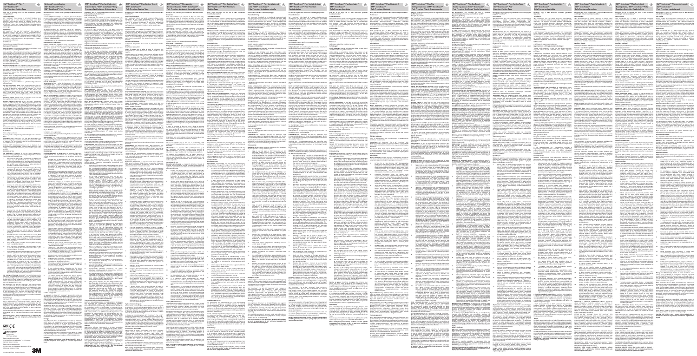#### **Poly Premium mavčni povoj Zahvaljujemo se vam, ker ste izbrali enega od 3M™ Scot**

**3M™ Scotchcast™**

**3M™ Scotchcast™ Plus Syntetický fixačný obväz / 3M™ Scotchcast™ Poly Premium Syntetický fixačný obväz**

**3M™ Scotchcast™ Plus dlahový pás /** 

**3M™ Scotchcast™ Poly Premium dlahový pás**

**3M™ Scotchcast™ Plus Fita**

**de Engessamento / 3M™ Scotchcast™ Poly Premium Fita de Engessamento**

**3M™ Scotchcast™ Plus Synthetischer Stützverband / 3M™ Scotchcast™ Poly Premium Synthetischer Stützverband** fr) 3M™ Scotchcast™ Plus Synthetischer (de

**3M™ Scotchcast™ Plus Kipsiside / 3M™ Scotchcast™ Poly Premium Kipsiside**

## **3M™ Scotchcast™ Plus kunstgips / 3M™ Scotchcast™**

**3M™ Scotchcast™ Plus Syntetgips på rulle / 3M™ Scotchcast™ Poly Premium Syntetgips på rulle**

**Casting Tape**

**3M™ Scotchcast™ Plus Vendas**

**de Inmovilización / 3M™ Scotchcast™ Poly Premium Vendas de Inmovilización**

**3M™ Scotchcast™ Plus Casting Tape /** 

**3M™ Scotchcast™ Poly Premium Casting Tape**

#### r application is the responsibility of a qualifie on-site medical professional. **Intended User:**

**Résines d'immobilisation 3M™ Scotchcast™ Plus / 3M™ Scotchcast™ Poly Premium**

### **3M™ Scotchcast™ Plus / 3M™ Scotchcast™**

# **Poly Premium Casting Tape**

#### **Thank you for choosing one of the 3M™ Scotchcast™ synthetic casting products!**

**Product Description:** M™ Scotchcast™ Plus consists of a knitted fiberglass fabr impregnated with a water activated polyurethane resin. 3M™ Scotchcast™ Poly Premium consists of a knitted polyester fabric impregnated with a water activated polyurethane resin. Exposure of Scotchcast™ casting tape to water, moisture or humidity initiates a chemical reaction which causes the resin to cure and the tape to

significant exposure. etection limits are extremely low and far below international safety recommendations for working with isocyanates. Application specialists following proper application practices as described in this aflet are adequately protected.

become rigid. **Intended Use:**  3M™ Scotchcast™ Plus and 3M™ Scotchcast™ Poly Premium is intended to construct rigid casts in order to immobilize fractures. 3M™ Scotchcast™ Plus and 3M™ Scotchcast™ Poly Premium tape can be used in the construction of most common orthopedic casts, as well as specialized prosthetics and orthotic devices. Suitability of the

general, it is recommended to use synthetic casting material ventilated rooms. **Use room temperature water:** Clean, room temperature (70-75°F / 21-24°C) water should be used for application. During the course of curing, an exothermic reaction will be observed. This normal temperature increase will disappear after a few minutes. This exothermic reaction stays within safe limits when room temperature water is used. When warmer water (>75°F / 24°C) is used, the exothermic reaction might lead to higher temperatures and undesired effects.

The intended user is a qualified medical professional. **Warnings and Precautions:**

**Avoid skin contact:** The uncured polyurethane resin will adhere firmly to unprotected skin, clothing and other surfaces. es providing sufficient protection must be worn while applyi the casting tape, e.g. nitrile gloves with a minimum thickness of 0.127<br>mm (5 mil, 0.005 inch) have proven to provide effective protection.<br>The cast surface should be free of unreacted isocyanates within 30 minutes when proper wetting techniques are used. Care should be exercised to avoid contact with unprotected areas of the patient's skin during application. If resin should come in contact with skin, wash with plenty of soap and water. If skin irritation or rash occurs, get medical advice/attention.

**Cast Application:** Preparation of the site, wound management fracture reduction, post surgical care and general patient supervision should follow established practices.

**Work in a ventilated room:** In its unhardened state, the resin contains a very low volatile form of di-isocyanate, commonly known as MDI. MDI studies conducted during wet and dry use of 3M™ Scotchcast™ immobilization products including air, surface, skin and biological measurements revealed that the measured results did not show

**Instruct the patient:** Patients should be instructed on cast care and observing blood circulation. See details under 13. **Removing the cast:** A cast made of 3M™ Scotchcast™ casting tape can be cut with standard cast cutting equipment. Routine cast

removal precautions should be taken to avoid injury of the patient while cutting equipment is being used. Use the recommended "in and out" cast saw method when using an oscillating cast saw. Always be sure the blade is sharp. A blade that is not sharp will result in heat build-up and possible patient discomfort or injury. It is recommended to use saw blades suitable for synthetic casting material as per the manufacturer's advice. Cast removal with an oscillating type cast saw

generates dust which is lower in quantity and larger in particle size than the dust generated upon removal of a Plaster of Paris cast. The dust consists of fiberglass or polyester fibers respectively, embedded in cured polyurethane resin. In a minor amount of dust, the dust particles are large and typically considered to be nuisance dusts. Air sampling indicates that the quantity of dust particles falls

well below the permissible occupational exposure limits for nuisance dust. ever, to avoid any discomfort, it is recommended to use an oscillating cast saw in combination with a dust extractor. **Do Not Reuse.**

## This is a single use device

Reuse may result in compromising product integrity or lead to devid failure. **Flammability:** 3M™ Scotchcast™ Plus and 3M™ Scotchcast™ Poly Premium casting tapes meet Class I flammability requirements of the US regulation Title 16 CFR 1610 (CS191-53). Uncured polyurethane tapes will burn over an open flame.  $H$ ardened 3M™ immobilisation products can be disposed of as

normal hospital/household waste. In case the resin is not cured or the padding is contaminated, follow local procedures for special waste handling. **Instructions for Use**

La résine 3M<sup>ns</sup> Scotchcast<sup>une</sup> Plus est composée d'une trame de fibres<br>de verre tricotées, enduite d'une résine polyuréthane qui polymérise<br>à l'eau. La résine 3M<sup>ns</sup> Scotchcast<sup>un</sup> Poly Premium est constituée<br>d'un suppor polymérisation des bandes de résine, qui deviennent rigides. **Indications :**

**en**

**Merci d'avoir choisi une des résines synthétiques 3M™ Scotchcast™!**

**Description :**

Les bandes de résines 3M™ Scotchcast™ Plus et 3M™ Scotchcast™ Poly Premium sont conçues pour la réalisation de la plupart des<br>appareils d'immobilisation courants en orthopédie/traumatologie,<br>ainsi que pour la confection de prothèses ou d'orthèses. L'indication et la mise en place d'un appareil spécifique sont sous la responsabilité d'un Professionnel de Santé qualifié au sein de l'établissement.

**Utilisateur prévu du produit :** L'utilisateur prévu est un Professionnel de Santé qualifié.

- 3M™ Scotchcast™ Plus besteht aus einem Glasfasergewirk, das<br>mit wasseraktivierbarem Polyurethanharz beschichtet ist. 3M™<br>Scotchcast™ Poly Premium besteht aus einem Polyestergewirk, das<br>mit wasseraktivierbarem Polyurethanh Scotchcast-Material mit Wasser, Feuchtigkeit oder Luftfeuchtigkeit in Verbindung, setzt eine chemische Reaktion ein, die das Harz aushärtet und den Stützverband rigide werden lässt.
- **Verwendungszweck:** Die Produkte 3M™ Scotchcast™ Plus und 3M™ Scotchca Poly Premium sind für die Herstellung fester Castverbände zur Immobilisierung von Knochenbrüchen vorgesehen. 3M™ Scotchcast™ Plus und 3M™ Scotchcast™ Poly Premium können zum Herstellen der meisten herkömmlichen orthopädischen Castverbände aber auch für spezielle Prothesen und Orthesen verwendet werden. Die Beurteilung, ob ein Produkt für eine bestimmte Behandlung geeignet ist, liegt in der Verantwortung des qualifizierten, vor Ort tätigen
- medizinischen Personals. **Vorgesehene Anwender:**
- Vorgesehene Anwender sind qualifiziertes medizinisches Personal. **Vorsichtsmaßnahmen und Warnhinweise:**
- Vermeiden Sie Hautkontakt: Das nicht ausgehärtete Harz klebt stark<br>an Haut, Kleidung und anderen Materialien.
- Bei der Applikation des synthetischen Stützverbandes müssen Handschuhe mit ausreichender Schutzwirkung getragen werden.<br>Zum Beispiel bieten Nitrilhandschuhe mit einer Mindestdicke von 0,127 mm (5 mil) nachweislich einen wirksamen Schutz. Die Oberfläche des Castverbands sollte bei Verwendung geeigneter Befeuchtungstechniken innerhalb von 30 Minuten frei von<br>unumgesetztem Isocyanat sein. Bei der Applikation sollte mit<br>besonderer Sorgfalt darauf geachtet werden, Kontakt mit
- ungeschützten Hautbereichen des Patienten zu vermeiden. Sollte das Harz dennoch in Kontakt mit der Haut kommen, waschen Sie es mit viel Seife und Wasser ab. Sollte es zu Hautreizungen oder -ausschlägen kommen, ziehen Sie medizinische Beratung oder Hilfe hinzu.
- **Achten Sie auf gute Belüftung:** Im ungehärteten Zustand enthält das Harz ein Diisocyanat von sehr geringer Flüchtigkeit, das allgemein als MDI bekannt ist. MDI-Nachweise, die bei der feuchten un 3M™ Scotchcast™ Immobilisationsprodukten durchgeführt wurden und Luft-, Oberflächen-, Haut- und biologische Messungen umfassten,
- wiesen auf keine signifikante Exposition hin. Diese Messungen betrafen Haut-, Oberflächen-, Luft und Urinuntersuchungen. Die Nachweisgrenzen sind sehr niedrig und weit unterhalb internationaler Sicherheitsempfehlungen für das Arbeiten mit Isocyanaten. Anwender sind bei einer ordnungsgemäßen Anwendung, wie sie in dieser Packungsbeilage beschrieben ist, ausreichend geschützt.
- Allgemein wird angeraten, synthetisches Stützverbandsmaterial in belüfteten Räumen zu verwenden. **Wassertemperatur:** Benutzen Sie bei der Verarbeitung von Scotchcast Produkten sauberes Wasser
- Raumtemperatur (21-24°C). Während des Aushärteprozesses kann eine gewisse Wärmeentwicklung beobachtet werden. Dieser normale Temperaturanstieg geht nach wenigen Minuten zurück. Diese thermische Reaktion bleibt innerhalb sicherer Grenzen, wenn Wasser
- in Raumtemperatur benutzt wird. Wird wärmeres Wasser benutzt (>24°C) kann diese thermische Reaktion zu höheren Temperaturen und ungewollten Nebeneffekten führen. **Klären Sie die Patienten auf:** Patienten sollten über richtiges<br>Verhalten während der Behandlung mit immobilisierenden
- Stützverbänden aufgeklärt werden. Detaillierte Hinweise finden Sie unter Punkt 13. Entfernen des Stützverbandes: Ein Stützverband aus Scotchc
- von Gipsverbänden geschnitten werden. Beachten Sie dabei die üblichen Vorsichtsmaßnahmen, um den Patienten vor möglichen Verletzungen zu schützen. Beim Schneiden mit einer oszillierenden Säge wird empfohlen, die sog. "Tauch-Technik" (Rein & Raus Technik) anzuwenden. Achten Sie stets darauf, dass das Sägeblatt scharf ist. Es kommt sonst zu erhöhter Wärmeentwicklung, die von Patienten als unangenehm empfunden wird oder zu Verletzungen führen kann. Wir empfehlen die Nutzung spezieller, vom Hersteller für synthetische
- Materialien freigegebener Sägeblätter. Bei der Verwendung einer<br>oszillierenden Säge entsteht Staub. Die Staubmenge ist geringer und<br>die Partikel sind größer als beim Sägen von Mineralgips. Der Staub besteht aus Glasfaser beziehungsweise Polyesterfasern, die von gehärtetem Polyurethanharz umschlossen sind. Zu einem handelt es sich dabei um große
- La réutilisation peut compromettre l'intégrité du produit ou mener à wan jegliche Belästigung zu vermeiden, empfehlen wir die Benutzung<br>un appareil défectueux. die üblicherweise als belästigend wahrgenommen werden. Die Luftprobenahme zeigt, dass die Menge der Staubpartikel die maximale Arbeitsplatzkonzentration für lästigen Staub deutlich unterschreitet. **Nicht zur Wiederverwendung:**
	- Nur für den einmaligen Gebrauch.
	- Eine Wiederverwendung sowie der unsachgemäße Gebrauch führen zu fehlerhaften Veränderungen der Produkteigenschaften. **Enfflammbarkeit:** 3M™ Scotchcast™ Plus Stützverbände und 3M™<br>Scotchcast™ Poly Premium Stützverbände erfüllen die Anforderungen<br>der Entflammbarkeitsklasse 1 der US-Bestimmung CFR Title 16<br>(CS191-S3). Nicht ausgehärte
	- Ausgehärtete 3M™ Immobilisationsprodukte können als normaler Krankenhaus-/Hausmüll entsorgt werden. Falls das Harz nicht ausgehärtet oder das Polster kontaminiert ist, befolgen Sie bitte die lokalen Regelungen zur Sondermüllentsorgung.
	- **Gebrauchsanweisung Anlegen des Stützverbandes:** Folgen Sie den üblichen<br>Vorgehensweisen bei der Vorbereitung des Arbeitsplatzes,<br>Wundversorgung, Reposition, postoperative Behandlung und Patientenüberwachung.
	- 1. Ziehen Sie einen oder zwei 3M™ Trikotschläuche über den zu behandelnden Bereich und/oder umwickeln Sie diesen mit 3M™ synthetischer Polsterwatte. Falls gewünscht, können besonders druckgefährdete Stellen und Knochenprominenzen mit zusätzlichem Polstermaterial geschützt werden. Es wird empfohlen, synthetisches Polstermaterial zu benutzen. Dieses speichert weniger Feuchtigkeit als die gebräuchlichen Polstermaterialien aus Baumwolle.
	- 2. Da das nicht ausgehärtete Harz stark mit der Haut verklebt, müssen beim Verarbeiten von synthetischen Stützverbandmaterialien geeignete Nitril-Einmalhandschuhe getragen werden. (Siehe Abschnitt "Warn- und Sicherheitshinweise"!). Vermeiden Sie aus diesem Grund auch den Kontakt des nicht ausgehärteten Harzes mit Haut
	- oder Kleidung des Patienten. Um sicher zu stellen, dass Sie nicht mit unausgehärtetem Material in Kontakt kommen, sollten Sie die Handschuhe so lange tragen, bis das Harz vollständig ausgehärtet ist. 3. Wählen Sie die benötigte Breite und die entsprechende Anzahl der Rollen. Öffnen Sie immer nur eine Rolle, da der Aushärteprozess durch Luftfeuchtigkeit initiiert wird. Prüfen Sie, dass die Rolle zur Verarbeitung geeignet ist. Drücken

olle leicht in der Verpackung. Das sich weich und geschmeidig anfühlen. Verwenden Sie kein Material, dass ganz oder teilweise ausgehärtet ist.

(21-24°C). Hinweis: Dreimaliges festes Drücken der Rolle unter Wasser ergibt eine Abbindezeit von ca. 4 Minuten (Zeit, in der das Material verarbeitet werden kann). Um die Abbindezeit zu verlängern, tauchen Sie die Rolle nur kurz unter Wasser und nehmen Sie sie ohne zu drücken wieder heraus. Diese Technik erhöht die Abbindezeit auf ca. 5 Minuten. Wird die Rolle unter Wasser nicht gedrückt, kann dies die Gleitfähigkeit des Scotchcast Materials verringern. Kälteres Wasser verlängert die Abbindezeit. Benutzen Sie kein wärmeres Wasser weil dadurch die Temperatur während des Aushärteprozesses erhöht wird. Falls gewünscht, kann Scotchcast auch trocken angewickelt werden. Der Aushärteprozess sollte anschließend durch aufsprühen von Wasser aus einer Sprühflasche oder anwickeln einer nassen elastischen Binde über den Stützverband beschleunigt werden. Die nasse elastische Binde kann nach fünf Minuten wieder entfernt werden. 5. Wickeln Sie spiralförmig und überlappen Sie die einzelnen itzverband ist darauf zu achten, dass nicht zu str Stützverband ist darauf zu achten, dass nicht zu stramm<br>gewickelt wird. Um die bestmögliche Passform des<br>Stützverbandes zuerhalten, wickeln Siemit leichtem Zug. Die<br>bei Mineralgips übliche abrollende Technik sollte deshalb

uchen Sie die Rolle in sauberes Wasse

13. Klären Sie die Patienten über das richtige Verhalten und die Pflege des Stützverbandes auf, insbesondere über<br>die Notwendigkeit, den Stützverband trocken zu halten.<br>Ein nasser Stützverband kann zu Hautmazerationen und<br>erhöhtem Risiko einen Beschädigung führen. Sollte der<br>Stützve

darauf zu achten, dass der Stützverband sorgfältig<br>und vollständig getrocknet wird. Hierbei ist besondere<br>Aufmerksamkeit auf die Polsterung zu legen, um das Risiko<br>einer Hautmazeration zu vermeiden. Das Trocknen des<br>Stützv

**Scotchcast™!** Descrizione dei prodott

- **Avertissements et précautions : Eviter le contact avec la peau :** la résine non polymérisée adhère
- fortement à la peau non protégée, aux vêtements et autres surfaces. Des gants apportant une protection suffisante doivent être obligatoirement portés lors de la manipulation de la bande. Par exemple, des gants en nitrile d'une épaisseur minimale de 0,127 mm ont démontré offrir une protection efficace. La surface de la résine doit être dépourvue d'isocyanates n'ayant pas réagi dans les 30 minutes lorsque les techniques de mouillage appropriées sont utilisées. Il convient de veiller à éviter tout contact avec des zones non protégées de la peau du patient lors de l'application. En cas de contact de la résine avec la peau, laver abondamment à l'eau et au savon. En cas d'irritation ou de rougeurs de la peau, consulter un médecin.
- **Travailler dans une pièce bien ventilée :** avant polymérisation, la résine contient une forme de di-isocyanate très faiblement volatile, connu sous le nom de MDI. s études conduites sur les MDI durant l'utilisation des résines
- d'immobilation Scotchcast, avec et sans apport d'eau, et les mesures biologiques prises au niveau de l'air, de la peau et des surfaces, montrent qu'il n'y a pas d'exposition significative. Les limites de détection des isocyanates sont extrêmement basses et bien en deçà des recommandations internationales de sécurité. Les
- praticiens suivant les instructions décrites dans cette notice travaillent en toute sécurité. En général, il est recommandé de manipuler des résines synthétiques dans des pièces aérées.
- **Température de l'eau :** utiliser de l'eau propre et à température ambiante (70-75°F / 21-24°C) pour l'application. La polymérisation s'accompagne d'une réaction exothermique. Cette augmentation de la température est normale et disparaît après quelques minutes. La réaction exothermique est sans danger si l'on utilise de l'eau à température ambiante ; si l'on utilise de l'eau plus chaude (>75°F /
- 24°C), le dégagement de chaleur, lors de la polymérisation, est plus important et peut entraîner des effets indésirables. **Mise en garde du patient :** expliquer au patient comment prendre soin de son dispositif d'immobilisation et comment vérifier la bonne circulation du sang (cf détails mode d'emploi, paragraphe 13).
- **Ablation de l'appareil en résine :** un appareil en résine 3M™ Scotchcast™ peut être découpé avec des outils standards. Prendre les précautions d'usage afin de ne pas blesser le patient lors de l'utilisation de ces outils. Utiliser la méthode préconisée « dedansdehors » lorsque l'on utilise la scie oscillante. Toujours s'assurer que la lame est affûtée. Une lame mal affûtée peut induire une accumulation de chaleur désagréable et une possible lésion du patient. Il est recommandé d'utiliser les lames qui conviennent pour la découpe de résine synthétique et de suivre les conseils du fabricant. L'ablation d'un appareil en résine, avec une scie oscillante, génère moins de poussière que l'ablation du même appareil réalisé en plâtre de Paris.
- La poussière est composée de fibres de verre ou de fibres de polyester incorporées à la résine polyuréthane durcie. Une petite quantité de cette poussière contient des particules de grande taille habituellement considérées comme des poussières nuisibles. Les analyses de l'air indiquent que la quantité de poussière détectée reste bien en-dessous des limites autorisées en milieu professionnel, pour
- ce qui est des poussières nuisibles. Toutefois, pour éviter toute gêne, il est recommandé d'utiliser la scie oscillante en association avec un aspirateur de poussières. **Ne pas réutiliser :**
- Cet appareil est à usage unique.
- **Inflammabilité :** Les bandes de résines 3M™ Scotchcast™ Plus et I concernant l'inflammabilité conformément à la réglementation aux US [titre 16 CFR 1610 (CS191-53)]. Les bandes de résines non polymérisées peuvent brûler sur une flamme nue.
- Les produits d'immobilisation 3M™ durcis peuvent être traités de la même façon que les déchets normaux de l'hôpital. Si la résine n'est pas dure ou si le capitonnage est contaminé, suivre les procédures locales concernant la manipulation des déchets spéciaux. **Mode d'emploi Confection d'appareils en résine :** Suivre les protocoles établis pour
- la préparation du site, le traitement de la plaie, la réduction de la fracture, les soins post-chirurgicaux et la surveillance générale du patient. 1. Appliquer une ou deux épaisseurs de jersey 3M™ sur le
- membre à immobiliser et/ou le recouvrir d'une bande de protection 3M™. Si besoin, augmenter le nombre de couches de bande de protection au niveau des points de pression et<br>des proéminences osseuses. Il est recommandé d'utiliser<br>du matériel de capitonnage synthétique plutôt que du<br>matériel de capitonnage en coton, afin de limiter la r d'humidité.
- 2. Il est impératif de porter des gants appropriés en nitrile, lors de la manipulation des bandes de résine afin d'éviter que la résine n'adhère à la peau. (Voir la section "Avertissements et précautions"!). De même, éviter le contact de la résine non polymérisée avec la peau du patient ou ses vêtements. Les gants doivent être portés jusqu'à ce que la résine soit entièrement polymérisée.
- 3. Sélectionner la largeur et le nombre de bandes désirés. N'ouvrir qu'un sachet à la fois, car l'humidité de l'air ambiant déclenche le processus de polymérisation. Chaque sache doit être légèrement pressé avant son ouverture pour vérifier l'aptitude à l'application. Le rouleau doit être souple et mou. Ne pas utiliser un rouleau qui serait partiellement ou totalement dur au toucher.
- Immerger la bande de résine dans une eau propre et à<br>température ambiante (70-75°F / 21-24°C). Remarque : trois température ambiante (70-75°F / 21-24°C). **Remarque :** trois<br>pressions fermes sur le rouleau immergé permettent d'obtenir<br>un durcissement de la bande au bout de quatre minutes environ (temps de polymérisation initiale). Pour augmenter<br>le temps de prise, ressortez le rouleau immédiatement<br>après son immersion sans le presser ; ceci permet d'obtenir<br>le durcissement de la bande en cinq minutes envir pas pressée lors de l'immersion. Une eau froide allonge le temps de prise. **Ne pas utiliser d'eau chaude** qui augmente considérablement le dégagement de chaleur lors de la polymérisation de la bande. Les bandes 3M™ Scotchcast™ peuvent être appliquées « à sec » : la polymérisation de la résine est alors accélérée par l'utilisation d'un vaporisateur d'eau, ou par l'enveloppement dans un bandage élastique humide. Après cinq minutes, le bandage élastique humide
- peut être retiré. 5. Dérouler la bande de résine en spirale de telle sorte que chaque spire recouvre la précédente de la moitié ou des deux tiers de sa largeur. Comme pour tout produit d'immobilisation, éviter toute tension excessive. Néanmoins, pour un maintien ajusté, poser la bande avec une tension légèrement supérieure à celle nécessaire habituellement au léroulement d'une bande de plâtre.
- 6. Trois ou quatre épaisseurs suffisent pour l'obtention d'un appareil solide « sans mise en charge » et habituellement cinq à huit couches, pour un appareil avec mise en charge. Un nombre supérieur de couches n'augmente pas, en général, la résistance de l'appareil, mais en diminue la perméabilité à l'air. Une « Longuette 3M‴ Scotchcast™ » peut être utilisée<br>conjointement avec des bandes de résines Scotchcast<br>lorsque l'on désire un renfort; immerger la longuette 3M™<br>Scotchcast™ dans de l'eau à température ambiante et<br> 7. A l'aide de gants, lisser et masser l'appareil afin d'obtenir
- une bonne cohésion entre les couches. Peu après le lissage, l'appareil peut être modelé. 8. Environ trois à cinq minutes après immersion dans l'eau, la bande de résine Scotchcast est suffisamment rigide pour que
- le modelage ne soit plus possible. Une fois la mise en place et le modelage de l'appareil terminés, l'eau appliquée en surface va accélérer le processus de durcissement. 9. Attendre 20 à 30 minutes (à l'appréciation du médecin) avant d'autoriser la mise en charge éventuelle.
- 10. Si l'appareil doit être fenêtré, il est recommandé d'attendre au moins 30 minutes pour que la cohésion des couches soit optimale avant de découper la fenêtre.
- 11. Talonnettes, semelles de marche et autres dispositifs peuvent tous être utilisés avec les appareils réalisés à l'aide des bandes de résines Scotchcast. 12. Si une modification s'avère nécessaire pour des raisons
- thérapeutiques, des couches supplémentaires de résine peuvent être ajoutées sur un appareil déjà polymérisé. La nouvelle bande doit se chevaucher elle-même afin de bien se iouvelle bande doit se chevauch<br>ixer sur l'appareil à renforcer. Les patients doivent être informés des soins à apporter<br>à leur appareil et de la nécessité de le garder au sec. Les
- à leur appareil et de la **nécessité de le garder au sec**. Les<br>appareils mouillés peuvent entraîner macération de la peau<br>et augmentation des risques de cassure. Si l'appareil est<br>mouillé accidentellement, il est fortement de faire en sorte que cet appareil et particulièrement son capitonnage soient parfaitement secs, afin d'éviter tout risque de macération. Le séchage peut être accéléré en utilisant un sèche-cheveux réglé sur air froid. Les patients doivent apprendre à observer soigneusement les extrémités découvertes des membres immobilisés, doigts ou orteils, afin de vérifier la bonne circulation du sang.
- **Ablation de l'appareil :** Les appareils en résine 3M™ Scotchcast™ peuvent être retirés ou retaillés avec une scie oscillante traditionnelle, équipée d'une lame appropriée pour la découpe de la résine synthétique. Les bords d'un<br>appareil fraîchement découpé peuvent être abrasifs : attention de ne<br>pas érafler la peau du patient lors du retrait de l'appareil. Prendre
- les précautions d'usage lors de la découpe de l'appareil pour ne pas blesser le patient avec la lame de la scie. Les de l'enserté de résines de l'accentes de l'aligne de la M™ Scotchcast™ Poly<br>25 bandes de résines 3M™ Scotchcast™ Plus et 3M™ Scotchcast™ Poly<br>remium sont radio transnarentes. Néanmoins, il peut y avoir avec la Premium sont radio transparentes. Néanmoins, il peut y avoir avec la<br>résine 3M™ Scotchcast™ Plus, un léger voile visible à la radiographie,<br>dû à la trame tricotée en fibres de verre. La radiographie peut être<br>faite avec l' Scotchcast Stützverbände können mit handelsüblichen Werkzeugen<br>zum Bearbeiten von synthetischen Stützverbänden angepasst<br>und aufgeschnitten werden. Frei liegende Schnittkanten des<br>Stützverbandes können scharkantig sein. Ar
- concernant les effets d'autres procédures d'imagerie médicale sur ces<br>résines, seules ou en combinaison avec d'autres dispositifs médicaux.<br>Les procédures d'imagerie autres que les radiographies standards es par le médecin. **Stockage :** Chaque bande de résine est emballée dans un sachet en aluminium scellé. Veiller à ne pas percer le sachet sous peine de provoquer
- le durcissement prématuré de la bande dans l'emballage. Il est liegen im l<br>recommandé de conserver le produit à température ambiante.<br>Son stockage à des températures supérieures ou inférieures risque d'affecter les propriétés de manipulation. Si le produit a été stocké à des températures élevées ou basses, attendre qu'il revienne à température ambiante avant de l'utiliser. La date de péremption est imprimée sur chaque sachet et chaque
- boite d'emballage. Pour une performance optimale, se référer à la date de péremption et assurer une bonne ROTATION DES STOCKS. **Remarque :**
- **Veuillez signaler tout incident grave, lié au dispositif, à 3M et à l'autorité compétente locale (UE) ou à l'autorité règlementaire locale.**

**Evitare il contatto con la pelle:** la resina di poliuretano non zzata può aderire alla cute non protetta, ai vestiti e ad altre

**Rimuovere il gesso:** Un apparecchio gessato Scotchcast può essere<br>tagliato con strumenti standard appropriati. Devono essere seguite le<br>precauzioni di routine per la rimozione del gesso, al fine di evitare<br>di causare info raccomandato "dentro e fuori". Assicurarsi sempre che la lama sia affilata. Se la lama non è affilata si causa un accumulo di calore e aumentano i rischi di infortuni al paziente. Si raccomanda di utilizzare seghe da gesso adatte al gesso sintetico, secondo le raccomandazioni dei produttori. La rimozione del gesso sintetico Scotchcast con una sega oscillante genera una quantità minore di polvere rispetto alla rimozione di un gesso di Parigi, con particelle di dimensione maggiore.

Dispositivo monouso l'integrità del prodotto può essere compromessa dopo l'uso. **Infiammabilità:** 3M™ Scotchcast™ Plus e 3M™ Scotchcast™ Poly Premium Casting Tape soddisfano i requisiti infiammabilità Classe I del regolamento Titolo 16 CFR 1610 (CS191-53) degli Stati Uniti. Le boliuretano non polimerizzate bruciano a contatto diret

Mentre si applica la benda sintetica devono essere indossa appositi guanti in nitrile, per evitare che la resina si trasferisca dalla benda alla cute, aderendo ad essa (consultare la sezione "Avvertenze e precauzioni"!). Per la stessa ragione evitare il contatto della resina non polimerizzata con la cute e gli indumenti del paziente. I guanti devono essere indossati finchè la benda non è completamente polimerizzata. 3. Selezionare la benda della larghezza desiderata e preparare il numero di bende necessario. Aprire solo una benda per volta, in quanto l'umidità ambientale può avviare la polimerizzazione della benda. Ogni busta deve essere strizzata leggermente prima dell'apertura per verificare l'idoneità all'utilizzo. Il rotolo deve essere morbido e flessibile. Non usare un rotolo che risulti parzialmente o totalmente rigido. 4. Immergere la benda in acqua pulita a temperatura ambiente (21-24°C). Nota: Se la benda viene strizzata con forza tre volte durante l'immersione in acqua, il tempo necessario per l'indurimento iniziale sarà di circa 4 minuti. Per rallentare il tempo di indurimento, immergere il rotolo e toglierlo immediatamente senza strizzarlo. Con questa tecnica si ottiene un tempo di indurimento di circa 5 minuti. Se il rotolo non viene strizzato durante l'immersione, si potrebbe verificare una riduzione della facilità di srotolamento. L'indurimento della benda richiederà più tempo se viene usata acqua fredda. Non usare acqua calda, per evitare un aumento della temperatura dell'apparecchio durante la reazione esotermica che si verifica in fase di polimerizzazione. Se si preferisce, le bende per immobilizzazione possono essere applicate asciutte: in questo caso, la polimerizzazione dell'apparecchio può essere accelerata spruzzandovi sopra dell'acqua o avvolgendola in una benda elastica bagnata. Dopo cinque minuti la benda bagnata può essere rimossa. 5. Costruire l'apparecchio avvolgendo la benda a spirale e facendo in modo che ciascuno strato copra quello sottostante da metà ai due terzi della sua larghezza. Come per le normali ingessature, evitare di stringere eccessivamente la benda durante l'avvolgimento. Per assicurare una tenuta ottimale, applicare la benda esercitando una leggera tensione. ono sufficienti 3 o 4 strati di materiale per realizzare u apparecchio abbastanza robusto in assenza di carico, e solitamente da 5 a 8 strati per apparecchi da carico. Un numero di strati superiore generalmente non aumenta la resistenza dell'apparecchio e porta a una riduzione della permeabilità all'aria. 3M™ Scotchcast™ Longuette può essere usata insieme alle bende per immobilizzazione Scotchcast in caso sia necessario un ulteriore rinforzo. Immergere Scotchcast Longuette in acqua a temperatura ambiente, usando la stessa procedura descritta al punto 4. 7. Indossando i guanti, lisciare e sistemare la benda per ottenere un adeguato contatto tra gli strati. Poco dopo la lisciatura è

La polvere è composta rispettivamente da vetroresina o fibre e El polvo se compone de fibra de vidrio o fibras de poliéster<br>di poliestere, incluse in resina poliuretanica polimerizzata. In erespectivamente integradas en la

Scotchcast™ Poly Premium sono radiotrasparenti. Tuttavia con 3M™<br>Scotchcast™ Plus si può osservare una leggera griglia formata dalla<br>trama della fibra di vetro. Si possono effettuare radiografie. Non ci sono informazioni circa gli effetti di altre procedure di diagnostica per<br>immagini sulla performance di un apparecchio sintetico realizzato con<br>i prodotti Scotchcast usati da soli o in combinazione con altri dispositivi<br>i dai raggi X, devono comunque essere valutate dal medico.

#### **Vielen Dank, dass Sie sich für ein Produkt aus der 3M™ Scotchcast™ Produktpalette entschieden haben! Produktbeschreibung:**

Ciascun rotolo di benda è confezionato in una busta in alluminio<br>sigillata. Prestare attenzione a non forare la busta, poiché ciò<br>comporterebbe l'indurimento prematuro della benda nella confezione. Si raccomanda di conservare il prodotto a temperatura ambiente. La conservazione a temperature superiori o inferiori può incidere sulle proprietà di gestione. Il prodotto conservato a temperature alte o basse deve essere riportato alla temperatura ambiente prima dell'applicazione. La data di scadenza è riportata su ciascuna scatola e su ciascuna busta.<br>Per una performance ottimale, fare riferimento alla data di scadenza<br>per un'ottimale rotazione dello stock. **Nota: Si prega di segnalare qualsiasi incidente grave riscontrato in** 

12. Se fosse necessaria una modifica per ragioni terapeutiche,<br>strati aggiuntivi di benda possono essere applicati ad strati aggiunti di personali strati aggiunti di benda p<br>un'ingessatura in Scotchcast già indurita. In qu

Le bende per immobilizzazione 3M™ Scotchcast™ Plus e 3M™ suadrícula proveniente del tejido de fibra de vidrio. Se pueden realizar<br>Le bende per immobilizzazione 3M™ Scotchcast™ Plus e 3M™ radiografias a través de la escavo

reud: או פון או האטרי האטרי הייטול הייטול וייטול אינטיאל informe a 3M<sup>m</sup> y a la autoridate grave relacionado con el dispositivo,<br>relazione al dispositivo a 3M™ e all'autorità locale competente in local regulatoria.<br>coall'

**Usuario previsto:** El usuario previsto es un pro

En los estudios de MDI realizados durante el uso en condiciones húmedas y secas de los productos de inmovilización 3M™<br>Scotchcast™, incluidas mediciones aéreas, superficiales, cutáneas<br>y biológicas, los resultados de las mediciones no indicaron una

respectivamente, integradas en la resina de poliuretano curada. En una menor cantidad de polvo, las partículas de polvo no se suelen considerar más que polvo molesto. El análisis de muestras en el aire indica que la cantidad de partículas de polvo se encuentra muy por ebajo de los límites de exposición ocupacional permitidos para el

5. Construya la escayola aplicando las primeras vueltas de la<br>venda en forma de espiral, superponiendo la mitad o las<br>dos terceras partes de las vueltas anteriores. Al igual que<br>con cualquier otro vendaje, evite la tensión embargo, para asegurar un resultado ceñido use una ligera tensión al enrollar la venda en vez de hacerlo como con la

Con la ayuda de unos guantes, alise y aplique la venda para conseguir un buen contacto entre las capas. Una vez alisada, al poco tiempo la escayola se podrá moldear. 8. De tres a cinco minutos después de sacarlas del agua, las vendas estarán lo suficientemente rígidas para evitar seguir mais estatan lo sancientemente rigidas para evitar seguida moldeado ha terminado, se puede aplicar agua a la superficie de la venda para acelerar el proceso de fraguado. 9. Deje que transcurran cerca de 20 minutos (según criterio del médico) antes de cargar peso en los vendajes destinados a

Las aplicaciones con Scotchcast se pueden recortar o retirar con una sierra para escayola sintética tradicional. Los bordes cortados de la escayola pueden ser abrasivos y se debe tener cuidado para evitar<br>arañazos. Se deben tomar las precauciones habituales para evitar<br>daños al paciente cuando se usa una sierra para escayolas.

radiografías a través de la escayola sintética. No se ha recopilado<br>información relativa a los efectos que otras técnicas de imagen<br>pueda tener sobre las características de las escayolas sintéticas realizadas con los productos Scotchcast sólos o en combinación con otros dispositivos médicos. Cualquier otra técnica que no sea una radiografía estandar debe ser valorada por un profesional médico. **3M™ Scotchcast™ Plus Casting Tape / 3M™ Scotchcast™ Poly Premium nl**

ongewenste reacties. **Instructies voor de patiënt: Patiënt** 

6. Für Stützverbände, die nicht stark belastet werden, geben in der Regel drei bis vier Lagen ausreichende Stabilität.

7. Reiben und glätten Sie das Trägermaterial des Stützverbands, um einen guten Kontakt zwischen den Lagen sicherzustellen. Tragen Sie dabei Handschuhe. Kurz nach dem Glätten kann der Castverband geformt werden. Rund drei bis fünf Minuten nachdem das Scotchcast Materi n Wasser getaucht wurde, ist es soweit ausgehärtet, dass<br>veiteres Modellieren nicht mehr möglich ist. Der weitere weiteres Modellieren nicht mehr möglich ist. Der weitere Aushärteprozess kann durch zusätzliches Befeuchten beschleunigt werden. 9. Nach ca. 20 bis 30 Minuten (abhängig von der Einschätzung der medizinischen Fachkraft) kann der Stützverband Selecteer het gewenste aantal en maten gipsverband en het overige materiaal. Open slechts één zakje tegelijk omdat het uithardingsproces onmiddellijk door de luchtvochtigheid egint. Elke verpakking dient voorzichtig ingeknepen worden alvorens de verpakking te openen om geschiktheid vast te stellen. Het materiaal dient zacht aan te voelen. Gebruik geen materiaal dat (deels) hard aanvoelt.

ater wordt ondergedompeld. Koeler water zorgt voor ee langere uithardingtijd. Gebruik geen warmer water, ALS de rol wordt ondergedompeld in water van meer dan 27°C (80°F), komt er meer warmte vrij tijdens het uitharden. Indien gewenst kan Scotchcast droog gebruikt worden. Na het aanleggen dient de polymerisatie van het verband versneld te worden door water te sprayen of een nat verband er omheen aan te brengen. Dit kan na 5 minuten verwijderd worden. Leg de applicatie aan door circulair, spiraalsgewijs te draaien ns met een overlap van circa de helft tot tweederde v de breedte van de tape. Leg het verband niet te strak aan. Om de juiste pasvorm te creëren wel met de nodige spanning aanleggen in tegenstelling tot een 'traditioneel' gipsverband. Drie of vier lagen zorgen al voor een sterk gipsverband dat gee gewicht hoeft te dragen, terwijl vijf tot acht lagen doorgaa voldoende zijn voor een gipsverband dat wel gewicht mo dragen. Bijkomende lagen zorgen over het algemeen ni r extra sterkte, maar verlagen wel de poreusheid. u de Scotchcastversterkingsstrip of Longuettes gebruikt combinatie met de Scotchcastgipsverbandtapes, dient u de strip onder te dompelen in water op kamertemperatuur en dezelfde procedure te gebruiken als in punt 4 hierboven. 7. Wrijf de tape, met handschoenen aan, glad om goed contact ussen de lagen te verkrijgen. Kort na het gladwrijven kan he

gewichtsbelastet werden.

Gewichtsbelastete Verbände werden typischerweise aus<br>Günf bis acht Lagen hergestellt. Zusätzliche Lagen sind für<br>die Stabilität normalerweise nicht notwendig, sie verringer<br>hingegen die Luftdurchlässigkeit des Stützverband

10. Um einen bestmöglichen Lagenverbund zu gewährleisten, sollte der Stützverband, falls notwendig, frühestens nach 30 Minuten gefenstert werden. 11. Handelsübliche Gehstollen, Gips-Schuhe und andere orthetische Produkte können mit Verbänden aus Scotchcast

Stützverbandmaterial kombiniert werden.<br>20. Sind aus therapeutischen Gründen spätere Modifikationen<br>notwendig, können weitere Lagen auf bereits ausgehärteten<br>Stützverbänden aufgebracht werden. Das frische Material<br>sollte d

n u een venster wilt uitzagen, wordt geadviseerd dit na 30 minuten te doen om van voldoende uitharding en

Fön unterstützt werden. Weisen Sie die Patienten auch darauf hin, die Durchblutung von Fingern und Zehen der behandelten Extremitäten zu beobachten.

3M<sup>w</sup> Scotchcast<sup>uw</sup> Plus und 3M<sup>w</sup> Scotchcast<sup>uw</sup> Poly Premium sind<br>durchlässig für Röntgenstrahlen. Bei Stützverbänden aus 3M<sup>w</sup><br>Scotchcast<sup>iw</sup> Plus kann jedoch eine leichte Güterstruktur des<br>Fiberglasmaterials sichtbar

Folienbeutel verpackt. Es sollte sorgfältig darauf geachtet werden,<br>die Beutel nicht zu beschädigen, da ansonsten das Trägermaterial in<br>der Verpackung vorzeitig aushärtet. Es wird empfohlen, das Produkt<br>bei Raumtemperatur

beeinträchtigen. Bei einem Produkt, das bei höheren oder niedrigeren<br>Temperaturen gelagert wurde, sollte vor der Applikation gewartet<br>werden, bis es wieder Raumtemperatur angenommen hat. Kartons und Beutel sind mit einem Verfalldatum versehen. Für<br>eine optimale Produktperformance achten Sie auf regelmäßigen<br>Lagerumschlag unter Beachtung des Verfalldatums. Hinweis: Bitte melden Sie einen schwerwiegenden Vorfall im<br>Zusammenhang mit dem Produkt an 3M™ und die zuständige<br>Behörde(EU) oder die lokale Regulierungsbehörde.

**Trimmen und Entfernen des Stützverbandes:**

Elke doos en elk foliezakje is voorzien van een expiratiedatum. Voor optimaal gebruik van de spalken; let op de datum en maak gebruik

3M™ Scotchcast™ Plus består av en glasfiberväv impregnerad med harts (polyuretanresin) som aktiveras i kontakt med vatten. 3M™ Scotchcast™ Poly Premium består av en polyesterväv impregnerad med harts (polyuretanresin) som aktiveras i kontakt med vatten. Då<br>Scotchcast syntetgips utsätts för vatten, fukt eller hög luftfuktighet<br>initieras en kemisk reaktion vilken får hartset att härda och därmed<br>gipset att stel

3M™ Scotchcast™ Plus och 3M™ Scotchcast™ Poly Premium är<br>avsedda att skapa fast gips för att immobilisera frakturer. Gipserna<br>3M™ Scotchcast™ Plus och 3M™ Scotchcast™ Poly Premium kan<br>användas vid tillverkningen av de fle för specialiserade proteser och ortoser. Artikelns lämplighet för den särskilda applikationen är kvalificerad sjukvårdspersonals ansvar.

**it**

**Grazie per avere scelto uno dei prodotti per immobilizzazione 3M™** 

skyddsåtgärder. ventilerade rum.

3M™ Scotchcast™ Plus è una benda sintetica in fibra di vetro impregnata di una resina poliuretanica che si polimerizza<br>con l'acqua. 3M™ Scotchcast™ Poly Premium è una benda<br>sintetica in poliestere impregnata di una resina poliuretanica che si polimerizza con l'acqua. L'esposizione all'umidità o all'acqua avvia una reazione chimica che rende i prodotti rigidi.

**Indicazioni d'uso:**

alla costruzione di gessi rigidi per l'immobilizzazione di arti fratturati. Le bende semirigide 3M™ Scotchcast™ Plus e 3M™ Scotchcast™ Poly Premium possono essere utilizzate per la costruzione dei gessi ortopedici più diffusi, oltre che per protesi specialistiche o dispositivi ortesici. La verifica dell'adeguatezza del dispositivo per la particolare applicazione è responsabilità di un professionista medico qualificato

e in loco. **Utilizzatore del prodotto:**

esperto. **Avvertenze e precauzioni:**

superfici.

1. Lägg en eller två lager av 3M™ Stockinette över det Hærdede 3M™ immobiliseringsprodukter kan bortskaffes som almindeligt hospitalsaffald. Hvis resinen ikke er hærdet eller polsteret er kontamineret, følges lokale procedurer for håndtering af særligt affald. **Brugsanvisning Applicering:** Forberedelse af stedet, sårbehandling, repositionering af<br>frakturen, postoperativ behandling og almindelig patientovervågning<br>bør følge den etablerede praksis.

Indossare guanti che forniscono una protezione sufficiente durante l'aella benda semirigida, ad es., guanti in nitrile con un<br>imo di 0.127 mm (5 mil. 0.005 poll.) hanno dimostrat spessore minimo di 0,127 mm (5 mil, 0,005 poll.) hanno dimostrato<br>una protezione efficace. La superficie del gesso deve essere priva di<br>isocianati non reagiti entro 30 minuti quando si adottano tecniche di umidificazione adeguate. Prestare attenzione per evitare il contatto con aree non protette della cute del paziente durante l'applicazione. In caso di contatto del composito con la cute, lavare con abbondante acqua e sapone. In caso di irritazione o rash cutaneo, rivolgersi a un

> påverkade området och/eller vira 3M™ Syntetiska polster<br>runt området. Vid behov används extra polster för ökat<br>skydd av tryckpunkter eller benutskott. Tillbehör avsedda för användning tillsammans med syntetiskt gips rekommenderas för att minska risken för kvarvarande fukt. 2. Lämpliga nitrilgummihandskar skall användas vid applicering av gipset eftersom det ohärdade hartset kan fästa vid huden vid kontakt. (Se sektionen "Varningar och försiktighetsåtgärder"!). Av samma anledning bör man undvika att ohärdat gips kommer i kontakt med oskyddade ytor av patientens hud eller kläder. Handskar bör användas

medico.

**Lavorare in ambiente ventilato:** nel suo stato polimerizzato la resina contiene una forma di diisocianato a bassissima volatilità, comunemente noto come MDI. Gli studi MDI condotti durante l'utilizzo bagnato e asciutto dei prodotti per immobilizzazione 3M™ Scotchcast™, inlcuse le misurazioni biologiche, di aria, superficie e della hanno rivelato che i risultati rati non mostrano una esposizione significativa. I limiti di individuazione di questa sostanza sono estremamente bassi e molto al di sotto delle raccomandazioni internazionali di sicurezza per chi lavora con isocianati. Gli operatori che seguono in modo corretto le istruzioni di applicazione descritte in questo foglietto

> Väli lämplig bredd och antal gipsrullar. Då luftfuktighet ka initiera härdning av hartset bör endast en rulle öppnas åt gången. För att avgöra att gipset är lämpligt att använda bör förpackningen försiktigt pressas ihop innan den öppnas. Rullen bör kännas mjuk och följsam. Använd inte rullar som helt eller delvis hårdnat. Sänk ner rullen i rent, rumstempererat (21-24°C) vatter servera: genom att krama ihop rullen ordentligt tre gån då denna är nedsänkt i vatten uppnås en initial härdningstid på ca fyra minuter. För att förlänga denna tid tas rullen upp direkt efter det att den doppats i vattnet, utan att kramas. Denna teknik ger en härdningstid på ca fem minuter. Man kan uppleva rullen som mindre hal då denna inte kramas i vattnet. Kallare vatten förlänger också härdningstiden. Använd inte varmare vatten, då detta ökar temperaturen i samband med härdningsreaktionen. Scotchcast kan appliceras utan att doppas i vatten om detta föredras. Efter en sådan "torr" applicering bör härdningen påskyndas genom att gipset sprayas med vatten eller genom att en våt elastisk linda läggs om gipset. Efter 5 minuter kan den våta elastiska lindan tas

illustrativo sono protetti adeguatamente.

uppnå god kontakt mellan lagren. Kort därefter kan gipset formas. Ca tre till fem minuter efter det att gipset doppats i v

In generale si raccomanda di utilizzare materiali sintetici per l'ingessatura in ambienti ventilati. **Usare acqua a temperatura ambiente:** per l'applicazione usare acqua pulita, a temperatura ambiente (21-24°C). Durante la polimerizzazione della benda si verifica una reazione esotermica. Questo normale aumento di temperatura scompare in pochi minuti. Quando si usa acqua a temperatura ambiente la reazione esotermica rimane miti di sicurezza. Quando si utilizza acqua più calda (>24°C la reazione esotermica può portare ad un notevole incremento di

> gipset. 13. Patienter bör instrueras kring hur de sköter sitt gips. De bör även upplysas kring kravet på att hålla gipset torrt. Våta gips kan resultera i maceration av huden och ökad risk för slitage av gipset. Om gipset av misstag blir vått rekommenderas att det säkerställs att gipset och särskilt polstret torkas ordentligt<br>för att förebygga maceration. Detta kan påskyndas med<br>hjälp av en kall hårtork. Patienter bör även informeras om<br>att noggrant observera blodcirkulationen i

temperatura e ad effetti indesiderati.

campionalmento della participanente di politica di politica di politica di politica di politica di politica di<br>Contra di politica di politica di politica di politica di politica di politica di politica di politica di poli

**Istruire il paziente:** i pazienti devono essere istruiti alla cura dell'apparecchio gessato e a controllare la circolazione sanguigna. Vedere i dettagli al punto 13.

# **Borttagning av gips:** Scotchcast gips kan formas och tas bort med en traditionell gipssåg<br>avsedd för syntetiskt gips. Oskyddade kanter av det uppsågade gipset<br>kan vara vassa, varför man bör iaktta försiktighet då detta tas av för att<br>undvika sk

3M" Scotchcast" Plus och 3M" Scotchcast" Poly Premium är<br>röntgengenomsläppliga. Vid användning av 3M" Scotchcast"<br>Plus kan dock ett diskret rutmönster från glasfiberväven<br>observeras. Röntgenstrålar kan penetrera gipset. De diagnostikutrustningar i samband med Scotchcast gips. Användning av annan diagnostikutrustning än traditionell röntgen bör bedömas av medicinskt ansvarig.

**Förvaring:** Varje teiprulle är förpackad i en försluten foliepåse. Var noggrann<br>Med att lige punktera påsen eftersom detta gör att teipen hårdnar<br>för tidigt i förpackningen. Du rekommenderas att förvara produkten<br>i rumstemperatur. För

Scotchcast Plus y Scotchcast Poly Premium son radiotransparentes.<br>Sin embargo, con Scotchcast Plus e puede llegar a ver una ligera<br>cuadrícula proveniente del tejido de fibra de vidrio. Se pueden realizar<br>cuadrícula proveni Een gipsverband van Scotchcast-tape kan met gebruikmaking<br>van de normale apparatuur verwijderd worden. De normale<br>voorzorgsmaatregelen bij het verwijderen van een gipsverband<br>dienen in acht genomen te worden om letsel bij raster van de glasvezeldrager. Foto's kunnen gemaakt worden door<br>de spalk heen. Er is geen informatie beschikbaar over de effecten op<br>de spalk bij gebruik van andere medische stralingsprocedures. Andere<br>stralingsprocedures Varje produktförpackning och kartong är märkt med utgångsdatum. För optimal prestanda observera utgångsdatum och följ principen "först in, först ut" vid lagerhållning. **Obs! Om du upplever en allvarlig incident i samband med produkten ber vi dig att rapportera det till 3M™ och berörd myndighet (EU) eller den lokala tillsynsmyndigheten.**

una quantità minore di polvere, le particelle sono di dimensioni maggiori e vengono generalmente considerate polveri irritanti. Il

è ben al di sotto dei limiti di esposizione professionale consentiti per

**3M™ Scotchcast™ Plus Syntetisk gips / 3M™ Scotchcast™ Poly Premium Syntetisk gips sv Tak fordi du valgte et 3M™ Scotchcast™ syntetisk gipseprodukt!**

le polveri irritanti.

Comunque, per evitare ogni disagio si raccomanda di utilizzare una sega oscillante da gesso in combinazione con un estrattore di polvere.

**Non riutilizzare:**

con le fiamme vive.

seconnia e concaminali **Istruzioni per l'uso Applicazione delle bende:** La pre

I prodotti 3M™ per immobilizzazione polimerizzati possono essere smaltiti nei rifiuti comuni. In caso la resina non sia polimerizzata o se la cotonina è contaminata, seguire le procedure locali per lo Scotchcast™ immobiliseringsprodukter inklusvie luft, yta, hud och immobiliseringsprodukter, herunder luft-, overflade-, hud- og biologiska mått avslöjade att de uppmätta resultaten inte visar på biologiske målinger fremkom det, at de målte resultater ikke viste væsentlig eksponering. De påviste værdier er ekstremt lave og langt under de internationale en Denregistrerbaren hivåenen er ekstremt laven og langt under i anbefalede grænseværdier for at arbejde med isocyanater. Såfremt anvisningerne i denne brochure følges, vil personalet være tilstrækkeligt beskyttet.

Jede einzelne Rolle des Trägermaterials ist in einem versiegelten **Conservazione del prodotto:**

De gedetecteerde waarden zijn extreem laag en liggen ver onder lallmänhet rekommenderas att använda syntetiskt gipsmaterial Genereltanbefales det, at syntetisk gipsmateriale brugesi ventilerede Generelt anbefales det at sy isocyanaten. Specialisten die werken conform de gebruiksaanwijzing - Anv**änd rumstempererat vatten:** Rent, rumstempererat (21-24°C) - Be**nyt vand med stuetemperatur:** Til applicering anvendes rent - B**ruk vann med romtempe** säkra nivåer då rumstempererat vatten används. Om varmare vatten er grænseværdier når vand med stuetemperatur benyttes. Såfremt<br>(>24°C) används kan den exoterma reaktionen leda till att högre evandet er varmere (>24°C) kan vand med stuetemperatur (21-24°C). Under ophærdning vil der ske en varmeudvikling. Denne normale temperaturstigning vil forsvinde efter få minutter. Den eksotermiske reaktion holder sig under sikre

højere temperaturer og uønsket effekt. **Informere patienten:** Patienterne skal instrueres i korrekt behandling<br>af gipsen og i at observere blodcirkulationen. Se detaljer under 13. Fjermelse af gipsen: Scotchast gipsbandager kan fjermelse af gipsenste and and<br>almindeligt udstyr til fjermelse af gips. Ved rutinenæssig fjermelse<br>af bandagen skal der træffes forholdsregler for at undgå skade på<br>patiente

della ferita, la riduzione della frattura, la cura dopo l'intervento chirurgico e la supervisione generale del paziente devono essere effettuate in base alle indicazioni del medico. 1. Far scivolare uno o due strati di 3M™ Stockinet sulla parte interessata e/o avvolgere con 3M™ imbottitura semirigida sintetica. Qualora lo si desideri, usare un'imbottitura più abbondante sui punti di pressione e sulle prominenze ossee. Si raccomanda l'uso di accessori sotto gesso sintetici per ridurre la ritenzione di umidità che avviene normalmente con

il materiale in cotone.

polyuretannarts. Vid en mindre mangd damm, ar dammpartiklarna polyurethannarpiks. I en mindre mængde støv er støvpartiklerne<br>stora och typiskt sett betraktade som olägenhetsdamm. Luftprover store og betragtes typisk som ge För att undvika besvärande damm är dock användning av utsug att kan For at undgå nogen form for gener, anbefales det dog at anvende en k Støvet består af henholdsvis fiberglas eller polyester, indlejret i hærdet<br>polyurethanharpiks. I en mindre mængde støv er støvpartiklerne<br>store og betragtes typisk som generende støv. Udtagning af luftprøver<br>indiker tilladte eksponeringsgrænser for gener af støv. oscillerende sav med udsug.

> af led og knogler. Det anbefales at anvende syntetisk materiale under gipsen for at reducere tilbageholdelse af fugt, som det kendes ved bomuldsmateriale. Der skal anvendes egnede nitril handsker, mens bandag anlægges for at undgå at resinen klæber til huden. (Se<br>afsnittet "Advarsler og forholdsregler"!). Undgå ligeledes<br>at uhærdet materiale kommer i kontakt med patientens<br>hud eller tøj. Handsker skal anvendes indtil bandagen e

L'utilizzatore del prodotto deve essere un professionista medico **Advertencias y Precauciones:**

3M™ Scotchcast™ Plus e 3M™ Scotchcast™ Poly Pre

Anlæg bandagen ved at vikle produktet om som en spiral, id en forudgående bane overlappes med mellem halvdelen og to tredjedele af gipsens bredde. Som ved alle bandager skal man være opmærksom på, at bandagen ikke bliver for stram. or at sikre, at bandagen sidder rigtigt, bør den syntetiske gip anlægges uden for meget stræk.

Blot 3 eller fire lag giver en solid bandage, hvis denne ik kal understøtte nogen vægt, og fem til otte lag er typis tilstrækkeligt til en vægtbærende bandage. Yderligere lag er normalt ikke nødvendige og vil reducere åndbarheden. 3M™ Scotchcast™ Longuette kan benyttes sammen med Scotchcast syntetisk gips når en øget styrke ønskes. Dyp Scotchcast Longuette i vand med stuetemperatur, og følg den samme procedure som beskrevet under punkt 4.

7. Udglat og gnub tapen med handsker på for at opnå god kontakt mellem lagene. Så snart forbindingen er glattet ud, kan den formes. Omkring 3-5 minutter efter at gipsen er dyppet i van

3M<sup>nw</sup> Scotchcast<sup>nw</sup> Plus og 3M<sup>nw</sup> Scotchcast<sup>nw</sup> Poly Premium er<br>prøngentransparente. Dog kan der ved Scotchcast Plus være et<br>svagt synligt mønster fra den vævede glasfiber. Der kan tages<br>røngenbilleder gennem gipsbanda **Opbevaring:**

Hver rulle tape er pakket i en forseglet foliepose. Vær omhyggelig med<br>at undgå, at posen punkterer, da det vil få tapen til at størkne i posen<br>før tid. Det anbefales at opbevare produktet ved stuetemperatur.<br>Opbevaring ve

possibile modellare il gesso.

8. Dopo circa 3-5 minuti dall'immersione in acqua, Scotchcast è completamente rigido e diventa impossibile rimodellare l'ingessatura. Quando l'applicazione e il modellamento sono finite, l'acqua applicata alla superficie dell'apparecchio aumenterà ulteriormente la velocità del processo di polimerizzazione. 9. Attendere 20-30 minuti (a discrezione del medico) prima di

concedere il carico.

10. Se il gesso deve essere fenestrato, si raccomanda di aspettare almeno 30 minuti, per consentire una laminazione ottimale degli strati. 11. Con tutti i prodotti della linea Scotchcast si possono utilizzare staffe, scarpe ortopediche o tutori.

**Poly Premium kunstgips Takk for at du velger ett av 3M™ Scotchcast syntetiske kunstgipsprodukter!**

3M™ Scotchcast™ Plus og 3M™ Scotchcast™ Poly Premium bruges til M™ Scotchcast™ Plus and 3M™ Scotchcast™ Poly Premium er M™ Scotchcast™ Plus ja 3M™ Scotchcast™ Poly Premium beregnet for laging av stive gipser til immobilisering av brudd. 3M™ Scotchcast™ Plus and 3M™ Scotchcast™ Poly Premium gipsbandasjer kan brukes til å lage de fleste vanlige ortopediske gipser, samt spesialisert proteser og ortoser. Kvalifisert medisinsk personell på stedet har ansvar for at hjelpemidlene egner seg for det aktuelle bruksområdet. **Målbruker:**

consiglia di sovrapporre su se stessa la benda che si intende aggiungere onde ottenere un migliore fissaggio al gesso preesistente. 13. I pazienti devono essere istruiti sulla cura del gesso, in particolare sulla necessità di mantenere il gesso asciutto. Gessi bagnati possono determinare macerazione cutanea e aumento della probabilità di rottura. Se l'apparecchio si bagna accidentalmente, si raccomanda fortemente di<br>assicurarsi che il gesso, ma soprattutto la cotonina, venga<br>asciugata accuratamente, per evitare macerazione della<br>cute. L'asciugatura può essere accelerata utilizzando asciugacapelli con aria fredda. I pazienti devono essere istruiti a controllare attentamente la circolazione sanguigna delle dita delle mani o dei piedi dell'estremità immobilizzata, che non siano coperte dal gesso.

**Taglio e rimozione del gesso:**

Gli apparecchi gessati in 3M™ Scotchcast™ possono essere tagliate o rimosse con normali seghe da gesso adatte a materiali sintetici. I bordi esposti dell'apparecchio tagliato possono essere abrasivi e bisogna fare attenzione ed evitare graffi. Precauzioni di routine per la rimozione del gesso devono essere prese per evitare di causare

infortuni al paziente durante il taglio.

i kombinasjon med en støvoppsamler. **Kun til engangsbruk** sprodukt. Gienbruk kan føre til kompromittering av

spesialavfall. **Brukerveiledning Bruk av gips:** Forberedelse av kroppsdelen, sårbehandling, reponering<br>av fraktur, postkirurgisk behandling og generell pasientkontroll skal<br>skje i følge etablert praksis.

> av trykkpunkter og beinfremspring. Det er anbefalt å bruke styntetisk gipstilbehør for å redusere rester av fuktighet som er vanlig ved bomullsmaterialer. 2. Nitrile hansker MÅ alltid brukes ved applikering av gipsen, siden resinet i gipsen ellers vil feste seg til huden. (Se delen Generelle advarsler og forholdsregler!). Av samme årsak bør man unngå å få resinet på pasientens hud eller kl Hansker børe brukes til kunstgiver brukes til kunstgiver brukes til kunstgen.<br>Hans er fullt herdet for å unng

**o all'autorità regolatoria locale.**

**es**

**Gracias por usar productos para inmovilización 3M™ Scotchcast™!**

**Descripción:**

3M™ Scotchcast™ Plus se compone de fibra de vidrio tejida, impregnada de resina de poliuretano activable por agua. 3M™ Scotchcast™ Poly Premium se compone de un tejido de poliéster, impregnado de resina de poliuretano activable por agua. Al exponer na venda Scotchcast al agua o a la humedad se des reacción química que provoca que la resina frague y se vuelva rígida.

**Indicaciones:**

Tre eller fire lag er tilstrekkelig for en gips som ikke ska bære noen vekt og fem til åtte lag er vanligvis tilstrekkelig for vektbærende gips. Flere lag utover dette er vanligvis endig for å øke styrken, og vil dessuten r luftpermeabiliteten. 3M™ Scotchcast™ Longuette kan brukes sammen med Scotchcast kunstgips hvis bedre styrke er ønsket. Legg Scotchcast Longuette i vann som holder romtemperatur, ved å bruke samme prosedyre som beskrevet under punkt 4.

Las vendas 3M™ Scotchcast™ Plus y 3M™ Scotchcast™ Poly Premium están indicadas para escayolas rígidas con el fin de inmovilizar fracturas. Las vendas 3M™ Scotchcast™ Plus y 3M™ Scotchcast™ Poly Premium se pueden utilizar para los enyesados ortopédicos más frecuentes y como dispositivos prostéticos y ortóticos especializados. La idoneidad del dispositivo para una aplicación concreta debe determinarla un profesional sanitario cualificado del centro.

> kunstgipsen bør overlappe seg selv, slik at den får best mulig feste til den herdede gipsen. 13. Pasienten bør få veiledning i hvordan gipsen skal behandles,<br>inkludert at det er viktig å holde gipsen tørr. Våt gips kan<br>fore til hudmaserasjon og økt nedbryting av gipsen. Hvis<br>gipsen uheldigvis skulle bli våt, er de

se adhiere firmemente a la piel sin proteger, a la ropa y a otras

superficies.

Para aplicar la venda para inn

hudmaserasjon. Tørkingen kan intensiveres ved å bruke en<br>hårtørrer med kaldluft. Pasienten bør også bli instruert til å<br>sjekke blodsirkulasjonen eller ødemer på utildekkede fingre<br>eller tær på den immobiliserte ekstremitet **Fjerning av gipsen:** Scotchcast kunstgipser kan trimmes eller<br>fjernes med vanlig utstyr til saging og som er tilpasset syntetisk kunstgipsmateriale. Avsagde kanter på gipsen kan være skarpe, og det er derfor viktig å være varsom for å unngå kutt og skraper når gipsen fjernes. Vanlige forhåndregler må tas ved fjerning av gipsen med sag for å unngå skader på pasienten.

3M" Soctchest" Plus og 3M" Soctchest" Poly Prennium kunstigips<br>er røntgengiennomtrengelig. Men med 3M" Scotchcast" Plus kan<br>det være en diskret nett fra glassfibermaterialet være synlig. Røntgen<br>kan tas gjennom kunstigipse

que ofrezcan suficiente protección; p. ej., se ha demostrado que los guantes de nitrilo con un grosor mínimo de 0,127 mm ofrecen una protección eficaz. La superficie de la escayola debería estar libre de isocianatos sin reaccionar en el plazo de 30 minutos si se aplican técnicas humectantes adecuadas. Hay que tener cuidado de evitar el contacto con las áreas desprotegidas de piel del paciente durante la aplicación. Si la resina entra en contacto con la piel, lave la zona con abundante agua y jabón. En caso de irritación o erupción cutáneas, solicite consejo o atención médicos. **Trabaje en una Habitación Bien Ventilada:** En su estado sin fraguar, la resina contiene un tipo de diisocianato de muy baja volatilidad,

> **Oppbevaring:** Hver rull med bandasje er pakket i en forseglet foliepose. Vær<br>forsiktig så det ikke går hull på posen, da dette vil føre til at gipsen<br>herder før den blir utpakket. Vi anbefaler at produktet oppbevares<br>i romtemperatur. Op

conocido comúnmente como MDI.

exposición significativa.

Los límites de detección son extremadamente bajos, y muy por debajo de las recomendaciones internacionales de seguridad para<br>trabajos con isocianatos. Los profesionales que apliquen estos trabajos con isocianatos. Los profesionales que apliquen estos materiales según la forma que se explica en este folleto están protegidos de forma adecuada. En general, se recomienda usar material de enyesado sintético en

salas ventiladas.

**Use Agua a Temperatura Ambiente:** Se debe usar agua limpia y a temperatura ambiente (70-75°F / 21-24°C) en la aplicación. Durante el curso del fraguado se observará una reacción exotérmica. Este ligero aumento de temperatura es normal y desaparecerá en unos pocos minutos. La reacción exotérmica permanece dentro de los limites de<br>seguridad cuando se ha usado agua a temperatura ambiente. Si se<br>utiliza agua más caliente (>75°F/24°C), la reacción exotérmica puede<br>llegar a temperaturas **Instruya al Paciente:** Los pacientes deben ser instruidos en el cuidado de la escayola y en observar la circulación sanguínea. Vea los detalles

en el punto 13.

**Retirada de la Escayola:** Las escayolas realizadas con vendas Scotchcast se pueden cortar con equipo de corte estándar. Se deben<br>tomar las precauciones habituales en este tipo de situaciones para<br>evitar daños al paciente mientras se usa el equipo de corte. Use la<br>recomendación "dentr afilada puede provocar un aumento de la temperatura, y por lo tanto molestias o daños para el paciente. Se recomienda usar sierras con cuchillas adecuadas para el material de inmovilización sintético según las instrucciones de uso del fabricante. La retirada de la escayola sintética con una sierra de cuchilla oscilante genera polvo en menor cantidad y partículas más grandes que el generado al retira la escayola tradicional.

> Trekk ett eller to lag med 3M™ gipsstrømpe over den berørte delen og/eller legg på 3M™ syntetisk gipspolstring. Hvis ønskelig, kan ekstra gipsforing brukes for bedre beskyttelse **Käyttöohjeet**

**Kipsin tekeminen:** Noudata sairaalan hoitokäytäntöjä kipsattavan raajanosan valmistelussa, haavanhoidossa, murtumien reponoinnissa, leikkauksen jälkeisessä hoidossa sekä potilaan valvonnassa. 1. Liu'uta yksi tai kaksi kerrosta 3M™ Kipsinalussukkaa kipsattavan kohdan päälle ja/tai kääri kipsattava kohta 3M™ Synteettiseen kipsipehmusteeseen. Tarvittaessa voit käyttää lisään mpapalmustessaan varinnassaa varinna, va<br>mustetta suojaamaan paineelle alttiit alueet ja lu

ulokkeet paremmin. On suositel

polvo molesto.

sierra oscilante en combinación a un extractor de polvo.

**No reutilizar:**

Este es un dispositivo de un solo uso. La reutilización puede comprometer la integridad del producto o provocar un fallo del dispositivo. **Inflamabilidad:** Los productos 3M™ Scotchcast™ Plus y de 3M™ Scotchcast™ Poly Premium cumplen con los requisitos de inflamabilidad Clase I, Título 16 CFR 1610 (CS191-53). Los rollos de poliuretano sin fraguar pueden arder si son expuestos a una llama. Los productos de inmovilización 3M™ se pueden desechar en la basura normal del hospital o del domicilio. En el caso de que la resina no haya fraguado del todo o que el almohadillamiento esté contaminado, siga los procedimientos locales para el manejo de

residuos especiales. **Instrucciones de Uso**

**Aplicación de la Escayola:** La preparación del sitio, el manejo de la herida, la reducción de la fractura, el cuidado posquirúrgico y la supervisión general del paciente deben llevarse a cabo conforme a las

prácticas establecidas.

1. Cubra la parte afectada con una o dos capas de media 3M™ o aplique el almohadillado sintético para el enyesado 3M™. Si lo desea, puede utilizar más relleno sobre los puntos de presión y prominencias óseas para proporcionar mayor protección. Es recomendable usar materiales sintéticos debajo de la escayola para que la retención de humedad sea

menor que con materiales de algodón.

10. Jos kipsiin tehdään hoitoaukko, on suositeltavaa antaa kipsin kuivua vähintään 30 minuuttia ennen aukon leikkaamista, eri kipsisidekerrokset ovat ehtineet laminoitua toisiins

2. Se DEBE utilizar guantes apropiados de nitrilo al aplicar la venda dado que la resina puede adherirse a la piel (consulte el apartado sobre advertencias y precauciones.!). Por la misma razón evite el contacto de resina sin fraguar con la piel o la ropa del paciente. Se debe tener puestos los guantes hasta que la escayola esté totalmente fraguada para evitar el contacto directo de la resina sin fraguar con la piel. eccione el ancho deseado de venda Scotchcast y el númer de rollos. Abra los rollos de uno en uno según los necesite, ya que la humedad del entorno podría iniciar el proceso de fraguado. Se debe comprobar cada bolsa suavemente antes de abrirla para comprobar que es adecuado para la

aplicación.

4. Sumerja el rollo de venda en agua a una temperatura ambiente de entre 21 y 24°C (70-75°F). NOTA: Si oprime el llo tres veces mientras está sumergido, obtendrá un tiemp manipulación de aproximadamente cuatro minutos aumentar el tiempo, sumerja el rollo y retírelo de inmediato, sin apretarlo. Eso le dará un tiempo de unos 5 minutos antes le endurecerse. Cuando utilice vendas de inmovilización Scotchcast, puede que note el rollo menos resbaladizo si no lo aprieta cuando está sumergido en agua. El agua a temperatura menor aumentará el tiempo de fraguado. No use agua más caliente, pues podría incrementar la temperatura de la escayola en el curso de una reacción exotérmica durante el fraguado. Si lo prefiere puede aplicar las vendas Scotchcast sin mojar. Se pueden utilizar Scotchcast Longuette con la venda Scotchcast si se necesita reforzar alguna zona. Sumerja la férula en agua a temperatura ambiente siguiendo el mismo

#### **Evite el Contacto con la Piel:** La resina de poliuretano sin fraguar De beoogde gebruiker is een gekwalificeerd medisch professional. **Waarschuwingen en voorzorgsmaatregelen: Vermijd huidcontact:** Niet uitgeharde polyurethaan Scotchcast™ Plus en 3M™ Scotchcast™ Poly Premium kleeft aan onbeschermde huid, kleding en andere oppervlakken.

Draag tijdens het aanbrengen van het gipsverband handschoer die afdoende bescherming bieden. Van nitril handschoenen met een minimale dikte van 0,127 mm (5 mil, 0,005 inch) is bijv. gebleken dat deze afdoende beschermen. Wanneer de juiste bevochtigingstechnieken worden toegepast, moet de oppervlakte van het gips binnen 30 minuten vrij zijn van isocyanaten in ongereageerde vorm. Tijdens het aanbrengen is zorgvuldigheid geboden om te vorkomen dat het materiaal in contact komt met onbes delen van de huid van de patiënt. Indien hars in contact komt met de huid, moet deze worden afgewassen met ruim water en zeep. Schake

procedimiento indicado en el paso 4.

3M™ Scotchcast™ Plus e composta por um material de fibra de vidro<br>tecido, impregnado com uma resina de poliuretano ativada por água.<br>3M™ Scotchcast™ Poly Premium é composta por um material de<br>poliéster tecido, impregnado por água. A exposição da fita de engessamento Scotchcast à água, humidade ou humidade do ar, provoca o início de uma reação química que faz com que a resina seque (cure) e a fita se torne rígida.

escayola tradicional.

6. Con sólo tres o cuatro capas se obtiene un vendaje fuerte para zonas no sujetas a cargas de peso. De cinco a ocho capas proporcionan una inmovilización para zonas sujetas a peso. Un mayor número de capas generalmente no proporcionan mayor resistencia y sí pueden reducir la permeabilidad al aire de la escayola. Se pueden utilizar Scotchcast Longuette o tiras de refuerzo con la venda Scotchcast si se necesita reforzar alguna zona. Sumerja la férula en agua a temperatura ambiente siguiendo el mismo procedimiento indicado en el

paso 4.

produtos de imobilização 3M™ Scotchcast™, incluindo medições de<br>ar, superfície, pele e biológicas, revelaram que os resultados medidos<br>não mostraram uma exposição significativa. Os limites de deteção são extremamente baixos e encontran muito abaixo das recomendações internacionais de segurança para o trabalho com isocianatos. Se os especialistas em aplicação seguirem os procedimentos de aplicação adequados, tal como descritos neste

soportar pesos.

10. Si se necesita fenestrar la escayola, se recomienda esperar al menos 30 minutos antes de realizar la fenestración para permitir una adecuada unión entre las capas. 11. Las inmovilizaciones con Scotchcast permiten el uso de tacones, zapatos de escayola y varillas de soporte. Remover o gesso: O gesso feito com uma fita de engess Scotchcast pode ser cortado com equipamento normal para corte de gesso. Devem ser tomadas as precauções habituais relativas à

Os estudos MDI realizados durante a utilização a se

superponerse sobre sí misma para fijarla mejor a la escayola

dura.

O pó é constituído por fibras de vidro ou poliéster, respetivamente,<br>incorporadas em resina de poliuretano polimerizada. As partículas<br>de pó contidas numa pequena quantidade de pó são grandes e<br>geralmente consideradas como indica que a quantidade de partículas de poeira cai bem abaixo dos limites de exposição ocupacional permitidos em termos de poeira

13. Se debe educar a los pacientes en el cuidado de la escayola, incluyendo el requisito de mantener la escayola seca. Una escayola mojada puede provocar maceración de la piel y una incidencia mayor de rotura de la escayola. Se la escayola e mojara de forma accidental, se recomienda asegurarse de que tanto la escayola como el material protector están secos para evitar la maceración de la piel. Se puede acelerar el secado usando un secador de aire frío. Se debe educar al paciente en detectar la circulación de la sangre en la parte no cubierta de los dedos de la extremidad escayolada.

**Cortar y Retirar la Escayola:**

**Inflamabilidade:** As fitas de engessamento 3M™ Scotchcast™ Plus<br>e 3M™ Scotchcast™ Poly Premium cumprem os requisitos sobre<br>inflamabilidade de Classe I do Capítulo 16 da regulamentação dos<br>EUA CFR 16 (1610-CS191). As fitas Os produtos de imobilização 3M™ endurecidos podem ser eliminados tal como os resíduos hospitalares/domésticos normais. No caso da resina não se encontrar curada ou de o material estar contaminado devem ser seguidos os procedimentos locais para manuseamento de

**Aplicação do Gesso:** A preparação do local, o tratamento da ferida,<br>a redução da fratura, os cuidados pós-cirúrgicos e a supervisão geral<br>do doente devem seguir as práticas estabelecidas. 1. Deslize uma ou duas camadas de malha 3M™ sobre a parte afetada e/ou envolva-a com revestimento em gesso sintético<br>3M™. Se necessário, podem ser utilizadas ligaduras para<br>gesso adicionais para proporcionar uma maior proteção<br>nos pontos de pressão e nas proeminências ósseas. É recomendado utilizar materiais sintéticos sob os acessórios de engessamento para reduzir a retenção de humidade, habitual com materiais de algodão.

2. Devem ser usadas luvas de nitrilo adequadas durante o<br>enrolamento da fita de engessamento porque a resina<br>contida na fita irá passar para a pele e aderir a esta. (Veja a<br>secção "Avisos e precauções"!). Pelo mesmo motivo o contacto da resina não curada com a pele ou a roupa do doente. As luvas devem ser usadas até a aplicação se encontrar totalmente seca para evitar o contacto direto da pele com a resina não curada.

Salecionar a largura e o número de rolos pretendidos. Abrir apenas um rolo de cada vez, dado que a humidade do artifa despoletar o endurecimento. Todas as bolsas devem ser suavemente apertadas antes da abertura para verifi

**Requisitos de almacenamiento y duración:**

Cada rollo de venda se suministra en una bolsa sellada. Hay que

recomienda almacenar el producto a temperatura ambiente. El almacenamiento a temperaturas altas o bajas puede afectar a las propiedades de manipulación. Si se ha almacenado el producto a una temperatura alta o baja, se debe esperar a que alcance la temperatura

ambiente antes de la aplicación.

Todas las cajas y las bolsas llevan impresa la fecha de caducidad. Para obtener un rendimiento óptimo, consulte esta fecha a fin de ayudar

a ROTAR EL INVENTARIO.

Três ou quatro camadas proporcionam um gesso resistente sem capacidade de suportar peso e cinco a oito camadas são habitualmente adequadas para um gesso com capacidade de suportar peso. Geralmente, para obter a resistência necessária não são necessárias camadas adicionais que

**Nota: Si ocurre un incidente grave relacionado con el dispositivo, informe a 3M™ y a la autoridad local competente o la autoridad local regulatoria.**

tener cuidado para evitar perforar la bolsa, ya que esto haría que corporte estas estas estas en erregeld foliezakje. Zorg dat het zakje<br>el producto se endureciese antes de tiempo dentro del envase. Se cole la per is verpa

**immobilisatieproducten! Producteigenschappen:**

> poderiam reduzir a permeabilidade do ar. Caso se pretenda<br>maior resistência, a 3M<sup>m</sup> Scotchcast<sup>um</sup> Longuette pode<br>ser utilizada em conjunção com as fitas de engessamento<br>Scotchcast. Mergulhar a Longuette Scotchcast em águ 7. Com luvas, alise e friccione a fita para obter um bom contacto entre as camadas. O gesso pode ser moldado logo após o

Cerca de três a cinco minutos após a imersão em água, a fita<br>de engessamento Socthcast já se encontra suficientemente<br>rigida para impedir qualquer moldagem adicional. Depois de<br>concluir o enrolamento e a moldagem, a aplica

## **Dank u voor het kiezen van één van de 3M™ Scotchcast™**  3M™ Scotchcast™ Plus bestaat uit geweven glasvezel, geïmpregneerd met een door water te activeren polyurethaanhars. 3M™ Scotchcast™

Poly Premium bestaat uit geweven polyestervezels, geïmpregneerd met een door water te activeren polyurethaanhars. Blootstelling aan

**Gebruiksindicatie:**

**Corte e Remoção do Gesso:** As aplicações de gesso Scotchcast podem ser cortadas ou removidas com os equipamentos de serra de gesso tradicionais adequados para material<br>de engessamento sintético. As arestas expostas do gesso<br>cortado podem ser abrasivas e deve ter-se cuidado para evitar<br>arranhões. Devem ser tomadas as precauções habitu

As fitas de engessamento 3M™ Scotchcast™ Plus e 3M™ Scotchcast™<br>Poly Premium são radiolúcidas. No entanto, com 3M™ Scotchcast™

Poly Premium são radiolúcidas. No entanto, com 3M<sup>m</sup> "Sotchcast<sup>um</sup><br>Plus pode surgir uma grelha discreta visível proveniente da malha<br>de fibra de vidro. Os raios X podem ser realizados através de uma<br>aplicação de gesso. Nã

ter plaatse. **Beoogde gebruiker:**

**3M™ Scotchcast™ Plus Συνθετική Ταινία Εκμαγείων / 3M™ Scotchcast™ Poly Premium Συνθετική Ταινία Εκμαγείων Obrigado por escolher um dos produtos de engessamento sintético da 3M™ Scotchcast! Σας Ευχαριστούμε που επιλέξατε ένα από τα προϊόντα ακινητοποίησης συνθετικού γύψου Scotchcast της 3Μ!" el**

#### medische hulp in indien er huidirritatie ontstaat. **Werk in goed geventileerde ruimtes:** Niet uitgeharde hars bevat een lage, niet gevaarlijke vorm van diisocyanaat, ook wel MDI genoemd. MDI-onderzoeken tijdens droog en nat gebruik van 3M™ Scotchcast™ immobilisatieproducten met onder meer lucht-, oppervlakte-, huid-en biologische metingen toonden aan dat de gemeten resultaten geen significante blootstelling uitwezen.

de internationale veiligheidsaanbevelingen voor werken m zoals hieronder beschreven, lopen geen risico. Algemeen wordt aangeraden synthetisch gipsmateriaal te gebruiken Gebruik water op kamertemperatuur: Gebruik voor applicatie

in goed geventileerde ruimten.

reactie die binnen de veilighe

**Αποφυγή επαφής με το δέρμα:** Η μη πολυμερισμένη ρητίνη<br>τολυουρεθάνης θα κολλήσει γερά σε απροστάτευτο δέρμα, ενδύματα η σε άλλες επιφάνειες. Γάντια που παρέχουν επαρκή προστασία πρέπει να φοριούνται κατά την εφαρμογή της γυψοταινίας, π.χ. τα γάντια νιτριλίου με ελάχιστο πάχος 0,127 mm (5 mil) έχουν αποδειχθεί ότι παρέχουν αποτελεσματική προστασία. Η επιφάνεια του νάρθηκα πρέπει να μην περιέχει ανενεργά ισοκυανικά για διάστημα 30 λεπτών, όταν χρησιμοποιούνται οι κατάλληλες τεχνικές διαβροχής. Φροντίστε να αποφύγετε την επαφή με μη προστατευμένες περιοχές του δέρματος του ασθενούς κατά τη διάρκεια της εφαρμογής. Σε περίπτωση

## schoon water dat op kamertemperatuur is gebracht (21 tot 24 gr temperatur uppnås med oönskade effekter som följd. Celcius). Gedurende de uitharding treedt een kortstondige verhoging van de temperatuur van het materiaal op. Dit is een normale enkele minuten. Gebruik van warmer water (>24°C) kan leiden tot

συμπεριλαμβανομένων των μετρήσεων του αέρα, της επιφάνειας,<br>του δέρματος και των βιολογικών μετρήσεων, εξακρίβωσαν ότι τα μετρούμενα αποτελέσματα δεν έδειξαν σημαντική έκθεση. Τα ανιχνεύσιμα όρια είναι σημαντικά χαμηλά και κατά πολύ

χαμηλότερα από τις διεθνείς συστάσεις ασφάλειας εργασίας με ισοκυανικά. Οι εξειδικευμένοι επαγγελματίες υγείας που ακολουθούν τις σωστές πρακτικές, όπως περιγράφονται σ'αυτό το φυλλάδιο, είναι επαρκώς προφυλαγμένοι. Γενικά, συνιστάται η χρήση συνθετικού υλικού δημιουργίας γύψου να γίνεται σε αεριζόμενους χώρους. **Να χρησιμοποιείτε νερό θερμοκρασίας δωματίου:** Θα πρέπει να<br>'ρησιμοποιείτε καθαρό νερό θερμοκρασίας περιβάλλοντος (21

over juist spalkgebruik en observatie van de bloedcirculatie. Kijk voor details onder nummer 13. **Verwijderen van de cast:** Een gipsverband van Scotchcast tape kan<br>met gebruikmaking van de normale apparatuur verwijderd worden.<br>De normale voorzorgsmaatregelen bij het verwijderen van een<br>gipsverband dienen in acht genom patiënt te voorkomen. Zorg in ieder geval dat het blad scherp is. Al het blad niet scherp is, leidt dit tot verhitting en mogelijk tot letsel bij de patiënt. Gebruik de aanbevolen ""in en uit""-zaagmethode. Gebruik zaagbladen welke door de fabrikant van de zaag worden aanbevolen voor synthetisch gips. Verwijderen van gips met een zgn.

oscillerende zaag resulteert in minder stof en grotere partikels dan wat er vrijkomt bij het zagen van traditioneel 'witgips'. Het stof bestaat uit respectievelijk glasvezels of polyester veze ingebed in uitgeharde poyurethaanhars. In een kleine hoeveelheid stof zijn de stofdeeltjes groot en worden deze gewoonlijk beschouwd als hinderlijk stof. Luchtmonsters tonen aan dat de hoeveelheid stofdeeltjes ruim onder de toegestane grenswaarden vo beroepsmatige blootstelling aan hinderlijk stof ligt.

Sin embargo, para evitar cualquier malestar se recomienda usar una Echter, adviseren wij het gebruik van een afzuiger om de hinder zoveel Este es un dispositivo de un solo uso. La reutilización puede Dit materiaal is bestemd voor eenmalig gebruik Hergebruik kan resulteren in verlies van eigenschappen of leiden tot onvoldoende prestaties van het product. **Bruksanvisning**

mogelijk te beperken. **Niet herbruikbaar.**

# **Brandbaarheid:** 3M™ Scotchcast™ Plus en 3M™ Scotchcast™ Poly Premium voldoen aan de eisen van brandbare stoffen Class I Titel 16 CFR 1610 (CS 191-53). Niet uitgeharde polyurethaanproducten

ontbranden bij/in open vuur.

Uitgeharde 3M™ immobilisatieproducten kunnen met het gewone huisvuil weggegooid worden. Indien de hars in de producten niet is uitgehard, dienen de regels voor het weggooien van 'speciaal afval'

**Gipsapplicatie:** Voorbereiding van het gebied, wondverzorging,<br>fractuurrepositie, chirurgische nazorg en het algemene toezicht op<br>de patiënt moeten worden gedaan volgens gevestigde procedures. 1. Schuif een of twee lagen 3M™ Stockinet over het aangedane e luge… s...<br>∩f wikkel het in 3M™ Synthetic Cast Paddi

Είναι σημαντικό να χρησιμοποιούνται συνθετικά υλικά κάτω από τον συνθετικό γύψο, για την μείωση της κατακράτησης υγρασίας όπως συμβαίνει συνήθως με τα βαμβακερά υλικά. 2. Πρέπει να φορεθούν κατάλληλα γάντια Νιτριλίου κατά την εφαρμογή της ταινίας του γύψου, γιατί η ρητίνη της ταινίας<br>θα μεταφερθεί και θα κολλήσει στο δέρμα. (Δείτε την<br>ενότητα «Προειδοποιήσεις και προφυλάξεις»). Για τον ίδιο<br>λόγο, αποφύγετε την επαφή μη πολυμερισμένης ρητίνης<br>ν

gevolgd te worden. **Gebruiksinstructies**

> Indien gewenst, kan een extra wattenlaag worden gebruikt voor grotere bescherming van drukpunten en botuitsteeksels. Het is van belang dat u synthetische stockinettes en watten gebruikt om te zorgen voor voldoende droging voor het geval dat het gipsverband nat wordt. U dient absoluut nitril handschoenen te dragen tijden het aanleggen om te voorkomen dat de hars aan de huid gaat kleven. (Zie het gedeelte "Waarschuwingen en voorzorgsmaatregelen"!). Om dezelfde reden dient contact met de niet uigehardde hars, de huid en de kleding van de et de met digenariuse nars, ac mas en ac meemig<br>atiënt voorkomen te worden. De handschoenen diene gedragen te worden tot de hars is uitgehard.

> > 6. Τρεις με τέσσερεις επιστρώσεις, διασφαλίζουν ένα ανθεκτικό εκμαγείο που δεν θα φέρει βάρος και πέντε με οκτώ επιστρώσεις τυπικά είναι αρκετές για εκμαγείο που θα φέρει βάρος. Επιπλέον επιστρώσεις δεν είναι συνήθως απαραίτητες για αντοχή και θα μειώσουν την διαπερατότητα του υλικού στον αέρα. Οι ενισχυτικές ταινίες<br>3M™ Scotchcast™ Longuette η Scotchcast Reinforcing Strip,<br>μπορούν να χρησιμοποιηθούν σε συνδυασμό με την ταινία<br>του συνθετικού γύψου Scotchcast, σε περιπτώσεις ό

vocht (ook luchtvochtigheid) of water veroorzaakt een chemische reactie waardoor de cast uit gaat harden. 3M™ Scotchcast™ Plus en 3M™ Scotchcast™ Poly Premium is bestemd **Avsedd anvandning:**<br>voor het maken van stevige spalken om fracturen te immobiliseren. 3M™ Scotchcast™ Plus och 3M™ Scotchcast™ Poly Premium är voor het maken van stevige spalken om fracturen te immobiliseren.<br>3M™ Scotchcast™ Plus en 3M™ Scotchcast™ Poly Premium tape kan worden gebruikt bij het maken van de meest voorkomende orthopedische spalken en voor speciale protheses en ortheses. De geschiktheid van het materiaal voor het betreffende doel behoort tot de verantwoordelijkheid van een gekwalificeerd medisch professional **Avsedd användare:**

> απαιτείται επιπλέον αντοχή. Εμβαπτίστε τις ενισχυτικές<br>ταινίες Scotchcast Longuette η Scotchcast Reinforcing Strips<br>σε νερό θερμοκρασίας δωματίου, χρησιμοποιώντας την ίδια<br>διαδικασία όπως περιγράφεται στη παράγραφο 4. 7. Φορώντας γάντια ομαλοποιήστε και τρίψτε τη γυψοταινία για να επιτευχθεί καλή επαφή μεταξύ των στρωμάτων. Αμέσως μετά την εξομάλυνση, ο νάρθηκας μπορεί να διαμορφωθεί.

Περίπου 3-5 λεπτά, μετά την εμβάπτιση στο ταινία Scotchcast, είναι αρκετά σκλήρή και δεν επιδέχεται<br>περαιτέρω διαμόρφωση. Όταν ολοκληρωθεί η περιτύλιξη<br>επιφάνεια του θα επιμηκινθεί περαιτέρω υγράνουμε την<br>διαδικασίας πολυμερισμού.<br>διαδικασίας πολυμερισμού.

9. Περιμένετε 20-30 λεπτά (σύμφωνα με τις οδηγίες MDs),πριν εξασκήσετε βάρος στο εκμαγείο. Εάν πρόκειται να ανοίξετε παράθυρο στο εκμαγείο,<br>συνιστάται να περιμένετε τουλάχιστον 30 λεπτά, για την

συνιστάται να περιμένετε τουλάχιστον 30 λεπτά, για την καλύτερη διαστρωματοποίηση των στρώσεων της ταινίας πριν κόψετε. ...<br>Τακούνια βαδίσματος, παπούτσια γύψου και βοηθήματα

στήριξης μπορούν να χρησιμοποιηθούν με όλες τις εφαρμογές που γίνονται με συνθετικές ταινίες γύψου Scotchcast. 12. Εάν χρειαστεί τροποποίηση για θεραπευτικούς λόγους,<br>μπορούν να εφαρμοστούν επιπλέον στρώματα συνθετικής<br>ταινίας γύψου σε ένα ήδη σκληρό εκμαγείο. Η νέα ταινία θα<br>πρέπει να αυτο-καλυφτεί για να συγκρατηθεί καλύτερα στο

93. Φα πρέπει να δοθούν οδηγίες στους ασθενείς οχειτικά με την απορεύει φροντίδα του εκμαγείου τους, καθώς και την υποχρέωση<br>τους να το διατηρούν στεγνό. Ένα υγρό εκμαγείο μπορεί<br>να δημιουργήσει μαρασμό του δέρματος και ν **Κοπή Εκμαγείου και Αφαίρεση:** Οι εφαρμογές με συνθετικό γύψο<br>Scotchcast, μπορούν να κοπούν η να αφαιρεθούν με τον κλασσικό πριόνι κοπής γύψου κατάλληλο για συνθετικό γύψο. Εκτεθειμένα<br>αιχμηρά άκρα του κομμένου εκμαγείου, μπορούν να λειανθούν και<br>να δοθεί προσοχή για αποφυγή αμυχών δέρματος. Προφυλάξεις<br>δέρματος κατά την χρήση του πριονιού.<br>δέ

ιατρικά βοηθήματα. Για άλλες απεικονιστικές διαδικασίες εκτός των κλασσικών ακτινογραφιών, θα πρέπει να αποφανθεί επαγγελματίας υγείας. **Φύλαξη Προϊόντος:** Κάθε ρολό γυψοταινίας συσκευάζεται σε σφραγισμένη θήκη από<br>φύλλο αλουμινίου. Πρέπει να αποφεύγεται η διάτρηση της θήκης, φύλλο αλουμινίου. Πρέπει να αποφεύγεται ή διάτρηση της θήκης,<br>καθώς αυτό θα προκαλέσει την πρόωρη πήξη της ταινίας στη<br>συσκευασία. Συνιστάται η φύλαξη του προϊόντος σε θερμοκρασία<br>περιβάλλοντος. Η φύλαξη σε υψηλότερες ή χ

Todas as caixas e bolsas estão marcadas com o prazo de validade. Para compressivos de cargo de aconstantes e p<br>um desempenho ideal, consultar o prazo de validade como apoio à colida kovotí η σακούλα αναγράφει την ημερομην τακτοποίηση της αποθήκης, χρησιμοποιείτε προϊόντα με την πιο ΚΟΝΤΙΝΗ ημερομηνία λήξης. **Σημείωση: Παρακαλούμε να αναφέρετε τυχόν σοβαρό συμβάν το** 

gipsverband worden gevormd.

**Opis produktu:** 3M™ Scotchcast™ Plus jest syntetyczną opaską unieruchamiającą zbudowaną z włókna szklanego impregnowanego żywicą poliuretanową. Poliestrowa opaska unieruchamiająca 3M™ Scotchcast™ Poly Premium zbudowana jest z poliestrowej dzianiny nasączonej hydro-aktywną żywicą poliuretanową. Opaski syntetyczne itchcast w sytuacji kontaktu z wilgocią lub wodą, w wyniki

**3M™ Scotchcast™ Plus Casting Tape / 3M™ Scotchcast™ Poly Premium Casting Tape pl Dziękujemy za wybór syntetycznego materiału unieruchamiającego z grupy 3M™ Scotchcast™!**

9. Wacht ongeveer 20-30 minuten voordat u gipsverbanden die

gewicht moeten dragen, belast.

ninatie verzekerd te zijn.

laten gaa

11. Hieltjes, gipsschoenen en braces kunnen alle in combinatie met Scotchcastgipsverbanden worden gebruikt.

12. Als om therapeutische redenen wijzigingen nodig zijn, kunt<br>u extra lagen tape aanbrengen op een reeds uitgehard<br>Scotchcast-gipsverband. U dient deze nieuwe tape zichzelf te<br>laten overlappen om hem vast te zetten op het

13. Patiënten dienen geïnstrueerd te worden omtrent het drooghouden van hun gips. Nat gipsverband levert een verhoogd risico op huidmaceratie en gipsbreuk. Indien het gipsverband onbedoeld nat is geworden, is extra aandach

**Środki ostrożności: Kontakt ze skórą:** podczas zakładania opaski syntetycznej 3M™ st™ bezwzględnie należy stosować rękawiczki ochronne lub a kötözőszalag használatakor viselien megfelelő védelmet nyúitó

niet wordt doorgeprikt. Hierdoor zal de tape voortijdig uitharden<br>in de verpakking. Opslag bij kamertemperatuur is aanbevolen.<br>Opslag bij hogere of lagere temperaturen kan invloed hebben op de<br>verwerkingseigenschappen. Pro

met behulp van een föhn met koude lucht. Patiënten dienen alert te zijn op de bloedcirculatie van onbedekte vingers/ tenen of de geïmmobiliseerde extremiteit.

usztywniających 3M™ Scotchcast™ przeprowadzonych w suchych i szabványok által megszabottnál, igy a leírás szerinti alkalmazásmóddal<br>mokrych warunkach, w tym pomiary powietrza, powierzchni, skóry i az applikáció során mind parametrów biologicznych, nie wykazały znaczącego narażenia. Granice wykrywalności są bardzo niskie i znacznie poniżej międzynarodowych zaleceń bezpieczeństwa pracy z izocyjanianami. Opaski syntetyczne należy stosować zgodnie z instrukcjami zawartymi

**Verwijderen van de cast:**

Ongeveer 3-5 minuten na de onderdompeling in water i de Scotchcast-tapes zo hard dat ze niet verder kunne worden gemodelleerd. Na modelleren kunt u door water op et oppervlak te sprenkelen het uithardingsproces verde

**Productopslag:**

- 1. Nałożyć jedną lub dwie warstwy materiału 3M™ Stockinet na uszkodzoną część i/lub 3M™ Synthetic Cast Padding. Jeśli to konieczne, można zastosować dodatkowa w syntetycznego podkładu podgipsowego, w celu ochrony punktów narażonych na ucisk i wypukłości kostnych. Zaleca ię stosowanie syntetycznych podkładów podgipsowych celu redukcji wilgotności towarzyszącej zwykle podkładom bawełnianym.
- Podczas aplikowania syntetycznej opaski unieruchamiając należy zawsze założyć rękawiczki ochronne (nitrylowe) w c uniknięcia kontaktu z żywicą i przywarcia jej do skóry. (Przejrzeć sekcję "Ostrzeżenia i środki ostrożności"!). Należy unikać kontaktu żywicy ze skórą pacjenta oraz ubraniem. Rękawiczki powinny być używane podczas całego procesu aplikacji w celu uniknięcia bezpośredniego kontaktu nieutwardzonej żywicy ze skórą.
- Należy wybrać odpowiednia szerokość opaski syntetyczne 3M™ Scotchcast™ oraz ilość rolek. Jednorazowo należy otworzyć tylko jedno opakowanie, ponieważ wilgoć powietrza mogłaby spowodować usztywnienie pozostałych nieużywanych opasek. Przed otwarciem należy ścisnąć opakowanie i sprawdzić czy rolka jest miękka oraz elastyczna.
- ie należy stosować opasek, które są częściowo lub całkowici twarde. 4. Zanurz rolkę opaski w czystej wodzie o temperaturze pokojowej (21- 24°C/70-75°F). Uwaga: Przez trzykrotne mocne wyciśnięcie zanurzonej w wodzie rolki uzyskuje się czas usztywnienia około 4 minuty. By wydłużyć czas usztywnienia, należy zanurzyć opaskę i od razu wyjąć ją bez wyciskania. Używając tego sposobu, usztywnienie taśmy nastąpi po około 5 minutach. Jeżeli rolka nie zostanie ściśnięta podczas zanurzenia w wodzie, rozwijanie rolki będzie utrudnione. Zastosowanie chłodniejszej wody pozwoli wydłużyć czas usztywnienia opaski. Nie należy stosować wody zbyt gorącej w celu uniknięcia wzrostu temperatury opatrunku spowodowanego reakcją egzotermiczną podczas procesu usztywnienia opaski. Dopuszczanie jest również aplikowanie opaski syntetycznej 3M™ Scotchcast™ na sucho. Po aplikacji na sucho proces
- polimeryzacji należy przyspieszyć za pośrednictwem wody w spray'u lub poprzez owinięcie aplikacji mokrym bandażem. Mokry bandaż można usunąć po 5 minutach. 5. Należy owijać opaskę syntetyczną spiralnie pokrywając od<br>połowy do dwóch trzecich szerokości poprzednio ułożonego<br>zwoju. Tak, jak przy każdym opatrunku, należy unikać<br>nadmiernego nacjaania opaski. Należy rozwinąć opaskę
- 6. W celu założenia usztywnienia dla przypadków, kiedy nie jest przewidziane obciążenie należy nałożyć trzy lub czter warstwy opaski syntetycznej. W przypadkach, kiedy konieczne jest obciążenie należy nałożyć od 5 do 8 warstw. Dodatkowe<br>warstwy nie powodują wzrostu wytrzymałości, zmniejszają<br>jedynie porowatość opatrunku. 3M™ Scotchcast™ Longuette<br>może być aplikowana wraz z opaskami syntetycznymi 3
- opisaną w punkcie 4. 7. Dłonią zabezpieczoną rękawiczką należy wygładzić i przycisnąć opaskę, aby uzyskać dobry kontakt między
- warstwami. Zaraz po wygładzeniu, opaskę można formować. Zaraz po wygładzeniu odlew można formować. 8. Po 3-5 minutach od zanurzenia w wodzie opaska 3M™ otchcast™ staje się dostatecznie sztywna, aby nie ulegać
- 9. Należy odczekać 20-30 minut (zgodnie z zaleceniem lekarza), przed obciążeniem. 10. Jeżeli jest potrzeba wycięcia w opatrunku okienka, zaleca się
- odczekać 30 min , aby warstwy opatrunku idealnie do siebie przylegały i wówczas wycinać okienko.
- 11. Razem z opaskami syntetycznymi 3M™ Scotchcast™ można stosować napiętki, buty ortopedyczne i elementy usztywniające. eżeli ze względów terapeutycznych konieczn opatrunku, istnieje możliwość nałożenia kolejnych warstwartunku, istnieje możliwość nałożenia kolejnych warstw<br>a utwardzony opatrunek usztywniający 3M™ Scotchcast™
- na utwardzony opatrunek usztywniający 3M™ Scotchcast™.<br>Warstwy świeżo nakładanej opaski powinny nachodzić na<br>siebie w celu jak najlepszego przylegania do opatrunku utwardzonego.
- 13. Pacjenci powinni zostać poinformowani jak należy dbać o opatrunek unieruchamiający 3M™ Scotchcast™ oraz w tym, że wymagane jest utrzymania go w stanie suchym. Mokre patrunki mogą powodować macerację skóry i zwiększenie<br>prawdopodobieństwa uszkodzenia aplikacji. Jeśli aplikacja prawdopodobieństwa uszkodzenia aplikacji. Jesli aplikacja<br>zostanie zamoczona, aby uniknąć maceracji skóry, należy<br>niezwłocznie dokładnie ją wysuszyć, a zwłaszcza podkład<br>podgpisowy, który ma styczność ze skórą. Aby przyspi

Zdejmowanie opatrunku: Syntetyczne opatrunki unieruchamiające<br>cnega być przycinane lub zdejmowane/usuwane tradycyjnym metodami<br>za pośrednictwem pił dedykowanych do usuwania unieruchomień<br>syntetycznych. Wystające, ostre kra 3M<sup>w</sup> Soctchast<sup>144</sup> Plus i 3M<sup>w</sup> Soctchast<sup>444</sup> Poly Premium są przezierne<br>dla promieni rtg. Jednak w Soctchast<sup>444</sup> Plus mongą być widoczne<br>delikatne "nitki" pochodzące z włókna szklanego. Zdjęcie rtg może<br>być wykonane b

van een roterende voorraad.

**Opmerking: Meld eventuele ernstige incidenten verband houdend met het hulpmiddel aan 3M™ en aan de lokale bevoegde instantie (EU) of de lokale regelgevende instantie.** **Tack för att du valt 3M™ Scotchcast syntetgips**

**Produktbeskrivning:**

**Avsedd användning:**

4. Dompel de rol tape onder in water op kamertemperatuur (21- 24°C / 70-75°F). OPMERKING: als u drie keer hard in de rol knijpt terwijl deze in water is ondergedompeld, hardt de tape in ongeveer vier minuten uit. Als u een langere thardingtijd wilt, dompelt u de rol onder en verwijd u deze direct, zonder erin te knijpen. Deze techniek zorgt<br>voor een uithardingtijd van ongeveer 5 minuten. Wanneer<br>u Scotchcast gipsverbandtapes gebruikt, kan het zijn dat de<br>tape minder glad is als u niet in de rol knijpt bort. Lägg på gipset spiralformat kring extremiteten med överlappning av föregående sväng om halva till två tredjedelar av gipsets bredd. Liksom med alla gips bör man undvika att applicera allt för tight. För att säkerställa en lagom tillpassning bör dock syntetgips appliceras med en försiktig spänning.

Tre eller fyra lager av gipset ger ett starkt icke viktbärand gips, medan fem till åtta lager generellt är lämpligt för viktbärande gips. Ytterligare lager är sällan nödvändigt för att göra gipset starkare utan leder istället till minskad lighet för luft. Vid behov kan 3M™ Scot Longuette användas tillsammans med Scotchcast gips för att lokalt öka styrkan i detta. Sänk ner Scotchcast Longuette i rumstempererat vatten och följ samma procedur som beskrivs under 4. Använd handskar för att släta ut och gnugga tejpen för at

Avsedda användare är kvalificerad sjukvårdspersonal.

**Varningar och försiktighet:**

oskyddad hud, kläder och andra ytor.

och vatten. Om hudirritation eller utslag uppstår, sök läkarvård.

mycket lågflyktig typ av diisocyanat, sk MDI.

signifikant exponering.

Detektionsnivåerna är extremt låga, långt under internationella säkerhetsrekommendationer vid arbete med isocyanater. Vid korrekt användning av kvalificerad vårdpersonal ses ingen anledning till vidare

> **Przechowywanie produktu:** Każda rolka taśmy jest zapakowana w szczelnie zamknięty woreczek foliowy. Należy uważać, aby nie przebić torebki, ponieważ spowoduje to przedwczesne stwardnienie taśmy w opakowaniu. Zaleca się przechowywanie produktu w temperaturze otoczenia.<br>Przechowywanie w podwyższonej lub obniżonej temperaturze może<br>wpływać na właściwości plastyczne. Należy zapewnić powrót do<br>temperaturach.<br>niskich temperaturach.

vatten bör användas vid applicering. I samband med att gipset härdar uppkommer en exoterm reaktion, vilket innebär en normal kortvarig (minuter) temperaturhöjning. Denna exoterma reaktion hålls inom

**Informera patienten:** Patienten bör informeras om hur de sköter sitt<br>gips och observerar blodcirkulation. Läs mer under 13.

Borttagning av gips: Ett gips gjort av Scotchcast kan öppnas med<br>standardutrustning för gipsborttagning. Rutinmässig försiktighet<br>bör iaktas för att förebygga patientskada orsakad av sågen. Använd<br>elen rekommenderade "in o

Dammet består av fiberglas eller polysterfibrer, inbäddade i behandlad<br>polyuretanharts. Vid en mindre mängd damm, är dammpartiklarna<br>stora och typiskt sett betraktade som olägenhetsdamm. Luftprover<br>indikerar att mängden da

**3M™ Scotchcast™ Plus gipszkötés / 3M™ Scotchcast™ Poly Premium gipszkötés hu**

3M™ Scotchcast™ Plus egy kötött, üvegszálas merevítő-kötés melyet vízre aktiválódó poliuretán műgyantával impregnáltak. 3M™ Scotchcast™ Poly Premium egy kötött, poliészter merevítő-kötés, melyet vízre aktiválódó poliuretán műgyantával impregnáltak. A Scotchcast gipszkötés egy vízre, nedvességre vagy a levegő páratartalmának hatására beinduló kémiai reakció révén megszilárdul, és merevvé válik.

rekommendera. **Endast för engångsbruk:** szobahőmérsékletű (21-24°C / 70-75°F) vizet használjon! A prostoruch.<br>megkeményedés során hő-reakció tapasztalható. Ám ez pár **Používejte-vodu o pokojové teplotě:** Při aplikaci-by-se-měla-používat perc alatt megszűnik. Ez az exotermiás reakció szabályozható a vízhőmérséklettel. Amennyiben melegebb (>24°C / 75°F) vizet használ, az magasabb hőfokra melegedést jelent, ami nem kívánt mellékhatásokhoz vezethet.

należy zachować, jeśli temperatura wody przekracza 24 °C (75°F), - **Tájékoztassa a pácienst:** A pácienseket figyelmeztetni kell a gipsz<br>ponieważ zbyt ciepła woda przyspiesza reakcję chemiczną i może - ápolására és gipsz al

**A gipsz eltávolítása:** A Scotchcast segítségével készült gipszkötés könnyen eltávolítható a hagyományos gipszvágó eszközökkel. A rutin eljárás során betartott elővigyázatossági szabályok itt is érvényesek az esetleges sérülések elkerülése érdekében. Gipszvágó fűrész (oszcillátor) alkalmazásakor a szokásos "be-ki" módszerrel dolgozzon.<br>Mindig győződjön meg arról, hogy a penge elég éles-e? Az életlen<br>fűrészpenge a vágás során nem kivánt hőt termel, ami a páciensnek<br>kellemetlen meleg-érz

Pył składa się odpowiednio z włókien szklanych lub poliestrowych – A por üveg-, illetve poliészterszálból áll, hőkezelt poliuretán gyantába<br>zatopionych w utwardzonej żywicy poliuretanowej. W przypadku – ágyazya. Kis mennyi levágása során képződött por. ágyazva. Kis mennyiségű porban a porrészecskék nagyok, és általában kellemetlen pornak tekintik őket. A levegő mintavétele azt mutatja, hogy a porrészecskék mennyisége jóval a kellemetlen por esetébe engedélyezett foglalkozási kitettségi határértékek alá esik Mindemellett, a kényelem érdekében, javasoljuk elszívóval egybekötöt

**Applicering:** Sårbehandling, reposition, postoperativ vård och allmän tillsyn av patienten bör följa etablerad praxis.

**Használati utasítás** Gipszelés: A begipszelendő felület előkészítése, sebkezelés. töré

- összeillesztés, sebészeti utókezelés, és az általános páciens-ellátási feladatok a szokásos eljárások alapján végzendők. 1. Csúsztasson egy vagy két réteg 3M™ Stockinet anyagot az érintett részre, és/vagy csomagolja 3M™ Öntvényekhez való szintetikus párnázásba. Amennyiben szükséges akár több réteg Cast Padding is használható, ez kü érzékeny pontok, vagy csontok fölött hasznos. Javasolt szintetikus alábélelők használata, melyek nem nedvesednek át annyira, mint a hagyományos pamut anyagok.
- Megfelelő nitril-kesztyűk viselése kötelező a gipszelés sorá műgyanta átjárja az egész üvegszálas kötést, és nélkül az alkalmazó bőrére tapadna. (Lásd a "Figyelmeztetések<br>és óvintézkedések" szakaszt!). Ugyanezen ok miatt javasoljuk a páciens fedetlen bőrével való érintkezés elkerülését. A kesztyűt az alkalmazás során folyamatosan viselje, hogy a bőrkontaktust a kötetlen műgyantával elkerülje.
- 3. Válassza ki a használni kívánt rolni szélességét és bszámát. Egyszerre csak egy tekercset nyisson fel a levegő páratartalma elég a megkeményedés beindulásához. Kibontás előtt enyhe nyomással győződjön meg a csomag alkalmasságáról. A tekercsnek puhának, és formázhatónak kell lennie. Soha ne használion olyan tekercset, amit már tasakban részben, vagy egészben keménynek érez
- 4. Merítse a tekercset tiszta, szobahőmérsékletű (21-24°C / 70- °F) vízbe. Megjegyzés: Három határozott, pumpáló nyor a vízbe merítve, körülbelül 4 perc kötésidőt biztosít. Ha meg kívánja növelni a munkaidőt, akkor alámerítés után azonnal omás nélkül) húzza ki a vízből, ezzel kb. 5 percre n kötésidő. A Scotchcast ilyen használata során csök kötszer csúszóssága, azokon a szakaszokon, ahol nem ért Hidegebb víz növeli a kötésidőt. Soha ne haszná meleg vizet, mivel az növeli a gipszkötés felmelegedését, ami nem kívánt mellékhatásokat okozhat. Szükség szerint a Scotchcast szárazon is alkalmazható, ilyenkor a műgyanta megkötését elő kell segíteni átnedvesítéssel (vízpermet ráfújása, nedves elasztikus bandázzsal való átitatás) a felrakás során. 5 perc elteltével a nedves fedőkötés eltávolítható, az
- anyag megkötött. 5. Gipszelés során a kötszert spirálisan, egymást (1/2 vagy 2/3 arányban) átfedő rétegekben tekerje rá a végtagra. Mint más reléskor, így itt is ügyeljen arra, hogy ne legyen kötés. Hogy biztosítsa a kellő merevséget, javasoljuk, hogy tekerje némi húzást alkalmazva, ne csak lazán, ahogy a hagyományos gipsznél szokás.
- 6. Három, vagy négy réteg, erős, nem teherhordó gipszet ad, és 5-8 réteg általában elegendő egy teherhordó kötés elkészítéséhez. Ráadás rétegek általában már nem teszik keményebbé a gipszet, viszont csökkentik a leveg átjárhatóságot (a végtag lélegzését). Ha addicionális keménységre van szükség, 3M™ Scotchcast™ Longuette, vagy Scotchcast Reinforcing Strip használható. Merítse a 3M™ Scotchcast™ Longuette, vagy Scotchcast Reinforcing Strip
- terméket vízbe, és a 4. pont alatt leírtak szerint alkalmazza! 7. Kesztyűkkel simítsa le és dörzsölje a ragasztószalagot, hogy jól érintkezzenek a rétegek. Az öntvény röviddel a simítás után alakítható.
- 8. Vízbemártást követően 3-5 perccel a Scotchcast annyira megkeményedik, hogy további formázása már nem lehetséges. Amint végzett a testrész betekerésével és a
- gipsz formázásával, egy kis további nedvesség (pl. a felszín áttörlése) segíti a tökéletes megkötést. 9. Ne terhelje a frissen felrakott gipszet 20-30 percig,
- fekvőbetegnél ne akasszon súlyokat rá ez idő alatt! 10. Ha a gipszre ablakot kell vágni, javasoljuk, várjon 30 percet, hogy az egymás feletti rétegek megfelelően összeköthessenek. Utána a művelet elvégezhető.
- Járósarkak, gipsz-saruk, vagy járókengyelek egyaránt felhasználhatók a Scotchcast termékekkel. 12. Ha terápiás célból változtatni kell a gipszkötésen, újabb Scotchcast rétegek rátekercselhetők, mivel a friss anyag összeköt a már megszilárdulttal. Ilyenkor a friss kötszernek
- kell lapolnia önmagán, különben nem tudja merevíteni az eredeti gipszet. 13. A pácienseket tájékoztatni kell a gipszkötés gondozásáról,
- és figyelmeztetni kell őket, hogy tartsák szárazon! A nedves<br>kötés bőr lehámlást okozhat és növeli a gipsz sérülését. Ha<br>mégis véletlenül nedves lesz a gipszkötés, erősen javasolt<br>az azonnali és tökéletes kiszárítás, külön
- 

**A gipszkötés levágása és eltávolítása:** A Scotchcast kötés levágható<br>a hagyományos gipsz eltávolító fűrészekkel (amelyek alkalmazhatók<br>a szintetikus gipszekhez). A felvágás során keletkezett szélek élesek, és<br>erős dörszöl

A 3M™ Scotchcast™ Plus és 3M™ Scotchcast™ Poly Premium<br>termékek átlátszóak a röntgensugarak számára, így radiográfias<br>tépek készíthetők a végtagról a gipszen keresztül. Mindemellett<br>esetleg halvány, hálós szerkezet látható

tills dess gipset är fullt härdat.

**Undvik hudkontakt:** Den ohärdade hartsen kan vid kontakt fästa vid ubeskyttet hud, tøj eller andre overflader. **Undgå hudkontakt:** Den uhærdede polyurethan resin vil klæbe fast til

Handskar som ger tillräckligt med skydd måste bäras under applikationen av gipset, t.ex. nitrilhandskar med en lägsta tjocklek på 0,127 mm har bevisats tillhandahålla tillräckligt med skydd. Gipsytan bör vara fri från oreagerade isocyanater inom 30 minuter när korrekta blötläggningstekniker används. Var noga med att inte komma i kontakt med oskyddade områden av patientens hud under applicering. Om harts kommer i kontakt med huden, tvätta med ordentligt med tvål **Arbeta i väl ventilerat rum:** I icke-härdat skick innehåller hartset en **Udføres i ventileret rum:** I uhærdet form indeholder resinen en type MDI-studier utförda under våt och torr användning av 3M™ Der skal anvendes handsker med tilstrækkelig beskyttelse ved applicering af gipsbandager, så som nitrilhandsker med en tykkelse<br>på minimum 0,127 mm (5 mil, 0,005 tomme), der beviseligt<br>giver en effektiv beskyttelse. Gipsens overflade bør være fri for<br>uomsatte isocyanater inden for 3 passende vådteknikker. Vær omhyggelig med at undgå kontakt med ubeskyttede hudområder på patienten under påføringen. Skulle resin komme i kontakt med huden, vaskes med rigelig vand og sæbe. Opstår der hudirritation eller udslæt, søg lægelig rådgivning/konsultation. af isocyanater med en meget lav flygtighed, også kaldet MDI.

är Scotchcast gipset tillräckligt härdat för att hindra vidare modellering. Efter applicering och modellering kan vatten appliceras på gipsets yta för att ytterligare påskynda härdningen. 9. Vänta 20-30 minuter (enligt läkares ordination) innan du

> **Tárolás:** Mindegyik ragasztószalag-tekercset lezárt fóliatasakba csomagoltuk.<br>Úgyeljen arra, hogy ne szúrja ki a tasakot, mivel így a ragasztószalag idő<br>előtt megkeményedne a csomagban. A terméket szobahőmérsékleten<br>ajánlott tárolia

A lejárati időt feltüntették mindegyik dobozon és tasakon. Az optimális<br>felhasználhatóság érdekében ellenőrizze a lejáratot, és tartson "forgó<br>raktárat" (vagyis soha ne a legfrissebb terméket használja el először).

utsätter gipset för tyngd. 10. Om ett fönster ska göras i gipset rekommenderas att man avvaktar med detta 30 minuter för att de olika lagren i gipset ska hinna laminerats ordentligt innan ett hål skärs ut. 11. Gipsskor och liknande kan användas i kombination med

Scotchcast gips. 0m modifieringar är nödvändiga av terapeutisk ytterligare lager gips appliceras utanpå det redan härd gipset. Det ohärdade gipset bör i sådant fall överlappa sig själv för att säkerställa att det fäster väl vid det härdade pryskyřice obsahuje velmi málo těkavou formu diizokyanátu, běžně známou pod zkratkou MDI. Studie MDI prováděné během mokrého i suchého používání<br>imobilizačních produktů 3M™ Scotchcast™ včetně měření vzduchu,<br>povrchu, kůže a biologických měření odhalily, že naměřené výsledky

Detta är en engångsprodukt. Att återvända produkten kan försämra produktkvaliteten. **Må ikke genbruges.** Dette produkt er til engangsbrug. Flergangsbrug kan resultere i at produkt eller udstyr bliver beskadiget.

nevykazují významnější vystavení jejich účinkům. Detekční limity jsou nesmírně nízké a byly hluboko pod mezinárodní

**Flamsäkerhet:** 3M™ Scotchcast™ Plus och 3M™ Scotchcast™ Poly **Brændbarhed:** 3M™ Scotchcast™ Plus and 3M™ Scotchcast™ Poly Premium möter kraven för flamsäkerhet klass I enligt Title 16 CFR 1610 (CS191-53). Rullar med ohärdat harts antänds över öppen låga. Härdade 3M™ immobiliseringsprodukter kan hanteras som allmänt sjukusavfall. Om hartset inte har härdat eller polstret är kontaminerat, följs de lokala processerna för hantering av speciellt avfall. Premium opfylder kravene til Klasse I brændbarhed i afsnit 16 CFR 1610 (CS191-53). Ikke hærdet polyurethan bandage kan brænde, hvis den udsættes for åben ild.

čistá voda pokojové teploty (70-75°F/21-24°C). V průběhu vytvrzování<br>pryskyřice dochází k exotermické reakci. Toto normální zvýšení teploty pryskyřice dochází k exotermické reakci. Toto normální zvýšení teploty odezní během několika minut. Pokud se použije voda o pokojové teplotě, zůstává tato exotermická reakce v bezpečných hranicích. teplotě, zůstává tato exotermická reakce v bezpečných hranicích.<br>Při použití vody o vyšší teplotě (>70-75°F/24°C) by mohlo dojít k většímu zvýšení teploty při exotermické reakci, což by mohlo způsobit nežádoucí účinky.

**da**

**Produktbeskrivelse:** 3M™ Scotchcast™ Plus består af et vævet glasfibermateriale imprægneret med polyuretan resin, der aktiveres ved kontakt med vand. 3M™ Scotchcast™ Poly Premium består af et vævet polyestermateriale imprægneret med polyuretan resin, der aktiveres ved kontakt med vand. Når Scotchcast produkterne kommer i kontakt med vand, fugt eller luft, startes en kemisk reaktion, som bevirker at materialet hærder og bliver stift.

> Přiložení dlahy: Příprava místa aplikace dlahy, ošetření rány, rep fraktury, pooperační péče a obecný dohled nad pacientem se řídí

**Anvendelsesområde:** at lave rigid forbinding for at immobilisere brud. 3M™ Scotchcast™ Plus og 3M™ Scotchcast™ Poly Premium tape kan bruges til at lægge de mest almindelige ortopædiske forbindinger samt specialiserede proteser og ortopædisk udstyr. Sundhedspersonalet på stedet har ansvar for at vurdere, om udstyret egner sig til det aktuelle formål. **Tilsigtet bruger:**

> vlhkosti, které se typicky vyskytuje u bavlněn 2. Při práci s nevytvrzenými dlahami se musí používat nitrilové kavice, protože nevytvrzená pryskyřice se může dostat n uce a přilnout ke kůži. (Viz část "Upozornění a opatření"!). Ze stejných důvodů se vyhněte potřísnění pacientovy kůže či oděvu. Rukavice by se měly používat po celou dobu aplikace až do okamžiku, kdy je dlaha zcela vytvrzená, aby tak nedošlo ke styku nekryté kůže s

Den tilsigtede bruger er kvalificeret sundhedspersonale. **Sikkerhedsforanstaltninger:**

> **Pracujte vo vetranej miestnosti:** V nespevnenom stave obsahuje<br>živica veľmi nízku prchavú formu diizokyanátu všeobecne známeho<br>ako MDI. Štúdie MDI vykonávané počas mokrého aj suchého používania fixačných produktov 3M™ Scotchcast™ vrátane analýzy údajov o

1. Kom et eller to lag 3M™ Stockinet på det berørte område og/ eller vikl om med 3M™ syntetisk polstring. Hvis det ønskes, kan der anvendes yderligere polster for at opnå større beskyttelse

fuldstændig hærdet for at undgå direkte hudkontakt med uhærdet resin. Vælg den ønskede bredde og antal ruller. Åben kun en rulle ad gangen, idet luftfugtigheden kan sætte hærdningsprocessen i gang. Tryk let på hver pose inden åbning. Rullen skal være blød og eftergivende. Benyt ikke en rulle, der føles delvis el helt hård.

Dyp rullen i rent vand ved s is rullen klemmes fast sammen tre gange, mens den e under vand, vil det give en hærdningstid på ca. 4 minutter. For at forlænge hærdningstid, kan man vælge at dyppe rullen i vand og tage den op omgående, men uden at klemme rullen. e teknik giver en hærdningstid på ca. 5 minutter. H rullen ikke klemmes sammen under vand, kan man opleve at produktet er glattere at arbejde med. Koldere vand vil forlænge hærdningstiden. Brug ikke varmere vand, da dette vil øge gipsens temperatur som følge af en eksotern r under hærdning. Hvis det ønskes kan Scotchca bandagerne appliceres i tør tilstand. Efter denne tørre applicering skal polymeriseringen af gipsen fremskyndes ved at spraye med vand, eller ved at omvikle et vådt elastikbind, om fjernes efter 5 minutter.

Prach sa skladá zo sklenených, respektíve polyesterových vlákien zaliatych do vytvrdenej polyuretánovej živice. Malé percento prachu tvoria veľké prachové častice, ktoré sa zvyčajne považujú za nepríjemný prach. Analýza vzoriek vzduchu naznačuje, že množstvo prachových častíc je výrazne nižšie než povolené limity expozíci

sádru v kombinácii s odsávačkou prach **Nepoužívajte opakovane:**

Zamýšleným uživatelem je kvalifikovaný odborný lékařský profesionál. Wzamýšľaným používateľom je kvalifikovaný zdravotnícky pracovník.

Při anlikaci fixačního obvazu je nutné používat rukavice poskytující e Pri použití fixačného obväzu je nutné používať rukavice poskytujúce

se podráždění kůže nebo vyrážka, vyhledejte lékařskou radu/pomoc. podráždenie pokožky alebo vyrážka, vyhľadajte poraďte sa s lekárom<br>Pracuite v. dobře větraných místnostech: V. pevytyrzeném stavu <sup>alebo</sup>

**Poučte pacienta:** Pacienti by měli být poučení o péči o dlahu a též copro o neprodomní elektromu ne neproduzen<br>o sledování krevního oběhu v ošetřené končetině. Viz podrobnosti v **poučenie pacienta:** Pacienti by mali byť

Pri manipulácii s fixačným obväzom musíte nosiť vhodní nitrilové rukavice, pretože živica na obväze sa prenáša priľne ku koži. (Pozrite si časť "Upozornenia a bezpečnostné<br>opatrenia"!). Z toho istého dôvodu sa vyhnite kontaktu nevytvrdenej živice s kožou pacienta alebo odevom. Rukavice by ste mali nosiť, až kým aplikácia úplne nevytvrdne, aby ste

Ved MDI-studier udført under våd og tør brug af 3M™ Scotchcast™ type diisocyanat med veldig lav flyktighet, kalt MDI. pasientens hud under påføringen. Vask med rikelige mengder såpe og vann dersom harpiks kommer i kontakt med hud. Søk medisinsk hjelp dersom det oppstår irritasjon eller utslett på huden. **Brukes i ventilert rom:** I uherdet tilstand, inneholder harpiksen en Resultatene fra studier av MDI utført under våt og tørr bruk av 3dukter med målinger av luft overflate, hud og biologi viste ingen signifikant eksponering.

> internasjonale sikkerhetsanbefalinger for arbeid med isocyan Gipsetekniker som følger brukerveiledningen i dette produktvedlegget er tilstrekkelig beskytte

> > Vytvorte pevný obväz špirálovitým ovíjaním, prekrývajte šírki predchádzajúcej vrstvy z jednej polovice až dvoch tretín šírl obväzu. Podobne ako pri každom pevnom obväze, vyhnite sa prílišnému stiahnutiu. dru. Aby bol obväz dokonale priliehavý, pri aplikácii ho radšej mierne naťahujte, skôr ako by ste ho le odmotávali, ako tomu býva pri aplikácii pevného sádrového

> > Tri alebo štyri vrstvy zabezpečia silnú odľahčenú fixáciu a p až osem vrstiev je adekvátnych pre obväz s väčšou záťaž Ďalšie vrstvy vo všeobecnosti nie sú potrebné pre zosilnenie obväzu, a naviac znižujú priedušnosť. Dlaha 3M™ Scotchcast™ Longuette alebo spevňujúce pásiky Scotchcast Reinforcing Strips môžu byť použité v kombinácii so Scotchcast fixačným obväzom v prípade, že je požadovaná prídavná sila. Ponorte llahu Scotchcast Longuette alebo spevňujúce pási Scotchcast Reinforcing Strips do vody izbovej teploty a zv

er Scotchcast syntetisk gips tilstrækkelig rigid til at undgå yderligere formning. Når omvikling og formning er gennemført, vil det fremskynde hærdningsprocessen. 9. Lad der gå 20-30 minutter (eller efter lægens skøn) før gipsen

> 7. Obväz uhlaďte rukavicami, aby sa vytvoril dobrý kontakt nedzi jednotlivými vrstvami. Zakrátko po uhladení možno

skal være vægtbærende. 10. Såfremt gipsen skal fenestreres, anbefales det at vente mindst 30 minutter for at opnå optimal kontakt mellem lagene, før der skæres i gipsen.

11. Der kan anvendes hæle, bandagesko og støtteanordninger sammen med Scotchcast syntetisk gips. 12. Skulle det blive nødvendigt at foretage ændringer af terapeutiske årsager, kan der anlægges yderligere lag oven på den allerede hærdede Scotchcast bandage. Det nye lag bør overlappe sig selv for at sikre, at det sidder godt fast ovenpå

den hærdede bandage. 13. Patienter bør instrueres i hvordan de skal behandle

bandagen, herunder om, at bandagen skal holdes tør. Våde<br>bandager kan resultere i macerering af huden og øge risikoen<br>for nedbrydning af bandagen. Hvis bandagen ved et uheld<br>bliver våd, er det meget vigtigt at sikre, at gi Optørringen kan fremskyndes ved brug af en kold hårtørrer. Patienterne bør nøje instrueres i vigtigheden af at observere blodcirkulationen i udækkede fingre og tæer. **Fjernelse af gipsen:** Scotchcast gipsbandager kan trimmes eller<br>fjernes med oscillerende sav. Blotlagte kanter på den afskårne gips<br>kan være ru, og der bør udvises forsigtighed for at undgå skrab og<br>ridser under fjernelse

3M™ Scotchcast™ Plus in 3M™ Scotchcast™ Poly izdelki so namenjeni oblikovanju trdih mavčnih obvez za imobilizacijo zlomov. 3M™ Scotchcast™ Plus in 3M™ Scotchcast™ Poly Premium trakove je mogoče uporabljati pri oblikovanju najbolj običajnih ortopedskih mavčnih obvez, posebnih protez in ortotskih pripomočkov. Primernost pripomočka za določeno uporabo mora zagotoviti usposobljen zdravstveni delavec

izdelek je namenjen usposobljenim zdravstvenim de

**Izogibajte se stiku s kožo:** Poliuretanska smola z n lepi na nezaščiteno kožo in oblačila.

dostatočnú ochranu, napr. nitrilové rukavice s minimálnou hrúbkou azadostnostopnjozaščite, npr. zanitrilne rokavicez najmanjšo debelino<br>0,127 mm (0,005 palca), ktoré preukázateľne poskytujú účinnú a0,127 mm (5 mil, 0,005 p povrchom pokožky pacienta. Ak dôjde k zasiahnutiu pokožky živicou, bolnikove kože. Ce smola pride v stik s kožo, mesto dobro izperite<br>miesto umyte mydlom a väčším množstvom vody. Ak sa prejaví z milom in vodo. Če pride do Med nameščanjem mavčnega traku je obvezna uporaba roka zaščito. Na površini mavca ne smejo biti prisotni nezreagirani izocianati v 30 minutah po uporabi ustreznih tehnik vlaženja. Bodite previdni, da med nameščanjem preprečite stik z nezaščitenimi predeli

Hver karton og hver pose er mærket med sidste anvendelsesdato. For at sikre den optimale funktion, bør man kontrollere udløbsdatoen, således at man altid anvender det ældste produkt først. **Bemærk: Rapportér eventuelle alvorlige hændelser med produktet Bemærk: Rapportér eventuelle alvorlige hændelser med produktet<br>til 3M™ og den lokale kompetente myndighed (EU) eller den lokale regulatoriske myndighed.**

zdravniški nasvet/pomoč. Delajte v prezračenem prostoru:

**no**

**Produktbeskrivelse:** 3M™ Scotchcast™ Plus består av strikket glassfiber impregnert med en polyuretanresin som aktiveres i vann. 3M™ Scotchcast™ Poly Premium består av strikket polyester impregnert med et polyuretanresin som aktiveres i vann. Når Scotchcast kunstgips utsettes for vann, fuktighet eller luftfuktughet, starter en kjemisk reaksjon som fører til at den herdes. **Bruksområder:**

Målbrukeren er kvalifisert medisinsk personell. **Forholdsregler:**

**Unngå hudkontakt:** Uherdet polyuretanresin kleber seg godt fast til ubeskyttet hud, klær og andre overflater. Under påføring av gipsbandasjer må det brukes hansker som gir tilstrekkelig beskyttelse, for eksempel har nitrilhansker med en minimumstykkelse på 0,127 mm (5 mil, 0,005 tomme) vist seg å gi effektiv beskyttelse. Gipsoverflaten skal være fri for ureagerte isocyanater innen 30 minutter når det benyttes korrekt fukteteknikk. Vær nøye med å unngå kontakt med ubeskyttede områder av

> Striene 3M™ izdelke za imobilizacijo lahko odvržete kot obič bolnišnične odpadke/odpadke iz gospodinjstva. Če se smola ne strdi ali je obloga kontaminirana, upoštevajte lokalne postopke za ravnanje

Oblikovanje mavca: Po ustaljeni praksi pripravite mesto oskrbite rano, reponirajte zlom, opravite pooperativno nego in splošni nadzor bolnika.

> Čez poškodovani del položite eno ali dve plasti 3M™ Sto izdelka in/ali ga zavijte s 3M™ sintetičnimi oblogami za mavčno obvezo. Za večjo zaščito obremenjenih mest in kostnih štrlin po želji uporabite dodatne sloje p Priporočamo uporabo sintetičnih dodatkov pod mavcem, ki zmanjšajo zadrževanje vlage, kar je običajno pri bombažnih

Pri nameščanju si obvezno zaščitite roke s prir nitrilnimi zaščitnimi rokavicami, saj se poliuretanska smola lepi na nezaščiteno kožo. (Glejte razdelek "Opozorila in varnostni ukrepi"!). Zaradi istega razloga se izogibajte kontaktu smole z nezaščiteno bolnikovo kožo in oblačili. Ravice nosite, dokler oblikovanje mavca ni končano i tako izognite stiku nestrjene smole s kožo

Izberite želeno širino in število rol. Odprite samo e naenkrat, saj vlaga v zraku spodbudi strjevanje. Preden vrečko odprete, jo nežno stisnite in tako preverite primernosti role za bo. Rola mora biti mehka in upogliiva. Ro ali v celoti trda, ne uporabljajte.

Rolo potopite v čisto vodo sobne temperature (21-2

romtemperatur (21-24°C / 70-75°F). Ved behandlingen vil en eksotermisk reaksjon oppstå. Denne normale temperaturøkningen vil forsvinne etter få minutter. Den eksotermiske reaksjonen holder seg innenfor anbefalte grenser når vann med romtemperatur brukes. Va forsiktig med å bruke varmere vann enn 24°C (>75°F), da dette fører til høyere eksotermisk reaksjon og uønskede effekter.

**Gi instruksjoner til pasienten:** Pasienten bør bli veiledet i behandling<br>av kunstgipsen og observasjon av blodsirkulasjon. Se detaljer under<br>punkt 13.

**Fjerning av kunstgipsen:** Fn gips laget av Scotchcast kunstgips kan kunstgips framing av kunstgips framing. Ta alminnelige forhåndregler i forbindelse med fjerning av gips, slik at ikke pasienten skades hår gipsen sages e

11. Mavec Scotchcast lahko kombinirate s hodilno mavčarskim čevljem in pripomočki za izdelavo opornic. Če je iz terapevtskih razlogov treba dodati nove sloje ma se ti brez težav sprimejo z že strjenim mavcem. Svež povoj se mora prekrivati, saj se na ta način najbolje sprime s strjenim

33. Bolnikaj etreba poučitio negi mavca, wključno z zahtevami, da<br>je treba mavec ohraniti v suhem stanju. Če je mavec moker,<br>lahko pride do maceracije kože, zato se je vlagi potrebno<br>izogibati. Če je mavec moker, ga čimpre

**Rezanje in odstranjevanje mavca:** V mavec Scotchcast lahko<br>izrežete okno, ga obrežete ali obdelujete z običajnimi pripomočki<br>za odstranjevanje sintetičnih mavcev. Robovi prerezanega mavca so<br>ostri, zato lahko pri nepazlji

Støvet består av glassfiber eller polyesterfiber innkapslet i herdet polyuretanharpiks. I en liten mengde støv er støvpartiklene store og anses vanligvis for å utgjøre plagsomt støv. Luftprøvetaking indikerer at mengden støvpartikler ligger godt under grenseverdiene for tillatt eksponering for plagsomt støv under arbeid. Men for å unngå ubehag er det anbefalt å bruke oscillerende sag

> 3M" Scotchcast" Plus in 3M" Scotchcast" Poly Premium sta<br>prepustan za radiacijo (rentgenske žarke). Kljub temu se na rentgenski<br>sliki lahko pri 3M" Scotchcast" Plus-u pojavi vidna nežna mreža<br>zaradi pletenja steklenih vlak pripomočki. Postopki medicinskega slikanja, ki niso običajni rentgen morajo biti potrejni s strani medicinskega strokovnjaka.

> Vsi zvitki traku so zapakirani v zaprti folijski vrečki. Bodite previdni, da<br>preprečite predrtje vrečke, saj lahko to povzroči prezgodnje strjevanje<br>traku v embalaži. Priporočamo shranjevanje izdelka pri temperaturi<br>okolic

produktintegritet eller feil på utstyr. **Brannfare:** 3M™ Scotchcast™ Plus og 3M™ Scotchcast™ Poly Premium **3M™ Scotchcast™ Plus mavčni povoj / sl**

3M and Scotchcast are trademarks of the 3M Company. Used under license in Canada. © 2020, 3M. Tous droits réservés. 3M et Scotchcast sont des marques de commerce de 3M, utilisées sous licence au Canada. **3M**  oppfyller kravene til brannsikkerhet i Klasse 1, avsnitt 16 CFR 1610 (CS191-53). Uherdet polyuretangips vil antennes og brenne over åpen flamme. Herdede 3M™ immobiliseringsprodukter kan kastes sammen med vanlig sykehus-/husholdningsavfall. Ved tilfeller av uherdet resin eller at gipseforingen er kontaminert, følg lokale prosedyrer for

hudkontakt med uherdet resin. 3. Velg ønsket bredde og antall ruller. Siden luftfuktighet vil starte herdningsprosessen, må rullene åpnes én av gangen. Klem på hver pose før åpning for å sjekke at rullen er myk og smidig. Ikke bruk ruller som føles delvis eller helt harde.

4. Legg gipsrullen i rent vann som holder romtemperatur (21- 24°C / 70-75°F). Merk: Hvis rullen presses kraftig sammen tre ganger mens den ligger nedsenket i vann, vil den herde på ca. 4 minutter. Hvis du har behov for lengre herdetid, legger du rullen ned i vann og tar den opp igjen med en gang uten å klemme den sammen. Med denne fremgangsmåten blir herdetiden ca. 5 minutter. Når du bruker Scotchca kunstgips, kan graden av glatthet bli redusert hvis du ikke len sammen mens den ligger nedsenket i Kaldere vann vil forlenge herdetiden. Ikke bruk varme vann, fordi dette øker temperaturen i gipsen gjennom den eksotermiske reaksjon ved herding. Hvis ønskelig kan otchcast kunstgips applikeres tørr. Etter denne 'tørr'<br>plikeringen bør polymeringen akselereres ved å bruk applikeringen bør polymeringen akselereres ved å bruke en sprayflaske med vann eller ved å legge en våt elastisk bandasje rundt gipsen. Etter fem minutter kan den våte elastiske bandasjen fjernes.

5. Bygg opp gipsen ved å surre i spiral, slik at du overlapper den forrige runden med halvparten eller to tredjedeler av gipsens bredde. Som med all gips, bør du passe på at den ikke sitter for stramt. For å sikre god tilpasning, bør du imidlertid strekke den forsiktig mens den surres på med et lett strekk i gipsen, i stedet for å rulle den på som vanlig gips.

7. Bruk hansker, og jevn ut og gni bandasjen slik at det blir god kontakt mellom lagene. Når den har blitt jevnet ut, kan gipsen formes. 8. Etter omtrent 3-5 minutter etter nedsenkingen i vann, er

- 1. Slip one or two layers of 3M™ Stockinet over the affected part and/or wrap with 3M™ Synthetic Cast Padding. If desired, additional cast padding may be used for greater protection of pressure points and bony prominences. It is recommended to use synthetic under cast accessories to reduce detention of humidity as usual with cotton materials.
- 2. Appropriate gloves must be worn while wrapping the casting tape since the resin in the tape will transfer and adhere to the skin. (See "Warnings and Precautions" section!). For the same reason, avoid contact of uncured resin to the patient's skin or clothing. Gloves should be worn until the application is fully cured to avoid direct skin contact with uncured resin.
- Select the desired width and number of rolls. Open only one roll at a time, since humidity will initiate hardening. Each<br>pouch should be gently squeezed prior to opening to check<br>suitability for application. The roll should be soft and pliant.<br>Do not use a roll that feels partly or
- Immerse the roll in clean, room temperature (70-75°F/ 21-<br>24°C) water. Note: Three firm squeezes of the roll while it<br>is submerged will give an initial setting time (time to initial<br>strength) of approximately four minutes. ezing. This technique will give a set time of approxima five minutes. When using Scotchcast casting tapes, there may be a decrease in slipperiness if the roll is not squeezed while ubmerged in water. Cooler water will lengthen set time. D<br>ot use warmer water, as this will increase the temperatur not use warmer water, as this will increase the temperature<br>of the cast in the course of an exothermic reaction while<br>curing. If preferred Scotchcast casting tapes can be applied<br>dry. After this 'dry' application the polym application should be accelerated by using a water spray bottle or by wrapping a wet elastic bandage around the
- lication. After five minutes the wet elastic bandage can be removed. 5. Construct the cast by wrapping spirally, overlapping the previous turn one-half to two-thirds the width of the tape. As with any cast, take care to avoid excessive tightness. To ensure a snug fit, however, wrap with slight tension on the
- tape rather than the rolling application common for plaster. 6. Three or four layers provide a strong none weight-bearing cast and five to eight layers are typically adequate for a weight-bearing cast. Additional layers are generally not<br>necessary for strength and will reduce air permeability. 3M™<br>Scotchcast™ Longuette can be used in conjunction with Scotchcast™ casting tapes in case added strength is desired. Immerse the Scotchcast™ Longuette in room temperature water, using the same procedure as described under point
- Using gloves smooth and rub the tape to achieve good ntact between layers. Soon after smoothing, the cast can be molded. 8. About three to five minutes after immersion in water, 3M™ Scotchcast™ casting tape is sufficiently rigid to prevent further molding. Once wrapping and molding is complete,
- water applied to the surface of the cast will further expedite the curing process. 9. Allow 20-30 minutes (per MDs discretion) before applying loads to weight-bearing casts.
- 10. If the cast should be windowed, it is recommended to wait at least 30 minutes to allow optimal lamination of the layers before cutting out the window.
- 11. Walking heels, cast shoes and bracing devices can all be used with cast applications made with Scotchcast™ casting tapes. 12. Should a modification be necessary for therapeutic reasons, additional layers of tape can be applied to an already hardened cast application. The fresh tape should be
- overlapped on itself to best secure it to the hardened cast. Patients should be instructed on cast care, including the requirement of keeping the cast dry. Wet casts may result
- skin maceration and increased incidence of cast break-down. If the cast application became accidentally wet, it is strongly recommended to ensure the cast and especially the padding<br>is firmly dried to avoid skin maceration. The drying can be<br>speeded up by using a cold hair dryer. Patients should be<br>instructed to carefully observe blood circulat
- **Cast Cutting and Removal:** Scotchcast™ cast applications may be trimmed or removed with traditional cast saw equipment suitable for synthetic casting material. Exposed edges of the cut cast can be abrasive and care should be exercised to avoid scratches. Routine cast removal precautions should be taken to avoid injury of the patient
- when cast saw equipment is used. 3M™ Scotchcast™ Plus and 3M™ Scotchcast™ Poly Premium casting tapes are radiolucent. However, with 3M™ Scotchcast™ Plus there might be a discrete grid visible coming from the fiberglass knit. Xrays can be made through a cast application. There is no information gathered about the effects of other medical imaging procedures
- on the performance of a synthetic cast application made with<br>Scotchcast™ casting products alone or in combination with other<br>medical devices. Other imaging procedures than standard X-rays need to be judged by the medical professional. **Product Storage:** Each roll of tape is packaged in a sealed foil pouch. Care should be taken to avoid puncturing the pouch as this will cause the tape to
- harden prematurely in the package. It is recommended that the product is stored at ambient temperature. Storage at higher or lower temperatures may affect the handling properties. Product stored at high or low temperatures should be allowed to return to ambient temperature before application.
- Each box and pouch is marked with the expiration date. For optimum performance, refer to the date of expiration to aid in ROTATING STOCK. **Note: Please report a serious incident occurring in relation to the device to 3M™ and the local competent authority (EU) or local regulatory authority.**
- 
- **MDCE** Made in Poland
- © 2020, 3M. All rights reserved. **3M Deutschland GmbH** Health Care Business Carl-Schurz-Str. 1 41453 Neuss, Germany

Scothcast kungstgips tilstrekkelig stiv til å holde på formen. Når formingen er klar, kan herdeprosessen fremskyndes ved å ta vann på overflaten av gipsen. 9. Vent 20-30 minutter (i henhold til legens anbefaling) før du

belaster vektbærende gips. 10. Hvis kunstgipsen skal ha vindu, er det anbefalt å vente 30 minutter før vinduet lages for å sikre optimal laminering av lagene.

11. Gåhæler, gipsesko og ortoseutstyr kan brukes på gips laget av Scotchcast kunstgips. 12. Hvis det skulle være nødvendig å foreta forandringer av terapeutiske årsaker, kan du legge et ytterligere lag med kunstgips på gips som allerede er herdet. Den nye

Hver eske og rull er merket med utløpsdato. For optimal ytelse bør du sjekke utløpsdatoen og passe på å SIRKULERE BEHOLDNINGEN. **Merk: Vennligst rapporter alvorlige hendelser som har oppstått i forbindelse med produktet til 3M™ og den lokale kompetente myndighet eller lokale juridiske myndighet.** **fi**

**Kiitos, että valitsitte synteettiset 3M™ Scotchcast Kipsaustuotteet!**

**Tuotekuvaus:**

3M™ Scotchcast™ Plus Kipsisiteet on valmistettu vedellä aktivoitavasta polyuretaanihartsilla kyllästetystä, neulotusta lasikuituverkosta. 3M™ Scotchcast™ Poly Premium Kipsisiteet on valmistettu vedellä aktivoituvasta polyuretaanihartsilla kyllästetystä neulotusta polyesteriverkosta. Scotchcast Kipsisiteiden altistaminen vedelle, kosteudelle tai ilman kosteudelle aloittaa kemiallisen reaktion, jonka seurauksena hartsi kovettuu ja kipsisiteestä tulee kova. **Käyttökohteet:**

on tarkoitettu jäykkien kipsien valmistukseen, kun raaja on pidettävä liikkumattomana kipsissä. 3M™ Scotchcast™ Plus- ja 3M™ Scotchcast™ Poly Premium -lasikuitukipsiä voidaan käyttää sekä tyypillisten ortopedisten kipsien että erikoisvalmisteisten ortopedisten tukien ja ortopedisten hoitovälineiden valmistukseen. Pätevän lääketieteen ammattilaisen vastuulla on varmistaa laitteen sopivuus käyttötarkoitukseen ja tilanteeseen.

**Käyttötarkoitus:** Tuote on tarkoitettu pätevän lääketieteen ammattilaisen käyttöön. **Varotoimenpiteet:**

Vältä ihokosketusta: Kovettumattomana polyur liasti kiinni suojaamattomaan ihoon, vaatetukseen ja pinnoille

Lasikuitukipsin levityksen aikana on käytettävä suojakäsineitä, esim. nitriilikumikäsineitä, joiden paksuus on vähintään 0,127 mm (5 mil, 0,005 tuumaa) riittävän suojauksen varmistamiseksi. Kipsin pinta on vapaa reagoimattomista isosyanaateista 30 minuutin kuluttua, kun levittyvyys on varmistettu kipsin valmistuksen aikana oikealla tekniikalla. Levityksen aikana on varottava, ettei kipsi joudu kosketuksiin potilaan paljaan ihon kanssa. Mikäli lasikuitu joutuu iholle, pese runsaalla vedellä ja saippualla. Mikäli iho ärtyy tai siihen tulee ihottumaa, hakeudu lääkäriin.

**Työskentele tuuletettavassa huoneessa:** Kovettumattomana hartsi sisältää alhaisen haihtuvuuden omaavaa di-isosyanaattia, joka etaan nimellä MDI. MDI-tutkimusten mukaan 3M™ Scotchcast™ -kipsaustuotteet eivät ilmasta, pinnoilta ja iholta mitattuna tai biologisten mittauste mukaan tuota havaittavassa määrin altistavia hiukkasia märkänä tai

kuivana. avaintorajat ovat erittäin alhaisia ja arvot olivat huomattavas alle kansainvälisten isosyanaatti turvallisuusmääräysten. Kun edellä annettuja käyttö- ja suojautumisohjeita noudatetaan, kipsaajien suojaus on riittävää.

Yleisesti suositellaan, että synteettisiä kipsausmateriaaleja käytetään tilassa, jossa on hyvä ilmanvaihto. **Käytä huoneenlämpöistä vettä:** Käytä puhdasta, huoneenlämpöistä 21-24°C vettä. Kovettuessaan kipsiside lämpenee. Tämä normaali lämpötilan nousu lakkaa muutamien minuuttien kuluttua. Lämpötilan nousu pysyy turvallisissa rajoissa, kun käytetään huoneenlämpöistä vettä. Jos käytetään lämpimämpää vettä kuin 24 °C, lämpötila saattaa nousta korkeammaksi ja sen vaikutukset ovat epätoivottavia.

**Neuvo potilasta:** Potilaille tulisi kertoa, miten kipsiä hoidetaan ja<br>miten tarkkailla kipsatun raajan verenkiertoa. Tästä tarkemmin<br>kohdassa 13.

Kipsin poistaminen: Scotchcast Kipsisiteistä valmistett kipsit<br>Kipsin poistaminen: Scotchcast Kipsisiteistä valmistett kipsit<br>huolehdittava tavanomaisista varotoimenpiteistä, jotta potilaalle ei<br>aiheuteta vammoja kipsisaha

Pöly sisältää kovetettuun polyuretaanimuoviin upotettua lasikuitua tai polyesterikuitua. Pieni osa pölystä sisältää suuria hiukkasia, jotka voivat aiheuttaa pölyärsytystä. Ilmasta otettujen näytteiden mukaan ärsytystä aiheuttavien pölyhiukkasten määrä jää merkittävästi työympäristössä sallittua pitoisuutta pienemmäksi.

sittelemme kuitenkin oskiloivan sahan käyttöä aina yhdessä

imurin kanssa. **Älä käytä uudelleen.**

Tämä on kertakäyttöinen laite. Uudelleenkäyttö voi estää tuotteen

toimimisen oikealla tavalla.

**Palonarkuus:** 3M™ Scotchcast™ Plus ja 3M™ Scotchcast™ Poly Premium Kipsisiteet luokitellaan palonarkuudeltaan luokan I 16 CFR 1610 (CS191-53) tuotteiksi. Kovettumaton polyuretaanihartsi palaa

Kovettuneet 3M™ Kipsit voidaan hävittää normaalin sairaala-/<br>talousjätteen mukana. Mikäli hartsi ei ole kovettunut tai pehmuste<br>on kontaminoitunut, hävitä tuotteet paikallisten ongelmajätteitä<br>koskevien säädösten mukaan.

avotulessa.

kipsinalusmateriaaleja, koska ne vähentävät puuvilla materiaaleille ominaista kosteuden kerääntymistä. 2. Kipsisidettä käsiteltäessä täytyy aina käyttää Nitriili suojakäsineitä, sillä siteen sisältämä hartsi siirtyy ja tarttuu uuten kiinni ihoon. (Katso Yleiset varoitukset ja varotoimet<br>sio!). Samasta syystä vältä kovettumattoman kipsisiteen -osio!). Samasta syystä vältä kovettumattoman kipsisiteen<br>kosketusta potilaan ihoon tai vaatetukseen. Käsineitä tulee<br>käyttää, kunnes kipsi on täysin kovettunut, ettei iho joutuisi kosketuksiin kovettumattoman hartsin kanssa. 3. Valitse sopiva leveys ja varaa tarvitsemasi määrä kipsirullia ataville. Avaa aina vain yksi rulla kerrallaan, koska ilm kosteus aloittaa kipsin kovettumisen. Jokaista kipsirulla pussia tulisi puristaa hellävaraisesti ennen sen aukaisemista uuden varmistamiseksi. Rullan tulee tuntua pehmeältä ja taipuisalta. Älä käytä rullia, jotka tuntuvat kokonaan tai osittain kovettuneilta. 4. Upota rulla puhtaaseen, huoneenlämpöiseen veteen (21-24°C). Huom! Kolme lujaa puristusta rullan ollessa veteen upotettuna, antaa n. 4 minuutin työskentelyajan (alkukovettuminen). Jos haluat pidemmän kovettumisajan,

se saman tien pois, puristama

sitä. Näin kovettumisaika on n. 5 minuuttia. Scotchcast tettäessä, siteen liukkaus voi olla vähäisem jos rulla kastellaan sitä puristamatta. Viileämpi vesi pidentää käsittelyaikaa. Älä käytä lämpimämpää vettä, koska se lisää lämmön kehittymistä (eksotermiaa), kun kipsi kovettuu. Scotchcast Kipsisiteet voi myös kiertää kuivana. Tämän "kuivana" kiertämisen jälkeen kipsin polymerisaatiota tulee jouduttaa kostuttamalla kipsi vedellä suihkepulloa käyttäen tai kiertämällä märkä joustoside kipsin ympärille. Märkä, joustoside voidaan poistaa 5 minuutin jälkeen. 5. Tee kipsi kiertäen kipsiside spiraalimaisesti, niin että uusi kipsisidekerros peittää aina puolet tai kaksi kolmannesta edellisestä kerroksesta. Kuten kaikissa muissakin kipsausmenetelmissä, vältä kiertämästä sidettä liian kkaan. Jotta kipsistä tulisi ihonmyötäinen, kierrä sid kevyesti kiristäen, ei auki rullaten, kuten kalkkikipsisidettä

käytettäessä.

6. Kolme tai neljä kerrosta riittää lujaan kipsiin, jolle ei varata hdeksaan kerrosta on tavallisesti riittävä kipsi jolle varataan. Lisäkerroksia ei yleensä tarvita tarvittavan lujuuden aikaansaamiseksi ja ne heikentäisivät vain turhaan<br>kipsin hengittävyyttä. Voit käyttää 3M™ Scotchcast™ Longuette Vahvikelastaa yhdessä Scotchcast Kipsisiteiden<br>kanssa, mikäli tarvitset lisää lujuutta. Kasta Scotchcast kanssa, mikäli tarvitset lisää lujuutta. Kasta Scotchcast Longuette huoneenlämpöiseen veteen ja menettele, kuten kohdassa 4. 7. Käytä käsineitä ja tasoita kipsi hieromalla sitä, jotta kerrosten välinen kontakti on mahdollisimman hyvä. Kipsi on valmis

muotoiltavaksi pian tasoituksen jälkeen.

8. Noin 3-5 minuuttia veteen upottamisen jälkeen, Scotchcast Kipsiside on niin kovaa, ettei sitä voi enää muotoilla. Kun sin kiertäminen ja muotoilu on tehty, veden lisääminen kipsisovelluksen pintaan nopeuttaa kovettumista. 9. Odota 20-30 minuuttia (lääkärin määräysten mukaan) ennen

kuin sallit kipsille varaamisen.

hyvin.

11. Kävelykorkoja, kipsikenkiä ja tukilaitteita voidaan käyttää yhdessä Scotchcast Kipsisiteestä tehdyn kipsin kanssa. 12. Jos kipsin korjaus on hoidollisista syistä tarpeen, voidaan<br>jo kovettuneen kipsin päälle lisätä kerroksia. Uusien<br>kipsikerrosten tulee tulla toistensa päälle, jotta voidaan<br>varmistaaniidenkiinnittyminenkovettuneeseenki 13. Potilaalle on annettava kipsin hoito-ohjeet ja korostettava, että kipsi tulee pitää kuivana. Märkä kipsi voi aiheuttaa ihon vettymistä ja lisätä kipsin murtumisvaaraa. Mikäli kipsi vahingossa kastuu, on erittäin suositeltavaa, että kipsi ja

varsinkin kipsinalusvanu kuivataan hyvin, ettei iho vettyisi<br>(maseroituisi). Kuivumista voi nopeuttaa käyttämällä<br>hiustenkuivaajan kylmäpuhallusta. Potilaat tulee neuvoa<br>tarkkailemaan varpaidensa/sormiensa

Kipsin leikkaaminen ja poisto: Scotchcast kipsisovelluksia voidaan<br>siistä tai poistaa synteettisten kipsien leikkaamiseen tarkoitetulla<br>kipsisahalla. Leikkausreunat voivat olla särmikkäitä ja niiden kanssa<br>tulee olla varov

3M™ Scotchcast™ Plus ja 3M™ Scotchcast™ Poly Premium Kipsisiteet<br>ovat röntgennegatiivisia. Kuitenkin, 3M™ Scotchcast™ Plus saattaa<br>aiheuttaa heikosti näkyvän lasikuituverkon aiheuttaman rasterin.<br>Röntgenkuvaus voidaan suor

kipsatussa raajassa.

**Tuotteen varastointi:**

Kukin lasikuitukipsirulla on erillispakattu sinetöityyn foliopussiin. Varo

puhkaisemasta pussia, jotta lasikuitukipsi ei kovetu pakkauksessa<br>ennen aikojaan. Tuote suositellaan säilytettäväksi huoneenlämmössä.<br>Säilytys korkeammassa tai matalammassa lämpötilassa voi vaikuttaa<br>tuotteen käsittelyomin

Jokaiseen kuljetuspakkaukseen ja pussiin on merkitty viimeinen<br>käyttöpäivä. Parhaan mahdollisen toimivuuden takaamiseksi KÄYTÄ<br>RULLAT KÄYTTÖPÄIVÄN MUKAISESSA JÄRJESTYKSESSÄ.

**Huomaa: Ilmoita vakavista laitetta koskevista tapauksista 3M™:lle ja paikalliselle pätevälle viranomaiselle (EU) tai paikalliselle sääntelyviranomaiselle.**

**pt**

**Descrição do produto:**

**Indicações de Utilização:**

Os produtos 3M™ Scotchcast™ Plus e 3M™ Scotchcast™ Poly Premium foram concebidos para construir ligaduras de gesso rígidas para a imobilização de fraturas. As fitas 3M™ Scotchcast™ Plus e 3M™ Scotchcast™ Poly Premium podem ser utilizadas na construção das ligaduras de gesso ortopédicas mais comuns, além de próteses e dispositivos ortopédicos especializados. A adequação do dispositivo para uma aplicação específica é da responsabilidade de um

profissional de saúde qualificado no local.

**Utilizador previsto:**

O utilizador previsto é um profissional de saúde qualificado.

**Evitar o contacto com a pele:** A resina de poliuretano fresca (nã<br>curada) irá aderir com firmeza à pele, roupa ou outras superfícies nã

**Advertências e Precauções:**

protegidas.

Devem ser usadas luvas que forneçam proteção suficiente durante a aplicação da ligadura de gesso, por exemplo, as luvas de nitrilo com uma espessura mínima de 0,127 mm (5 mil, 0,005 polegadas) provaram fornecer uma proteção eficaz. A superfície da ligadura deve estar isenta de isocianatos que não reagiram dentro de 30 minutos, quando são utilizadas as técnicas de humidificação adequadas. Deve ter-se cuidado para evitar o contacto com áreas desprotegidas da pele do paciente durante a aplicação. Se a resina entrar em contacto com a pele, lave com bastante água e sabão. Se ocorrer irritação ou erupção

**Trabalhar numa sala ventilada:** No estado não curado, a resina<br>contém uma forma de diisocianato de muito baixa volatilidade,<br>conhecida frequentemente como MDI.

cutânea, consulte um médico.

folheto, estarão convenientemente protegidos.

Em geral, é recomendável utilizar material de engessamento sintético em espaços ventilados.

Utilizar água à temperatura ambiente: Para a aplicação deve ser<br>utilizada água limpa, à temperatura ambiente (70 - 75 ºF/21 - 24 ºC).<br>Durante o processo de secagem (cura) será observada uma reação<br>exotérmica. Este aumento

**Instruir o doente:** Os doentes devem ser instruídos sobre os cuidados a ter com o gesso e a observar a circulação sanguínea. Ver os detalhes

remoção do gesso para evitar lesões no doente durante a utilização do equipamento de corte. Utilizar o método «entrar e sair» especiemendado para serra gesso quando for utilizada uma serra de<br>gesso oscilatória. Assegurar-s

em 13.

incómoda.

"No entanto, para evitar qualquer desconforto, é recomendada a utilização de uma serra de gesso oscilatória em combinação com um

extrator de poeiras. **Não Reutilizar.**

Isto é um dispositivo de utilização única. A reutilização pode comprometer a integridade do produto ou levar ao insucesso do

dispositivo.

resíduos especiais. **Instruções de Utilização**

4. Mergulhar o rolo em água limpa, à temperatura ambiente (70-75 °F / 21-24 °C). Nota: Três apertões firmes do rolo enquanto se encontra imerso irão proporcionar um tempo de processamento inicial (tempo até à resistência inicial) de aproximadamente quatro minutos. Para prolongar o tempo de processamento, mergulhar o rolo e removê-lo imediatamente sem o espremer. Esta técnica irá proporcionar um tempo de processamento de aproximadamente cinco minutos. Quando se utilizam fitas de engessamento Scotchcast, pode haver uma diminuição da capacidade de deslizamento se o rolo não for espremido enquanto estiver<br>mergulhado na água. Água mais fria irá prolongar o tempo<br>de processamento. Não utilizar água mais quente, dado que<br>isso irá aumentar a temperatura do gesso durante exotérmica que ocorre no processo de cura (secagem). Se se preferir, as fitas de engessamento Scotchcast podem ser aplicadas secas. Após esta aplicação «a seco», a polimerização da aplicação do gesso deve ser acelerada usando um frasco de nebulização de água ou envolvendo uma ligadura elástica molhada em torno da aplicação. Após cinco minutos, a ligadura elástica molhada pode ser removida.

55. Construir o engessamento envolvendo a tira em espiral, costerpondo sobre a volta anterior cerca de metade a dois terços da largura da fita. Tal como com qualquer gesso, deve ter-se cuidado para evitar um aperto excessi

alisamento.

9. Deixar 20 ‑ 30 minutos (consoante a opinião do médico) antes de aplicar cargas aos gessos com capacidade de suportar peso. 10. Incenteur.<br>10. Se tiverem de ser abertas janelas no gesso, é recomendado esperar pelo menos 30 minutos para permitir uma laminagem ideal das camadas antes de cortar a abertura.

11. Tanto apoios de calcanhar, como sapatos para gesso e dispositivos de fixação podem todos ser utilizados com aplicações de gesso feitas com fitas de engessamento Scotchcast. 12. Caso seja necessária uma determinada modificação por motivos terapêuticos, podem ser aplicadas camadas de fita adicionais sobre uma aplicação de gesso já endurecida. A nova fita deve ser sobreposta sobre si própria para a melhor fixar ao gesso endurecido.

33. Concents devem ser instruídos sobre os cuidados a ter<br>seco. Os gessos molhados podem causar maceração<br>seco. Os gessos molhados podem causar maceração<br>cuidanea e aumento da incidência de quebra do gesso. Caso<br>a aplicaçã

do equipamento de corte de gesso.

**Conservação do Produto:**

Cada rolo de fita vem embalado numa bolsa de alumínio selada.

Tenha cuidado para não perfurar a bolsa, pois isso fará com que<br>a fita endureça prematuramente na embalagem. Recomenda-<br>se que o produto seja armazenado à temperatura ambiente.<br>O armazenamento a temperaturas mais altas ou

ROTAÇÃO DO STOCK.

**Nota: Caso ocorra um incidente grave com o dispositivo, comunique o mesmo à 3M™ e à autoridade local competente (EU) ou à autoridade reguladora local.**

**Περιγραφή Προϊόντος:** 3M™ Scotchcast™ Plus, αποτελείται από ένα υλικό πλεγμένου<br>υαλοβάμβακα, εμποτισμένου με ορητίνη πολυουρεθάνης<br>ενεργοποιούμενης με το νερό. 3M™ Scotchcast™ Poly Premium,<br>αποτελείται από ένα πλέγμα πολυεστέρα, εμποτισμένου πολυουρεθάνης ενεργοποιούμενης με το νερό. Με την έκθεση της ταινίας 3Μ Scotchcast στο νερό, σε υγρασία η στην υγρασία του περιβάλλοντος, αρχίζει μια χημική αντίδραση που προκαλεί τον

πολυμερισμό της ρητίνης και την σκλήρυνση της ταινίας. **Προτεινόμενες Χρήσεις:** Τα 3M™ Scotchcast™ Plus και 3M™ Scotchcast™ Poly Premium προορίζονται για την κατασκευή άκαμπτου εκμαγείου προκειμένου να ακινητοποιήσουν κατάγματα. Οι 3M™ Scotchcast™ Plus και 3M™ Scotchcast™ Poly Premium ταινίες γύψου μπορούν να<br>χρησιμοποιηθούν στην κατασκευή των πιο κοινών ορθοπεδικών<br>εκμαγείων, καθώς και σε εξειδικευμένα προσθετικά βοηθήματα<br>και βοηθήματα στήριξης. Η καταλληλότητα του βοηθή τη συγκεκριμένη εφαρμογή αποτελεί ευθύνη του ειδικευμένου επαγγελματία της υγείας. **Προβλεπόμενη Χρήση:**

Ο προβλεπόμενος χρήστης είναι ένας εξειδικευμένος επαγγελματίας του τομέα υγειονομικής περίθαλψης. **Προειδοποιήσεις και Προφυλάξεις:**

επαφής της ρητίνης με το δέρμα, πλύνετε με άφθονο σαπούνι και νερό. Εάν εμφανιστεί ερεθισμός του δέρματος ή εξάνθημα, ζητήστε ιατρική συμβουλή/βοήθεια. **Να εργάζεστε σε αεριζόμενο χώρο:** Η ρητίνη σε μη στερεοποιημέ<br>στάδιο, περιέχει μια μορφή διισοκυανικού άλατος ,γνωστού MDI,πολύ χαμηλής πτητικότητας. Μελέτες MDI που διεξήχθησαν κατά τη χρή κατάσταση των προϊόντων ακινητοποίησης 3M™ Scotchcast™,

24°C) , για την εφαρμογή. Κατά την διάρκεια του πολυμερισμού θα παρατηρηθεί μια εξώθερμη αντίδραση. Αυτή η φυσιολογική αύξηση της θερμοκρασίας θα εξαφανιστεί μετά από λίγα λεπτά. Αυτή η εξώθερμη αντίδραση παραμένει εντός ασφαλών ορίων, όταν χρησιμοποιείται νερό θερμοκρασίας δωματίου. Όταν χρησιμοποιείται ζεστό νερό (>24°C), η εξώθερμη αντίδραση μπορεί να οδηγήσει σε υψηλότερες θερμοκρασίες και σε ανεπιθύμητα

α<mark>θοδηνήστε τον ασθενή:</mark> Οι ασθενείς θα πρέπει να καθοδηνού **Καθοδηγήστε τον ασθενή:** Οι ασθενείς θα πρέπει να καθοδηγούνται<br>στην φροντίδα του συνθετικού γύψου και να παρατηρούν την<br>κυκλοφορία του αίματος. Βλέπε λεπτομέρειες στο 13. **Αφαίρεση του εκμαγείου:** Ένα εκμαγείο κατασκευασμένο από ταινία<br>Scotchcast, μπορεί να κοπεί με ένα κλασσικό εργαλείο κοπής γύψου.<br>Θα πρέπει να λαμβάνονται οι συνηθισμένες προφυλάξεις για την

αποφυγή τραυματισμού του ασθενούς κατά την κοπή του εκμαγείου. Χρησιμοποιείτε την τεχνική "μέσα- έξω" όταν χρησιμοποιείτε πριόνι κοπής γύψου. Βεβαιωθείτε ότι η λεπίδα είναι κοφτερή. Σε αντίθετη περίπτωση θα προκληθεί αύξηση της θερμοκρασίας και δυσανεξία η τραυματισμός του ασθενούς. Συνιστάται η χρήση λεπίδων κατάλληλες για συνθετικό υλικό εκμαγείων, σύμφωνα με τις οδηγίες

του κατασκευαστή. Η αφαίρεση του εκμαγείου με πριόνι, παράγει σκόνη, η οποία είναι μικρότερης ποσότητας και με σωματίδια μεγαλύτερου μεγέθους, από την σκόνη που παράγεται κατά την αφαίρεση εκμαγείου κλασσικού γύψου. .<br>Η σκόνη αποτελείται από ίνες υαλοβάμβακα ή πολυεστέρα αντίστοιχα, ενσωματωμένες σε ρητίνη σκληρυμένης πολυουρεθάνης.<br>Σε μικρή ποσότητα σκόνης, τα σωματίδια σκόνης είναι μεγάλα και<br>συνήθως θεωρούνται βιολογικά αδρανή. Οι δειγματοληψίες αέρα δείχνουν ότι οι ποσότητες των σωματιδίων σκόνης είναι πολύ

σκόνη.

Αυτή είναι μια γυψοταινία μιας χρήσης. Η επαναχρησιμοποίηση<br>μπορεί να θέσει σε κίνδυνο την ακεραιότητα του προϊόντος η να<br>οδηγήσει σε αποτυχία. **Ευφλεκτότητα:** Οι ταινίες συνθετικού γύψου 3M<sup>w</sup> Scotchcast<sup>14</sup><br>Ρίμs και 3M<sup>w</sup> Scotchcast<sup>16</sup> Ροly Premium, ανταποκρίνονται στις<br>Αμερικανικού Νόμου CFR 1610 (CS191-53). Οι μη πολυμερισμένες<br>Αμερικανικού Νόμου CFR 1610 (C

χαμηλότερα από τα επιτρεπτά όρια έκθεσης για βιολογικά αδρανή Εντούτοις, για την αποφυγή τυχόν δυσανεξίας, συνίσταται η χρήση πριονιού γύψου σε συνδυασμό με απορροφητήρα σκόνης. Για μια Χρήση Μόνο.

περίπτωση που η ρητίνη δεν έχει πολυμεριστεί η η επίστρωση είναι μολυσμένη, ακολουθήστε τις τοπικές σας διαδικασίες απόρριψης για ειδικό χειρισμό απορριμμάτων. **Οδηγίες Χρήσεως**

**Εφαρμογή της Συνθετικής Ταινίας:** Η προετοιμασία της περιοχ<br>η αντιμετώπιση του τραύματος, η ανάταξη του κατάγματος μετεγχειρητική φροντίδα και η γενική επίβλεψη του ασθενούς, θα πρέπει να ακολουθούν καθιερωμένες πρακτικές. Περάστε μια ή δύο στρώσεις 3M™ Stockinet πάνω από την<br>επηρεασμένη περιοχή ή/και κάντε μια επίδεση με 3M™ επηρεασμένη περιοχή ή/και κάντε μια επίδεση με 3M™<br>Συνθετικό Βαμβάκι Τύψου. Εάν είναι επιθυμητό, μπορεί<br>να χρησιμοποιηθεί επιπλέον βαμβάκι για μεγαλύτερη<br>προστασία των σημείων πίεσης και των οστικών προεξοχών.

3. Επιλέξτε το επιθυμητό πλάτος και τον αριθμό των ρολών. Ανοίγετε μόνο ένα ρολό κάθε φορά, καθώς η υγρασία του περιβάλλοντος θα κινητοποίηση την διαδικασία πολυμερισμού της ταινίας. Θα πρέπει να συμπιέζετε κάθε σακουλάκι ταινίας πριν το ανοίξετε, για να ελέγξετε

την καταλληλότητα του προϊόντος για την εφαρμογή. Το ρολό θα είναι πρέπει να είναι μαλακό και εύκαμπτο. Μη χρησιμοποιείτε ένα ρολό που είναι σκληρό μερικώς η ολόκληρο.

4. Εμβαπτίστε το ρολό ταινίας σε καθαρό νερό, θερμοκρασίας δωματίου (21-24°C) Σημείωση: Τρεις σταθερές συμπιέσεις του ρολού ενώ είναι εμβαπτισμένος, θα του δώσουν<br>χρόνο πολυμερισμού (χρόνος για αρχική αντοχή) περίπου<br>4 λεπτά. Για να παρατείνετε τον χρόνο πολυμερισμού,<br>εμβαπτίστε το ρολό και αφαιρέστε το αμέσως χωρίς να το συμπιέζετε. Η τεχνική αυτή θα δώσει χρόνο πολυμερισμού περίπου 5 λεπτά. Όταν χρησιμοποιείτε ταινίες συνθετικού γύψου Scotchcast, μπορεί να υπάρξει μείωση στην ολισθηρότητα του υλικού, εάν δεν συμπιεστεί το ρολό ενώ είναι εμβαπτισμένο στο νερό. Το κρύο νερό, θα επιμηκύνει τον χρόνο πολυμερισμού. Μη χρησιμοποιείτε ζεστό νερό, καθώς θα αυξήσει την θερμοκρασία του γύψου στα πλαίσια της εξώθερμης αντίδρασης πολυμερισμού. Εάν προτιμάτε, οι ταινίες Scotchcast, μπορεί να εφαρμοστούν σε στεγνή κατάσταση. Μετά την 'στεγνή' αυτή εφαρμογή, ο πολυμερισμός της εφαρμογής του γύψου, θα πρέπει να

επιταχυνθεί ψεκάζοντας με νερό το εκμαγείο η τυλίγοντας

το με υγρό ελαστικό επίδεσμο. Μετά από 5 λεπτά μπορεί να αφαιρεθεί ο ελαστικός επίδεσμος. 5. Κατασκευάστε το εκμαγείο τυλίγοντας το σπειροειδώς, υπερκαλύπτοντας την προηγούμενη περιτύλιξη κατά το ένα δεύτερο έως τα δυο τρίτα του πλάτους της ταινίας. Όπως και με οποιοδήποτε εκμαγείο, προσοχή θα πρέπει να δοθεί στην αποφυγή σφικτής εφαρμογής. Εντούτοις για να διασφαλίσετε μια άνετη εφαρμογή, τυλίξτε με ελαφριά τάση την ταινία αντί για την ρολαριστή εφαρμογή που χρησιμοποιείται με τον κοινό γύψο.

Οι συνθετικές ταινίες 3M™ Scotchcast™ Plus και Scotchcast Poly Premium, είναι διαπερατές στην ακτινοβολία. Εντούτοις, με το 3M™ Scotchcast™ Plus, μπορεί να εμφανίζεται μια διακριτή εικόνα πλέγματος προερχόμενη από την πλέξη του υαλοβάμβακα.<br>Ακτινογραφία μπορεί να παρθεί μέσω του συνθετικού γύψου. Δεν<br>υπάρχουν πληροφορίες για τις επιπτώσεις σε άλλες απεικονιστικές ιατρικές διαδικασίες από την απόδοση μιας εφαρμογής από συνθετικό γύψο Scotchcast μόνο του η σε συνδυασμό με άλλα reakcji chemicznej, sztywnieją (twardnieją).

**Wskazania:** 3M™ Scotchcast™ Plus oraz 3M™ Scotchcast™ Poly Premium są przeznaczone do tworzenia sztywnych gipsów w celu unieruchomienia złamań. Taśmy 3M™ Scotchcast™ Plus oraz 3M™ Scotchcast™ Poly Premium można stosować do tworzenia najpowszechniejszych gipsów, a także wykorzystywać w specjalistycznych urządzeniach protetycznych i ortopedycznych. Za dopasowanie produktu do określonego zastosowania odpowiada wykwalifikowany pracownik opieki medycznej.

chirurgiczne, aby uniknąć przyklejenia żywicy poliuretanowej do skóry i niezabezpieczonych ubrań. Podczas nakładania opaski stabilizującej należy nosić rękawiczki<br>zapewniające wystarczającą ochronę. Udowodniono, że rękawiczki<br>nitrylowe o minimalnej grubości 0,127 mm (5 mil, 0,005 cala)<br>zapewniają skuteczną ochronę. Pow wolna od nieprzereagowanych izocyjanianów w ciągu 30 minut, jeśli mossa le bő vizzel és szappannal. Bőrirritáció vagy bőrpír esetén pryskyřicí, omyjte ji mydlem a větším množstvím vody. Vyskytne-li<br>zastosowane zostaną odpo skórą, należy przemyć skórę dużą ilością wody z mydłem. Jeśli pojawi się podrażnienie skóry lub wysypka, należy zasięgnąć porady lekarza.

**Aplikacja w wywietrzonym pomieszczeniu:** Nieutwardzona żywica<br>zawiera diizocyjanian o bardzo niskiej lotności, powszechnie znany<br>jako MDI.

w tej ulotce. Zasadniczo zaleca się stosowanie syntetycznych materiałów

rekomendowanych pił oscylacyjnych w połączeniu z pochłaniaczem pyłu. **Jednorazowego użytku:**

Produkt jednorazowego użytku. Ponowne użycie produktu może doprowadzić do niepożądanych skutków. **Palność:** 3M™ Scotchacast™ Plus oraz 3M™ Scotchcast™ Poly Premium spełniają wymogi I Klasy palności zgodnie z przepisami 16 CFR 1610 (CS191-53). Przed procesem usztywnienia opaski poliuretanowe

narażone na otwarty ogień są łatwopalne. Utwardzone produkty immobilizacyjne/usztywniające Firmy 3M™ mogą być wyrzucane jako zwykłe odpady komunalne . W przypadku kiedy produkty są skażone należy zastosować lokalne procedury wyrzucania odpadów.

**Sposób użycia Wykonanie opatrunku unieruchamiającego:** Przygotowanie miejsca, opatrzenie rany, nastawienie złamania, terapię pooperacyjną i ogólną opiekę nad pacjentem należy przeprowadzić zgodnie z ogólnymi, ustalonymi w placówce standardami.

**οποίο έχει σχέση με το επίθεμα στην 3Μ και στις αρμόδιες τοπικές αρχές (EU) ή τον αρμόδιο ρυθμιστικό φορέα. firmie 3M™ oraz właściwym organom lokalnym (UE) lub lokalnym organom regulacyjnym.** Na każdym opakowaniu znajduje się data upływu terminu ważności produktu. W celu uzyskania wysokiej jakości produktu, należy uwzględniać datę ważności przy rotacji zapasów magazynowych. **Uwaga: prosimy zgłaszać poważne wypadki dotyczące produktu** 

**Użytkownik docelowy:** Użytkownikiem docelowym jest wyszkolony pracownik opieki medycznej. **Figyelmeztetések és Elővigyázatossági rendszabályok:**

Wyniki badań MDI dotyczących użytkowania produktów Detektálási határa igen alacsony, jóval alatta van a nemzetközi

stabilizujących w wentylowanych pomieszczeniach. **Temperatura wody:** przy zakładaniu opaski należy używać wody o temperaturze pokojowej (21-24° C/70-75°F). Szczególną ostrożność spowodować wzrost temperatury opatrunku z uwagi na reakcję egzotermiczną. még: 13. pont.

**Informacja dla pacjenta:** należy poinformować pacjenta, w jaki sposób<br>ma dbać o opatrunek i obserwować krążenie krwi. Szczegóły w dalszej<br>części poniżej (pkt.13).

Zdejmowanie opatrunku: Podczas zdejmowania opatrunku 3M™<br>Scotchcast™ należy przestrzegać rutynowych środków ostróżności. W<br>celu usunięcia opatrunku należy zastosować polecaną metodę cięcia<br>piłą "od środka na zewnątrz". Nal wzrost temperatury i możliwość zranienia pacjenta. Usuwanie opaski<br>;yntetycznej przy pomocy piły oscylacyjnej generuje mniej pyłu niż w<br>;rzypadku zdejmowania tradycyjnego gipsu mineralnego.

zatopionych w utwaruzonej zywicy ponureczniczne i przyprzenia<br>niewielkiej ilości pyłu cząsteczki są duże i zwykle uważa się je za uciążliwe. Pobrane próbki powietrza wskazują, że ilość cząstek pyłu spada znacznie poniżej dopuszczalnych limitów narażenia zawodowego na uciążliwe stężenie pyłu. Jednak, aby uniknąć dyskomfortu zaleca się stosowa

**Köszönjük, hogy a 3M™ Scotchcast szintetikus gipszkötést választotta. Termékleírás:**

**Javasolt felhasználás:** A 3M™ Scotchcast™ Plus and 3M™ Scotchcast™ Poly Premium célja<br>merev öntvények készítése törések rögzítésére. A 3M™ Scotchcast™<br>Plus and 3M™ Scotchcast™ Poly Premium ragasztószalag használható a legtöbb gyakori ortopédiai öntvény, valamint különleges protézisek és ortézisek készítésében. Az eszköz megfelelősége a konkrét alkalmazásra egy képzett, helyszíni orvosi szakember felelőssége. **Célfelhasználó:**

A célfelhasználó képzett orvosi szakember.

"Kerülje a bőr-kontaktust: A még meg nem kötött poliuretán-műgyanta erősen rátapad a fedetlen bőrre, ruhára, vagy más felszínekre.

A kötözöszalag használatákor viseljen megfelelő védelmet nyújtó<br>skeztyűt, pl. a legalább 0,127 mm (5 mil, 0,005 hüvelyk) vastag<br>nitrilkesztyűkről bizonyították, hogy hatékony védelmet nyújtanak.<br>Az öntvény felülete 30 perc

ostrozność, aby uniknąć kontaktu z niezabezpieczonymi obszarami **id szellőző szobában dolgozzon:** A műgyanta kötetlen formában **Pracujte v dobře větraných místnostech:** V nevytvrzeném stavu<br>skóry pacjenta podczas aplikacji tartalmaz némi di-izocianátot (MDI). A 3M™ Scotchcast™ rögzítő termékek nedves és száraz használata<br>során végzett MDI-vizsgálatok, köztük levegő-, felületi, bőr- és<br>joloígiai mérések igazolták, hogy a mért eredmények nem mutatnak<br>jelentős kitettséget.

> Szintetikus öntőanyagot általában jól szellőző helyiségben ajánlott használni. **Szobahőmérsékletű vizet használjon:** Az alkalmazáshoz tiszta,

oszcilláló fűrész használatát. **Nem újrafelhasználható:**

Ez egyszer használatos eszköz. "A megismételt használat a termék integritását károsan érintheti, és hibás kezeléshez vezethet. Gyúlékonyság: A 3M™ Scotchcast™ Plus és 3M™ Scotchcast™ Poly Premium termékek class. I. besorolású anyagok (US 16 CFR 1610 (CS191-53)). A meg nem kötött poliuretán szalagok elégnek nyílt

lángon. A már megkeményedett 3M™ immobilizációs termékek a hagyományos kórházi/háztartási szeméttel együtt eldobhatók/ megsemmisíthetők. A még meg nem kötött műgyantájú hulladék megsemmisítésekor kövesse a helyi rendelkezéseket és rendszabályokat.

**Megjegyzés: Az eszközzel kapcsolatos súlyos váratlan eseményeket jelentse a 3M™, valamint az illetékes helyi hatóság (EU) vagy a helyi szabályozó hatóság részére.**

**cs**

**Děkujeme vám, že jste si vybrali jeden z produktů 3M™ Scotchcast** 

**syntetických dlah pro fixaci fraktur končetin!**

**Popis produktu:**

3M™ Scotchcast™ Plus je vyroben z pleteniny ze skelných vláken impregnovaných polyuretanovou pryskyřicí aktivovanou působením vody. 3M™ Scotchcast™ Poly Premium je vyroben z pleteniny z polyesterových vláken, které jsou impregnovány polyuretanovou pryskyřicí aktivovanou působením vody. Expozice produktů pro přípravu dlah značky Scotchcast působení vody, vlhkosti nebo vzdušné vlhkosti spustí chemickou reakci aktivující pryskyřici, která ztuhne.

**Použití:**

jsou určeny ke zhotovování tuhých odlitků za účelem fixace zlomenin. Obvazy 3M™ Scotchcast™ Plus a 3M™ Scotchcast™ Poly Premium lze použít ke zhotovování nejběžnějších ortopedických odlitků a také jako specializované protézy a ortopedické pomůcky. Posouzení vhodnosti pomůcky pro konkrétní aplikaci je na zodpovědnosti kvalifikovaného

nemocničního lékařského profesionála.

**Zamýšlený uživatel:**

**Varování a bezpečnostní opatření:**

Zabraňte styku s pokožkou: Nevytvrzená polyuretanová pryskyřice pevně přilne k nechráněné kůži, oděvu a jiným povrchům.

Při aplikaci fixačního obvazu je nutné používat rukavice poskytující dostatečnou ochranu, např. nitrilové rukavice s minimální tloušťkou<br>0,127 mm (5 mil, 0,005 palce), u nichž se osvědčilo, že poskytují<br>účinnou ochranu. Př

dostatečně chráněni.

Obecně se doporučuje používat syntetický licí materiál ve větraných

prostorách.

**Odstranění dlahy:** Dlahu vytvořenou pomocí dlahového pásu Scotchcast casting tape lzerozříznout standardním řezacím nástrojem a za dodržování rutinních bezpečnostních kautel tak, aby při tom nedošlo k poranění pacienta. Doporučuje se postup "in and out" při použití oscilační pilky na dlahy. Vždy se ujistěte, že ostří nástroje je skutečně velmi ostré. Otupělé ostří způsobí vzestup teploty a diskomfort nebo poranění pacienta. Doporučuje se používat pilky vhodné pro řezání syntetických materiálů a to vždy podle pokynů výrobce takového zařízení. Při odstraňování syntetické dlahy oscilační pilkou vzniká menší prašnost a s většími prachovými částicemi než při

odstraňování dlah vyrobených ze sádry.

Prach obsahuje skelná, resp. polyesterová vlákna zalitá ve vytvrzené polyuretanové pryskyřici. V menším množství prachu jsou prachové částice velké a obvykle jsou považovány za škodlivý prach. Odběr vzorků vzduchu naznačuje, že množství prachových částic nedosahuje přípustné expoziční limity v pracovním prostředí pro škodlivý prach. Přesto se však doporučuje používat místní odsávání prachu při práci s oscilační pilkou, čímž se odstraní jakýkoli diskomfort a obtěžování prašností.

**Nepoužívejte opakovaně:**

Tento prostředek je na jedno použití. Opakované používání může způsobit porušení integrity produktu a selhání jeho funkce. **Hořlavost:** 3M™ Scotchcast™ Plus a 3M™ Scotchcast™ Poly Premium dlahové pásy jsou zařazeny do I. třídy hořlavosti podle kritérií předpisů USA, Title 16 CFR 1610 (CS191-53). Nevytvrzené polyuretanové pásy

v otevřeném ohni shoří.

Vytvrzené imobilizační produkty 3M™ se mohou likvidovat jako normální nemocniční či komunální odpad. V případě, že pryskyřice není vytvrzená či vypodložení je kontaminované, postupujte podle místních předpisů o zacházení se speciálním odpadem.

**Návod k použití:**

místní praxí.

1. Přes postiženou část přetáhněte jednu nebo dvě vrstvy obvazu 3M™ Stockinet, popř. ji omotejte 3M™ Vycpávkou syntetických odlitků. Pokud je to nutné, lze použít ještě další podkladový materiál na tlakové body či kloubní a kostn výčnělky. Doporučuje se používat syntetický materiál pod syntetické dlahy, aby se tak omezilo působení zadržované

nevytvrzenou pryskyřicí.

Obvazy 3M™ Scotchcast™ Plus a 3M™ Scotchcast™ Poly Premium Obväzy 3M™ Scotchcast™ Plus a 3M™ Scotchcast™ Poly Premium

3. Zvolte potřebný počet svitků pásu o požadované šíři. Otevřete vždy jen jeden balíček se svitkem pásu, protože vzdušná vlhkost vyvolává tvrdnutí pryskyřice. Každý balíček před otevřením jemně stiskněte, abyste se přesvědčili, že je hodný pro aplikaci. Balíček by měl být měkký a podda Nepoužívejte pás, který je částečně nebo úplně ztvrdlý. 4. Ponořte svitek pásu do vody pokojové teploty (70-75°F / 21- 4°C). Poznámka: Trojnásobné pevné stlačení ponořen svitku nastartuje dobu počátečního tvrdnutí, která potrvá asi 4 minuty. Pokud nechcete, aby toto nastalo, svitek jenom ponořte a bez stlačování jej ihned vyjměte. Tento postup zpomalí dobu počátečního tvrdnutí asi na 5 minut. Při použití dlahových pásů 3M™ Scotchcast™, které se nestlačí o ponoření do vody, může dojít ke snížení sklouzáv dnější voda zpomalí čas tuhnutí. Nepoužívejte teplejš vodu, protože dojde ke zvýšení teploty při exotermické reakci při vytvrzování materiálu. Pokud tomu dáváte přednost, můžete aplikovat dlahové pásy Scotchcast za sucha. Polymerizace materiálu se v tomto případě zahájí postříkáním vodou z postřikové láhve nebo přiložením mokré elastické bandáže na "suchou" dlahu. Po 5ti minutách lze mokrou

bandáž odstranit.

5. Dlahu vytvoříte spirálním obtáčením končetiny dlahovými pásy tak, abyste vždy dosáhli přesahu jednotlivýc vrstev pásu asi o jednu polovinu až dvě třetiny šíře pásu. Stejně tak jako u každého jiného imobilizačního obvazu nesmíte ani tento příliš utáhnout. Abyste dosáhli dobrého usazení obvazu, aplikujte jej s mírným napínáním pásu spíše než utažením jednotlivých obtočení, které je běžné u aplikace sádrových imobilizačních obvazů. Tři či čtyři vrstvy poskytnou silný nezátěžový imobilizačn obvaz a pět až osm vrstev vytvoří spolehlivý zátěžový imobilizační obvaz. Přidávání dalších vrstev pro zpevnění obvazu není obecně nutné, ale jen zhorší permeabilitu ichu. Spolu s dlahovými pásy 3M™ Scotchcast™ můžet použít 3M™ Longetu, pokud je nutné zvýšení pevnosti vazu. Scotchcast Longetu ponořte do vody o pokojové teplotě a postupujte podle pokynů uvedených v bodě 4. 7. Obvaz uhlaďte rukavicemi, abyste dosáhli dobrého kontaktu mezi jednotlivými vrstvami. Brzy po uhlazení je možné odlitek vytvarovat. 8. Přibližně po třech až pěti minutách po ponoření pásů Scotchcast do vody jsou pásy dostatečně tuhé a další tvarování již není možné. Po skončené aplikaci pásů a jejich ukončeném tvarování urychlíte vytvrzování postříkáním

povrchu imobilizačního obvazu vodou.

9. Po 20-30 minutách (podle rozhodnutí lékaře) již lze

imobilizační obvaz zatížit.

10. Pokud se má vytvořit okénko v pevném obvazu, doporučujeme s vyříznutím okénka vyčkat nejméně 30 minut, aby bylo jisté, že došlo k úplné laminaci jednotlivých vrstev. U těchto pevných imobilizačních obvazů vytvořených dlahových pásů Scotchcast lze vytvořit chodící podpatek,

botičku či přidat zpevňující prvky.

12. Pokud je třeba učinit nějakou modifikaci z terapeutických důvodů, je možné přidat další vrstvy pásů na již vytvrzený imobilizační obvaz. Nové pásy se mohou přikládat přes sebe tak, aby co nejlépe přilnuly k již vytvrzenému tvaru. Pacienti by měli být poučeni o péči o imobilizační obvaz zejména pak by měli být upozorněni na to, že je nutné chránit imobilizační obvaz před vlhkostí. Vlhké obvazy mohou způsobit maceraci kůže a přivodit rozlomení imobilizačního obvazu. Pokud dojde k náhodnému namočení obvazu a zejména jeho vypodložení, musí se bezpodmínečně jak obvaz tak jeho vypodložení dobře vysušit, aby nedošlo k maceraci kůže. Vysoušení lze provést vysoušečem vlasů s vypnutým ohřevem. Pacienti by měli být též poučeni o tom, že musí pečlivě sledovat krevní oběh v nekrytých prstech končetiny ošetřené imobilizačním obvazem.

Zastříhování a odstranění imobilizačního obvazu: Imobilizačního<br>obvazy připravené z materiálů Scotchcast lze zastříhovat či<br>odstraňovat běžnými pilkami na syntetický materiál pro přípravu<br>pevných imobilizačního obvazu býva

Dlahové pásy 3M™ Scotchcast™ Plus a 3M™ Scotchcast™ Poly<br>Premium propouštějí ionizující záření, a proto lze rentgenovat i<br>přes vytvořený imobilizační obvaz. U 3M™ Scotchcast™ Plus se<br>však může na rtg- snímku objevit slabě

**Skladování:**

Každá role obvazu je zabalena samostatně v zataveném fóliovém sáčku. Dávejte pozor, abyste zamezili propíchnutí sáčku, neboť by tak došlo k předčasnému vytvrzení obvazu v obalu. Doporučujeme

skladovat produkt při pokojové teplotě. Skladování při vyšších nebo<br>nižších teplotách může mít vliv na manipulační vlastnosti obvazu.<br>Produkt skladovaný při vyšších nebo nižších teplotách nechte před<br>aplikací nějakou dobu

Každá krabička a sáček jsou označeny datem exspirace. V zájmu optimální funkce produktu si vždy všímejte data exspirace a řiďte se podle ROTACE ZÁSOB (ROTATING STOCK).

**Poznámka: Vážné nehody související s produktem nahlaste společnosti 3M™ a příslušnému místnímu orgánu (EU) nebo místnímu regulačnímu orgánu.**

**Ďakujeme, že ste sa rozhodli pre jeden z 3M™ Scotchcast** 

**syntetických fixačných produktov!"**

**Popis produktu:**

3M™ Scotchcast™ Plus sa skladá z prepletených sklenených vlákien impregnovaných polyuretánovou živicou, ktorá sa aktivuje vodou. 3M™ Scotchcast™ Poly Premium sa skladá z prepletených polyesterových vlákien impregnovaných polyuretánovou živicou, ktorá sa aktivuje vodou. Vystavením Scotchcast fixovacieho obväzu pôsobeniu vody, vlhkosti alebo vlhkému vzduchu sa spustí chemická reakcia, ktorá spôsobí stvrdnutie živice a obväz sa stane tuhým.

**Použitie:**

sú určené na zhotovovanie pevných odliatkov na fixáciu zlomenín. Obväzy 3M™ Scotchcast™ Plus a 3M™ Scotchcast™ Poly Premium možno použiť na zhotovovanie najbežnejších ortopedických odliatkov ako aj špecializovaných protéz a ortopedických pomôcok. Za posúdenie vhodnosti pomôcky na konkrétne použitie zodpovedá

kvalifikovaný miestny zdravotnícky pracovník.

**Zamýšľaný používateľ: Varovania a upozornenia:**

**Vyhnite sa kontaktu s kožou:** Nevytvrdená polyuretánová živica sa pevne priľne na nechránenú kožu, odev či iné povrchy.

ochranu. Pri použití vhodných postupov zmáčania by sa mal odliaty povrch do 30 minút zbaviť nezreagovaných izokyanátov. Počas aplikácie dbajte na to, aby ste zabránili kontaktu s nechráneným

namerané výsledky nevykazujú významnejšie prejavy vystavenia

vplyvu týchto produktov.

dvetraných priestoroch

bezpečnostnými odporúčaniami pre prácu s izokyanátmi. Aplikujúci špecialista, ktorý dodržuje príslušné aplikačné postupy tak, ako je to

opísané v tomto prospekte je adekvátne chránený.

Všeobecne sa odporúča používať syntetický odlievací materiál v dobre

voda izbovej teploty (70-75°F / 21-24°C). V priebehu vytvrdzovania spozorujete exotermickú reakciu. Toto obvyklé zvýšenie teploty sa po pár minútach stratí. Exotermická reakcia prebehne bezpečným spôsobom, ak použijete vodu izbovej teploty. Pri použití teplejšej vody (>75°F / 24°C) exotermická reakcia môže viesť k uvoľneniu väčšieho

tepla a nežiaducim efektom.

**Odstránenie sadry:** Sadra vyrobená zo Scotchcast fixačného obväzu môže byť rozstrihnutá štandardnými strihacími pomôckami. Dodržujte obvyklé bezpečnostné opatrenia vzťahujúce sa na odstraňovanie sadry, aby ste sa vyhli zraneniu pacienta pri používaní strihacích pomôcok. Ak používate oscilujúcu pílku na sádru, aplikujte<br>odporúčanú metódu "dnu a von" na rezanie sádry,. Vždy sa uistite, že čepeľ je ostrá. Čepeľ, ktorá nie je ostrá, vytvorí teplo a môže spôsobiť nepohodlie alebo zranenie pacienta. Odporúča sa použiť čepele do pílky vhodné pre syntetický fixačný materiál podľa odporúčaní výrobcu. Pri odstraňovaní sádry s oscilujúcou pílkou sa vytvára prach v menšom množstve a s väčšími časticami ako prach tvorený pri

odstraňovaní klasickej sadry.

nepríjemnému prachu na pracovisku.

Aby ste sa vyhli nepohodliu, odporúča sa používať oscilačnú pílku na

Táto pomôcka je určená na jedno použitie. Opakované použitie môže mať za následok narušenie vlastností produktu alebo môže viesť k

nefunkčnosti pomôcky.

**Horľavosť:** 3M™ Scotchcast™ Plus a 3M™ Scotchcast™ Poly Premium fixačné obväzy spadajú do triedy horľavosti I podľa16 CFR 1610 (CS191-53). Nevytvrdený polyuretánový obväz horí na otvorenom

ohni.

Vytvrdené 3M™ produkty imobilizácie môžu byť likvidované ako bežný odpad v nemocnici/ domácnosti. V prípade že živica nie je vytvrdená alebo výplň je kontaminovaná, postupujte podľa miestnych pravidiel na zaobchádzanie so špeciálnym odpadom.

Aplikácia fixačného obväzu: Príprava miesta aplikácie, ošetren náprava zlomeniny, starostlivosť po chirurgickom zákroku a všeobecný dohľad nad pacientom sa musí vykonať podľa ustanovených postupov. Na postihnuté miesto aplikujete jednu alebo dve vrstv obväzu 3M™ Stockinet, prípadne ho oviniete 3M™ Obaľovacím materiálom na syntetické odliatky. Ak potrebujete vyššiu ochranu miest, ako tlakové body a výčnelky kostí, aplikujte dodatočné vrstvy

**Návod na použitie:**

Pod pevné obväzy odporúčame používať syntetické materiály, ktoré redukujú zadržiavanie vlhkosti, obvyklú u bavlnených

materiálov.

sa vyhli kontaktu s nevytvrdenou živicou.

3. Vyberte požadovanú šírku a potrebné množstvo roliek. Otvorte vždy len jedno balenie, pretože vlhkosť spustí vytvrdzovanie materiálu. Pred otvorením každého vrecúška jemným stláčaním prekontrolujte jeho vhodnosť k aplikácii. Rolka by mala byť mäkká a poddajná. Nepoužívajte rolku, ktorá sa vám zdá čiastočne alebo celkovo zatvrdnutá. 4. Ponorte rolku do čistej vody izbovej teploty (70-75°F / 21- 1°C). Poznámka: Ak rolku trikrát pevne stlačíte počas j ponorenia, dosiahnete dobu do začiatku tuhnutia p yri minúty. Pokiaľ chcete dobu tuhnutia predĺžiť, roll ponorte a vytiahnite okamžite bez stláčania. Táto technil zabezpečí dobu tuhnutia približne päť minút. Ak použí scotchcast fixačný obväz, materiál sa môže stať me kĺzavým, ak rolku počas ponoru nestlačíte. Ch voda predlžuje čas tuhnutia. Nepoužívajte teplejšiu vodu, pretože zvýši teplotu obväzu počas exotermickej reakcie pri vytvrdzovaní. Ak uprednostňujete suchú aplikáciu, Scotchcast pásku môžete aplikovať na sucho. Po aplikácii "na sucho" by mala byť urýchlená polymerizácia obväzu použitím rozprašovača vody alebo omotaním mokrým elastickým obväzom okolo miesta aplikácie. Po piatich minútach mokrý

elastický obväz môžete odstrániť.

obväzu.

rovnaký postup ako v bode č.4.

odliatok vytvarovať.

8. Scotchcast fixačný obväz je dostatočne stuhnutý cca tri až iť minút po ponorení do vody a nedochádza k akejkoľve ďalšej zmene tvaru. Keď je ovíjanie a tvarovanie dokončen môžete proces vytvrdzovania urýchliť vodou aplikovanou na

povrch obväzu.

9. Po 20-30 minútach (podľa pokynu lekára) sa môže fixačný

obväz začať zaťažovať.

10. Ak má obväz obsahovať otvory, odporúčame počkať najmenej 30 minút pred vytváraním otvorov, aby sa umožnilo optimálne zlepenie vrstiev pred vystrihovaním otvorov. 11. Podpätky, fixačná obuv a vystužovacie pomôcky sa môžu používať s pevnými obväzmi vytvorenými Scotchcast fixačným obväzom.

12. V prípade potreby modifikácie obväzu z terapeutických dôvodov je možné pridať na už stvrdnutý obväz dodatočné vrstvy obväzu. Pre lepšie priľnutie k vytvrdenému obväzu by sa vrstvy nového obväzu mali prekrývať.

13. Pacienti by mali byť poučení, ako sa starať o obväz, vrátane požiadavky o udržovaní obväz. Zvlnutý obvaz<br>obväz môže spôsobiť maceráciu kože a zvýšiť riziko zlomenia<br>obväzu. Ak sa obväz náhodou namočí, je nutné zaistiť<br>

**Rezanie a odstránenie obväzu:** Pevný obväz Scotchcast môže<br>byť rozstrihnutý alebo odstránený tradičnou pílkou vhodnou pre<br>syntetický fixačný materiál. Odkryté hrany rezov môžu byť drsné,<br>a preto dbajte na to, aby ste sa v

3M<sup>nw</sup> Scotchcast<sup>nw</sup> Plus a 3M<sup>nw</sup> Scotchcast<sup>nw</sup> Poly Premium fixačné<br>obväzy sú priehľadné pre RTG. Avšak v prípade 3M<sup>nw</sup> Scotchcast<sup>nw</sup> Plus<br>môže byť viditeľná jemná mriežka pochádzajúca zo spojov sklenených<br>vláken. RT

sušenie môžete použitím vlasového sušiča so studeným vzduchom. Pacienti by mali byt poučení o starostlivom pozorovaní krvného obehu v neprekrytých prstoch a palcoch znehybnenej končatiny.

**Skladovanie produktu:**

Každá rolka obväzu je zabalená samostatne v zatavenom fóliovom vrecku. Dávajte pozor, aby nedošlo k prepichnutiu vrecka, pretože by to spôsobilo predčasné vytvrdnutie obväzu v balení. Odporúčame

skladovať produkt pri izbovej teplote. Skladovanie pri vyšších alebo<br>nižších teplotách môže mať vplyv na manipulačné vlastnosti obväzu.<br>Produkt skladovaný pri vyšších alebo nižších teplotách nechajte pred<br>použitím nejakú d

Na každej krabičke a obale je vyznačený dátum exspirácie. Sledujte tento dátum, pretože vám pomôže odobrať najskôr staršie zásoby, aby ste dosiahli optimálnu účinnosť.

Poznámka: Závažný incident, ku ktorému došlo v súvislosti s<br>prípravkom nahláste spoločnosti 3M™ a miestnemu príslušnému<br>orgánu (EU)aleboniestnemu regulačnému orgánu.

**sk**

**sintetičnih mavčnih povojev!**

**Opis izdelka:**

Osnova izdelkov za mavčenje 3M™ Scotchcast™ Plus je pletena iz steklenih vlaken. Impregnirana je s poliuretansko smolo. Osnova mavčnega povoja 3M™ Scotchcast™ Poly Premium je pletena iz poliestra. Impregnirana je s poliuretansko smolo. Izpostavitev vlagi ali vodi sproži kemično reakcijo, zaradi česar se poliuretanska smola

posuši in povoj postane trden. **Namembnost:**

v zdravstveni ustanovi. **Predvideni uporabnik:**

**Previdnost:**

vsebuje obliko di-izocianatov z zelo nizko hlapljivostjo, splošno znano kot MDI.

doporučeními pro bezpečnou práci sizokyanáty. Aplikační specialisté, v vyvo vyrom producov.<br>kteří dodržují správné aplikační postupy popsané v tomto letáku jsou zistené hranice sú extrémne nízke a hlboko pod medzinárodnými vzduchu, povrchu, pokožke a biologických faktoroch odhalili, že da izmerjeni rezultati niso pokazali bistvene izpostavljenosti. Preizkusi inhalatorja z določenim odmerkom, izvedeni med mokro in<br>suho uporabo 3M™ Scotchcast™ izdelkov za imobilizacijo, vključno z<br>meritvami v zraku, na površini, na koži in biološkimi meritvami, kažejo, Meje zaznavnosti so izjemno nizke in precej nižje od mednaro Na splošno se priporoča uporaba materiala za izdelavo sintetične

> **Použite vodu izbovej teploty:** K aplikácii by mala byt použitá čistá bormalen pojav, ki izgine po nekaj minutah. Ta eksotermna reakcija **Uporabite vodo sobne temperature:** Pri aplik čisto vodo sobne temperature (21-24°C). V času nameščanja in sušenja mavca lahko opazite eksotermno reakcijo. Povečana temperatura je ostane znotraj varnih omejitev, če je bila uporabljena voda sobne temperature. Pri toplejši vodi (>24°C) bi lahko eksotermna reakcija privedla do višjih temperatur in neželenih učinkov. Navodila bolniku: Bolnika poučite o negi mavca in opazov

mavca v prezračevanih prostorih.

krvnega obtoka. Več podrobnosti pri točki 13. **Odstranitev mavca:** Mavec izdelan iz Scotchcast-a se lahko odstrani z običajnim orodjem za odstranjevane mavcev. Potrebno je upoštevati običajna varnostna priporočila, da pri odstranjevanju ne poškodujemo bolnika. Uporabljajte priporočeno »noter-ven« tehniko rezanja, kadar uporabljate električno žago za odstranjevanje. Bodite sigurni, da je rezilo žage vedno ostro. Če rezilo ni dovolj ostro, se lahko poveča temperatura in povzroča neugodje oz. poškodbo bolnika. Priporočljivo je uporabljati rezila za žago, ki so primerna za sintetične mavce, kot priporoča proizvajalec. Odstranjevanje mavca z električ povzroča prašenje, ki je količinsko manjše, delci pa so večji, kot prah, ki se ustvarja pri žaganju običajnega mavca.

Prah je sestavljen iz steklenih ali poliestrskih vlaken, ki so vdelana v utrjeno poliuretansko smolo. V manjši količini prahu so delci prahu večji in običajno veljajo za nerazvrščen prah. Iz vzorcev zraka je razvidno, da je količina delcev prahu precej pod dovoljeno mejno vrednostjo izpostavljenosti na delovnem mestu, ki je določena za Kljub vsemu pa se priporoča pri uporabi električne žage za

nerazvrščen prah.

odstranjevanje sočasna uporaba sesalca za prah.

**Ni za ponovno uporabo:**

To je pripomoček za enkratno uporabo. Ponovna uporaba lahko ogrozi neoporečnost izdelka ali povzroči okvaro naprave. Gorliivost: 3M™ Scotchcast™ Plus and 3M™ Scotchcast™ Premium mavčni povoji spadajo po klasifikaciji gorljivosti regulative

ZDA poglavje 16 CFR 1610 (CS 191-53).

s posebnimi odpadki. **Navodila za uporabo:**

materialih.

Opomba: Če povoj trikrat močno stisnete pod vodo, se bo le-ta strdil v približno 4 minutah. Če želite podaljšati ni čas (na 5 minut), povoja pod vodo uporabi Scotchcast mavčnih povojev lahko opazite povečano spolzkost role, ki je med potopitvijo v vodo niste stisnili. Hladnejša voda podaljša čas strjevanja. Ne uporabljajte tople vode, saj to zviša temperaturo povoja v postopku eksotermne akcije med strjevanjem Če želite, lahko Scotchca esete v suhem stanju. Po tej »suhi« aplikaci polimerizacijo povoja pospešiti z razprševanjem vode ali tako, da okoli mavca ovijete moker elastični povoj. Po 5 minutah

Povoj navijajte spiralno, tako da vsak nasled dve tretjini prejšnjega sloja. Kot pri vseh mavcih, je tu tem potrebno paziti, da mavec ni pretesen, da se pov iskom, kar se razlikuje od tehnike nanosa, ki je obič

3-4 sloji so dovoli za mavec, ki ga bolnik ne ob 5-8 slojev naj ima mavec, ki ga bolnik obremenjuje. Za večjo trdnost običajno ni potrebno dodajati več slojev, kar sicer zmanjša poroznost mavca. 3M™ Schotchcast™ longeta se lahko uporablja v kombinaciji s Scotchcast mavčnim povojem tam, kjer želimo ojačati aplikacijo. Scotchcast longeto potopi v vodo sobne temperature na enak način kotv točki 4. Poravnajte in zgladite trak, da dosežete dober stik m

ga lahko odstranite.

za mavec.

plastmi, pri čemer nosite rokavice. Kmalu po glajenju lahko začnete oblikovati mavčno obvezo. Po 3-4 minutah je Scotchcast mavčni povoj dovolj trden modeliranja ne dovoljuje več. Po tem lahko pospešite proces strjevanja z dodajanjem vode na površino povoja. 9. Bolnik lahko mavec obremeni (če to dovoli zdravnik) po 20

Če je v mavec treba izrezati okno, priporočamo, da nai počakate 30 minut, da mavec doseže optimalno lamina

do 30 minutah.

slojev.

mavcem.

**Shranjevanje:**

.<br>zuje preveč. Za dobro

Vsaka škatla in vrečka je označena z rokom uporabe. Za optimalno delovanje, spremljajte rok uporabe ter rotirajte zalogo. **Opomba: Hujši incident v zvezi z napravo prijavite podjetju 3M™ in pristojnemu lokalnemu organu (EU) ali lokalnemu regulativnemu organu.**

DV-0163-0158-7/0120 3100021578/0120